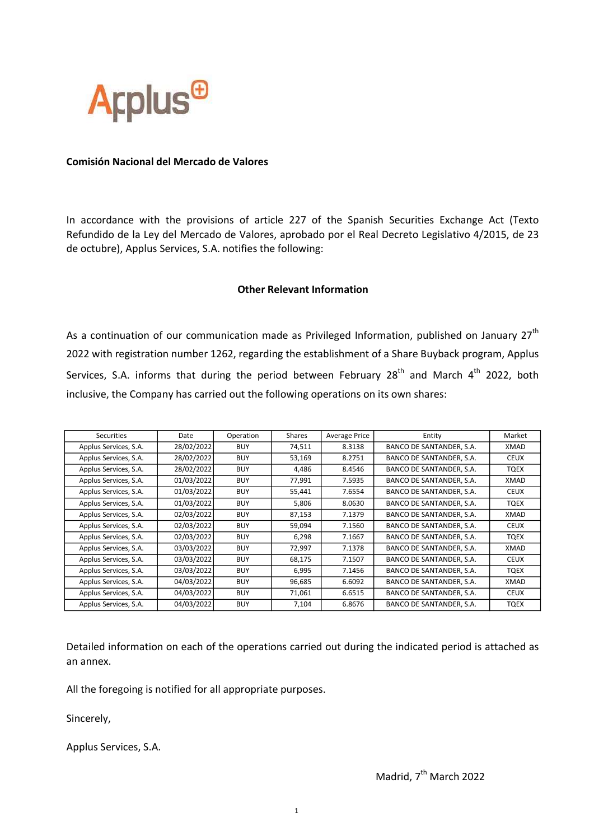

## Comisión Nacional del Mercado de Valores

In accordance with the provisions of article 227 of the Spanish Securities Exchange Act (Texto Refundido de la Ley del Mercado de Valores, aprobado por el Real Decreto Legislativo 4/2015, de 23 de octubre), Applus Services, S.A. notifies the following:

## Other Relevant Information

As a continuation of our communication made as Privileged Information, published on January  $27<sup>th</sup>$ 2022 with registration number 1262, regarding the establishment of a Share Buyback program, Applus Services, S.A. informs that during the period between February  $28<sup>th</sup>$  and March  $4<sup>th</sup>$  2022, both inclusive, the Company has carried out the following operations on its own shares:

| Securities            | Date       | Operation  | Shares | <b>Average Price</b> | Entity                          | Market      |
|-----------------------|------------|------------|--------|----------------------|---------------------------------|-------------|
| Applus Services, S.A. | 28/02/2022 | <b>BUY</b> | 74,511 | 8.3138               | BANCO DE SANTANDER, S.A.        | XMAD        |
| Applus Services, S.A. | 28/02/2022 | <b>BUY</b> | 53,169 | 8.2751               | BANCO DE SANTANDER, S.A.        | <b>CEUX</b> |
| Applus Services, S.A. | 28/02/2022 | <b>BUY</b> | 4,486  | 8.4546               | BANCO DE SANTANDER, S.A.        | TQEX        |
| Applus Services, S.A. | 01/03/2022 | <b>BUY</b> | 77,991 | 7.5935               | BANCO DE SANTANDER, S.A.        | XMAD        |
| Applus Services, S.A. | 01/03/2022 | <b>BUY</b> | 55,441 | 7.6554               | BANCO DE SANTANDER, S.A.        | <b>CEUX</b> |
| Applus Services, S.A. | 01/03/2022 | <b>BUY</b> | 5,806  | 8.0630               | BANCO DE SANTANDER, S.A.        | TQEX        |
| Applus Services, S.A. | 02/03/2022 | <b>BUY</b> | 87,153 | 7.1379               | BANCO DE SANTANDER, S.A.        | XMAD        |
| Applus Services, S.A. | 02/03/2022 | <b>BUY</b> | 59,094 | 7.1560               | BANCO DE SANTANDER, S.A.        | <b>CEUX</b> |
| Applus Services, S.A. | 02/03/2022 | <b>BUY</b> | 6,298  | 7.1667               | BANCO DE SANTANDER, S.A.        | TQEX        |
| Applus Services, S.A. | 03/03/2022 | <b>BUY</b> | 72,997 | 7.1378               | <b>BANCO DE SANTANDER, S.A.</b> | XMAD        |
| Applus Services, S.A. | 03/03/2022 | <b>BUY</b> | 68,175 | 7.1507               | BANCO DE SANTANDER, S.A.        | <b>CEUX</b> |
| Applus Services, S.A. | 03/03/2022 | <b>BUY</b> | 6,995  | 7.1456               | BANCO DE SANTANDER, S.A.        | TQEX        |
| Applus Services, S.A. | 04/03/2022 | <b>BUY</b> | 96,685 | 6.6092               | BANCO DE SANTANDER, S.A.        | XMAD        |
| Applus Services, S.A. | 04/03/2022 | <b>BUY</b> | 71,061 | 6.6515               | BANCO DE SANTANDER, S.A.        | <b>CEUX</b> |
| Applus Services, S.A. | 04/03/2022 | <b>BUY</b> | 7,104  | 6.8676               | BANCO DE SANTANDER, S.A.        | <b>TQEX</b> |

Detailed information on each of the operations carried out during the indicated period is attached as an annex.

All the foregoing is notified for all appropriate purposes.

Sincerely,

Applus Services, S.A.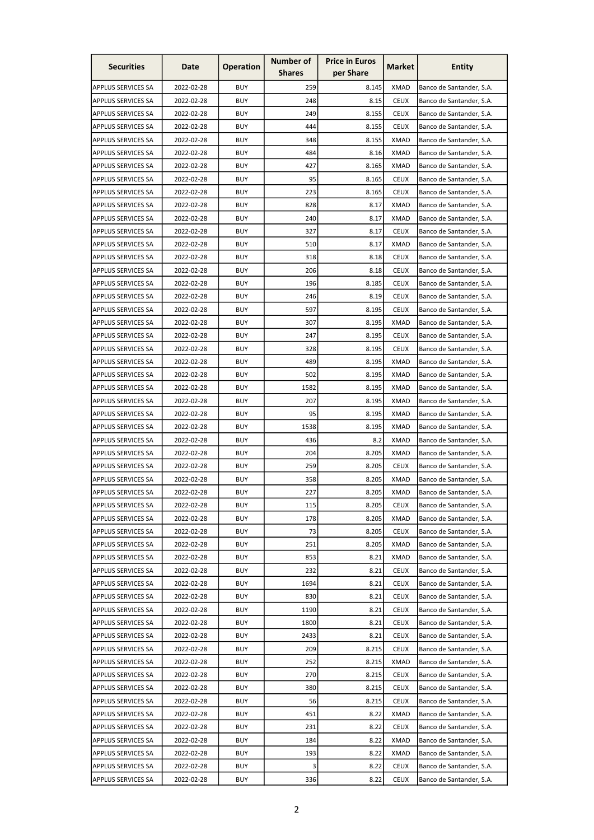| <b>Securities</b>         | Date       | <b>Operation</b> | <b>Number of</b> | <b>Price in Euros</b> | Market      | <b>Entity</b>            |
|---------------------------|------------|------------------|------------------|-----------------------|-------------|--------------------------|
|                           |            |                  | <b>Shares</b>    | per Share             |             |                          |
| <b>APPLUS SERVICES SA</b> | 2022-02-28 | <b>BUY</b>       | 259              | 8.145                 | <b>XMAD</b> | Banco de Santander, S.A. |
| <b>APPLUS SERVICES SA</b> | 2022-02-28 | <b>BUY</b>       | 248              | 8.15                  | <b>CEUX</b> | Banco de Santander, S.A. |
| <b>APPLUS SERVICES SA</b> | 2022-02-28 | <b>BUY</b>       | 249              | 8.155                 | <b>CEUX</b> | Banco de Santander, S.A. |
| APPLUS SERVICES SA        | 2022-02-28 | <b>BUY</b>       | 444              | 8.155                 | <b>CEUX</b> | Banco de Santander, S.A. |
| <b>APPLUS SERVICES SA</b> | 2022-02-28 | <b>BUY</b>       | 348              | 8.155                 | <b>XMAD</b> | Banco de Santander, S.A. |
| <b>APPLUS SERVICES SA</b> | 2022-02-28 | <b>BUY</b>       | 484              | 8.16                  | <b>XMAD</b> | Banco de Santander, S.A. |
| <b>APPLUS SERVICES SA</b> | 2022-02-28 | <b>BUY</b>       | 427              | 8.165                 | <b>XMAD</b> | Banco de Santander, S.A. |
| <b>APPLUS SERVICES SA</b> | 2022-02-28 | <b>BUY</b>       | 95               | 8.165                 | <b>CEUX</b> | Banco de Santander, S.A. |
| <b>APPLUS SERVICES SA</b> | 2022-02-28 | <b>BUY</b>       | 223              | 8.165                 | <b>CEUX</b> | Banco de Santander, S.A. |
| APPLUS SERVICES SA        | 2022-02-28 | <b>BUY</b>       | 828              | 8.17                  | <b>XMAD</b> | Banco de Santander, S.A. |
| <b>APPLUS SERVICES SA</b> | 2022-02-28 | <b>BUY</b>       | 240              | 8.17                  | <b>XMAD</b> | Banco de Santander, S.A. |
| <b>APPLUS SERVICES SA</b> | 2022-02-28 | <b>BUY</b>       | 327              | 8.17                  | <b>CEUX</b> | Banco de Santander, S.A. |
| <b>APPLUS SERVICES SA</b> | 2022-02-28 | <b>BUY</b>       | 510              | 8.17                  | <b>XMAD</b> | Banco de Santander, S.A. |
| <b>APPLUS SERVICES SA</b> | 2022-02-28 | <b>BUY</b>       | 318              | 8.18                  | <b>CEUX</b> | Banco de Santander, S.A. |
| <b>APPLUS SERVICES SA</b> | 2022-02-28 | <b>BUY</b>       | 206              | 8.18                  | <b>CEUX</b> | Banco de Santander, S.A. |
| <b>APPLUS SERVICES SA</b> | 2022-02-28 | <b>BUY</b>       | 196              | 8.185                 | <b>CEUX</b> | Banco de Santander, S.A. |
| APPLUS SERVICES SA        | 2022-02-28 | <b>BUY</b>       | 246              | 8.19                  | <b>CEUX</b> | Banco de Santander, S.A. |
| <b>APPLUS SERVICES SA</b> | 2022-02-28 | <b>BUY</b>       | 597              | 8.195                 | <b>CEUX</b> | Banco de Santander, S.A. |
| <b>APPLUS SERVICES SA</b> | 2022-02-28 | <b>BUY</b>       | 307              | 8.195                 | <b>XMAD</b> | Banco de Santander, S.A. |
| <b>APPLUS SERVICES SA</b> | 2022-02-28 | <b>BUY</b>       | 247              | 8.195                 | <b>CEUX</b> | Banco de Santander, S.A. |
| APPLUS SERVICES SA        | 2022-02-28 | <b>BUY</b>       | 328              | 8.195                 | <b>CEUX</b> | Banco de Santander, S.A. |
| <b>APPLUS SERVICES SA</b> | 2022-02-28 | <b>BUY</b>       | 489              | 8.195                 | <b>XMAD</b> | Banco de Santander, S.A. |
|                           | 2022-02-28 | <b>BUY</b>       | 502              | 8.195                 | <b>XMAD</b> |                          |
| <b>APPLUS SERVICES SA</b> |            |                  |                  |                       |             | Banco de Santander, S.A. |
| <b>APPLUS SERVICES SA</b> | 2022-02-28 | <b>BUY</b>       | 1582             | 8.195                 | <b>XMAD</b> | Banco de Santander, S.A. |
| <b>APPLUS SERVICES SA</b> | 2022-02-28 | <b>BUY</b>       | 207              | 8.195                 | XMAD        | Banco de Santander, S.A. |
| <b>APPLUS SERVICES SA</b> | 2022-02-28 | <b>BUY</b>       | 95               | 8.195                 | <b>XMAD</b> | Banco de Santander, S.A. |
| <b>APPLUS SERVICES SA</b> | 2022-02-28 | <b>BUY</b>       | 1538             | 8.195                 | <b>XMAD</b> | Banco de Santander, S.A. |
| APPLUS SERVICES SA        | 2022-02-28 | <b>BUY</b>       | 436              | 8.2                   | XMAD        | Banco de Santander, S.A. |
| APPLUS SERVICES SA        | 2022-02-28 | <b>BUY</b>       | 204              | 8.205                 | <b>XMAD</b> | Banco de Santander, S.A. |
| <b>APPLUS SERVICES SA</b> | 2022-02-28 | <b>BUY</b>       | 259              | 8.205                 | <b>CEUX</b> | Banco de Santander, S.A. |
| <b>APPLUS SERVICES SA</b> | 2022-02-28 | <b>BUY</b>       | 358              | 8.205                 | <b>XMAD</b> | Banco de Santander, S.A. |
| <b>APPLUS SERVICES SA</b> | 2022-02-28 | <b>BUY</b>       | 227              | 8.205                 | <b>XMAD</b> | Banco de Santander, S.A. |
| <b>APPLUS SERVICES SA</b> | 2022-02-28 | <b>BUY</b>       | 115              | 8.205                 | <b>CEUX</b> | Banco de Santander, S.A. |
| <b>APPLUS SERVICES SA</b> | 2022-02-28 | <b>BUY</b>       | 178              | 8.205                 | <b>XMAD</b> | Banco de Santander, S.A. |
| <b>APPLUS SERVICES SA</b> | 2022-02-28 | <b>BUY</b>       | 73               | 8.205                 | <b>CEUX</b> | Banco de Santander, S.A. |
| <b>APPLUS SERVICES SA</b> | 2022-02-28 | <b>BUY</b>       | 251              | 8.205                 | <b>XMAD</b> | Banco de Santander, S.A. |
| APPLUS SERVICES SA        | 2022-02-28 | <b>BUY</b>       | 853              | 8.21                  | <b>XMAD</b> | Banco de Santander, S.A. |
| <b>APPLUS SERVICES SA</b> | 2022-02-28 | <b>BUY</b>       | 232              | 8.21                  | <b>CEUX</b> | Banco de Santander, S.A. |
| <b>APPLUS SERVICES SA</b> | 2022-02-28 | <b>BUY</b>       | 1694             | 8.21                  | <b>CEUX</b> | Banco de Santander, S.A. |
| APPLUS SERVICES SA        | 2022-02-28 | <b>BUY</b>       | 830              | 8.21                  | <b>CEUX</b> | Banco de Santander, S.A. |
| <b>APPLUS SERVICES SA</b> | 2022-02-28 | <b>BUY</b>       | 1190             | 8.21                  | <b>CEUX</b> | Banco de Santander, S.A. |
| APPLUS SERVICES SA        | 2022-02-28 | <b>BUY</b>       | 1800             | 8.21                  | <b>CEUX</b> | Banco de Santander, S.A. |
| <b>APPLUS SERVICES SA</b> | 2022-02-28 | <b>BUY</b>       | 2433             | 8.21                  | <b>CEUX</b> | Banco de Santander, S.A. |
| <b>APPLUS SERVICES SA</b> | 2022-02-28 | <b>BUY</b>       | 209              | 8.215                 | <b>CEUX</b> | Banco de Santander, S.A. |
| <b>APPLUS SERVICES SA</b> | 2022-02-28 | <b>BUY</b>       | 252              | 8.215                 | <b>XMAD</b> | Banco de Santander, S.A. |
| <b>APPLUS SERVICES SA</b> | 2022-02-28 | <b>BUY</b>       | 270              | 8.215                 | <b>CEUX</b> | Banco de Santander, S.A. |
| <b>APPLUS SERVICES SA</b> | 2022-02-28 | <b>BUY</b>       | 380              | 8.215                 | <b>CEUX</b> | Banco de Santander, S.A. |
| APPLUS SERVICES SA        | 2022-02-28 | <b>BUY</b>       | 56               | 8.215                 | <b>CEUX</b> | Banco de Santander, S.A. |
| <b>APPLUS SERVICES SA</b> | 2022-02-28 | <b>BUY</b>       | 451              | 8.22                  | <b>XMAD</b> | Banco de Santander, S.A. |
| <b>APPLUS SERVICES SA</b> | 2022-02-28 | <b>BUY</b>       | 231              | 8.22                  | <b>CEUX</b> | Banco de Santander, S.A. |
| APPLUS SERVICES SA        | 2022-02-28 | <b>BUY</b>       | 184              | 8.22                  | <b>XMAD</b> | Banco de Santander, S.A. |
| <b>APPLUS SERVICES SA</b> | 2022-02-28 | <b>BUY</b>       | 193              | 8.22                  | <b>XMAD</b> | Banco de Santander, S.A. |
| APPLUS SERVICES SA        | 2022-02-28 | <b>BUY</b>       | 3                | 8.22                  | <b>CEUX</b> | Banco de Santander, S.A. |
| APPLUS SERVICES SA        | 2022-02-28 | <b>BUY</b>       | 336              | 8.22                  | <b>CEUX</b> | Banco de Santander, S.A. |
|                           |            |                  |                  |                       |             |                          |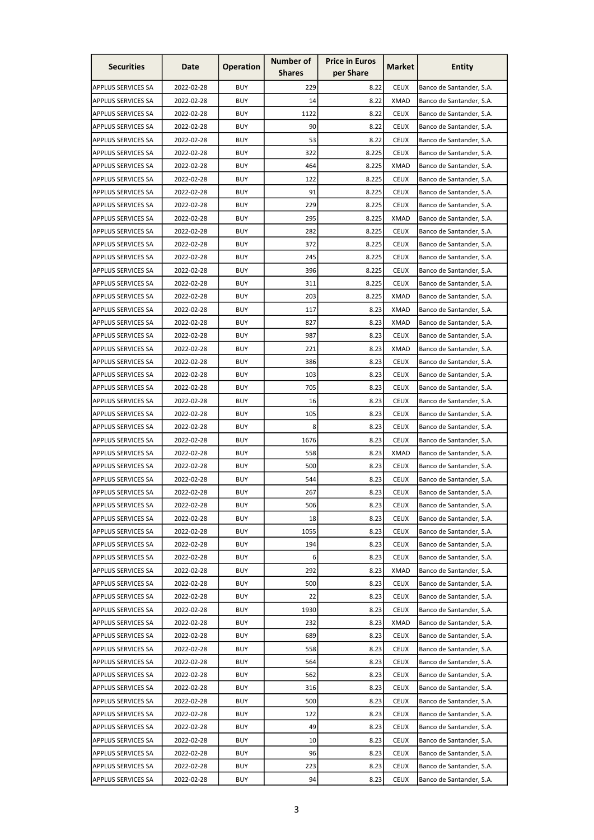| <b>Securities</b>         | Date       | <b>Operation</b> | <b>Number of</b><br><b>Shares</b> | <b>Price in Euros</b><br>per Share | Market      | <b>Entity</b>            |
|---------------------------|------------|------------------|-----------------------------------|------------------------------------|-------------|--------------------------|
|                           |            |                  |                                   |                                    |             |                          |
| APPLUS SERVICES SA        | 2022-02-28 | <b>BUY</b>       | 229                               | 8.22                               | <b>CEUX</b> | Banco de Santander, S.A. |
| <b>APPLUS SERVICES SA</b> | 2022-02-28 | <b>BUY</b>       | 14                                | 8.22                               | <b>XMAD</b> | Banco de Santander, S.A. |
| <b>APPLUS SERVICES SA</b> | 2022-02-28 | <b>BUY</b>       | 1122                              | 8.22                               | <b>CEUX</b> | Banco de Santander, S.A. |
| APPLUS SERVICES SA        | 2022-02-28 | <b>BUY</b>       | 90                                | 8.22                               | <b>CEUX</b> | Banco de Santander, S.A. |
| <b>APPLUS SERVICES SA</b> | 2022-02-28 | <b>BUY</b>       | 53                                | 8.22                               | <b>CEUX</b> | Banco de Santander, S.A. |
| <b>APPLUS SERVICES SA</b> | 2022-02-28 | <b>BUY</b>       | 322                               | 8.225                              | <b>CEUX</b> | Banco de Santander, S.A. |
| <b>APPLUS SERVICES SA</b> | 2022-02-28 | <b>BUY</b>       | 464                               | 8.225                              | <b>XMAD</b> | Banco de Santander, S.A. |
| <b>APPLUS SERVICES SA</b> | 2022-02-28 | <b>BUY</b>       | 122                               | 8.225                              | <b>CEUX</b> | Banco de Santander, S.A. |
| <b>APPLUS SERVICES SA</b> | 2022-02-28 | <b>BUY</b>       | 91                                | 8.225                              | <b>CEUX</b> | Banco de Santander, S.A. |
| <b>APPLUS SERVICES SA</b> | 2022-02-28 | <b>BUY</b>       | 229                               | 8.225                              | <b>CEUX</b> | Banco de Santander, S.A. |
| <b>APPLUS SERVICES SA</b> | 2022-02-28 | <b>BUY</b>       | 295                               | 8.225                              | <b>XMAD</b> | Banco de Santander, S.A. |
| <b>APPLUS SERVICES SA</b> | 2022-02-28 | <b>BUY</b>       | 282                               | 8.225                              | <b>CEUX</b> | Banco de Santander, S.A. |
| <b>APPLUS SERVICES SA</b> | 2022-02-28 | <b>BUY</b>       | 372                               | 8.225                              | <b>CEUX</b> | Banco de Santander, S.A. |
| <b>APPLUS SERVICES SA</b> | 2022-02-28 | <b>BUY</b>       | 245                               | 8.225                              | <b>CEUX</b> | Banco de Santander, S.A. |
| APPLUS SERVICES SA        | 2022-02-28 | <b>BUY</b>       | 396                               | 8.225                              | <b>CEUX</b> | Banco de Santander, S.A. |
| <b>APPLUS SERVICES SA</b> | 2022-02-28 | <b>BUY</b>       | 311                               | 8.225                              | <b>CEUX</b> | Banco de Santander, S.A. |
| APPLUS SERVICES SA        | 2022-02-28 | <b>BUY</b>       | 203                               | 8.225                              | <b>XMAD</b> | Banco de Santander, S.A. |
| <b>APPLUS SERVICES SA</b> | 2022-02-28 | <b>BUY</b>       | 117                               | 8.23                               | <b>XMAD</b> | Banco de Santander, S.A. |
| <b>APPLUS SERVICES SA</b> | 2022-02-28 | <b>BUY</b>       | 827                               | 8.23                               | <b>XMAD</b> | Banco de Santander, S.A. |
| <b>APPLUS SERVICES SA</b> | 2022-02-28 | <b>BUY</b>       | 987                               | 8.23                               | <b>CEUX</b> | Banco de Santander, S.A. |
| APPLUS SERVICES SA        | 2022-02-28 | <b>BUY</b>       | 221                               | 8.23                               | <b>XMAD</b> | Banco de Santander, S.A. |
| <b>APPLUS SERVICES SA</b> | 2022-02-28 | <b>BUY</b>       | 386                               | 8.23                               | <b>CEUX</b> | Banco de Santander, S.A. |
| <b>APPLUS SERVICES SA</b> | 2022-02-28 | <b>BUY</b>       | 103                               | 8.23                               | <b>CEUX</b> | Banco de Santander, S.A. |
| <b>APPLUS SERVICES SA</b> | 2022-02-28 | <b>BUY</b>       | 705                               | 8.23                               | <b>CEUX</b> |                          |
|                           |            |                  |                                   |                                    |             | Banco de Santander, S.A. |
| <b>APPLUS SERVICES SA</b> | 2022-02-28 | <b>BUY</b>       | 16                                | 8.23                               | <b>CEUX</b> | Banco de Santander, S.A. |
| <b>APPLUS SERVICES SA</b> | 2022-02-28 | <b>BUY</b>       | 105                               | 8.23                               | <b>CEUX</b> | Banco de Santander, S.A. |
| <b>APPLUS SERVICES SA</b> | 2022-02-28 | <b>BUY</b>       | 8                                 | 8.23                               | <b>CEUX</b> | Banco de Santander, S.A. |
| APPLUS SERVICES SA        | 2022-02-28 | <b>BUY</b>       | 1676                              | 8.23                               | <b>CEUX</b> | Banco de Santander, S.A. |
| APPLUS SERVICES SA        | 2022-02-28 | <b>BUY</b>       | 558                               | 8.23                               | <b>XMAD</b> | Banco de Santander, S.A. |
| <b>APPLUS SERVICES SA</b> | 2022-02-28 | <b>BUY</b>       | 500                               | 8.23                               | <b>CEUX</b> | Banco de Santander, S.A. |
| APPLUS SERVICES SA        | 2022-02-28 | <b>BUY</b>       | 544                               | 8.23                               | <b>CEUX</b> | Banco de Santander, S.A. |
| <b>APPLUS SERVICES SA</b> | 2022-02-28 | <b>BUY</b>       | 267                               | 8.23                               | <b>CEUX</b> | Banco de Santander, S.A. |
| APPLUS SERVICES SA        | 2022-02-28 | <b>BUY</b>       | 506                               | 8.23                               | <b>CEUX</b> | Banco de Santander, S.A. |
| <b>APPLUS SERVICES SA</b> | 2022-02-28 | <b>BUY</b>       | 18                                | 8.23                               | <b>CEUX</b> | Banco de Santander, S.A. |
| <b>APPLUS SERVICES SA</b> | 2022-02-28 | <b>BUY</b>       | 1055                              | 8.23                               | <b>CEUX</b> | Banco de Santander, S.A. |
| <b>APPLUS SERVICES SA</b> | 2022-02-28 | <b>BUY</b>       | 194                               | 8.23                               | <b>CEUX</b> | Banco de Santander, S.A. |
| APPLUS SERVICES SA        | 2022-02-28 | <b>BUY</b>       | 6                                 | 8.23                               | <b>CEUX</b> | Banco de Santander, S.A. |
| <b>APPLUS SERVICES SA</b> | 2022-02-28 | <b>BUY</b>       | 292                               | 8.23                               | <b>XMAD</b> | Banco de Santander, S.A. |
| <b>APPLUS SERVICES SA</b> | 2022-02-28 | <b>BUY</b>       | 500                               | 8.23                               | <b>CEUX</b> | Banco de Santander, S.A. |
| APPLUS SERVICES SA        | 2022-02-28 | <b>BUY</b>       | 22                                | 8.23                               | <b>CEUX</b> | Banco de Santander, S.A. |
| <b>APPLUS SERVICES SA</b> | 2022-02-28 | <b>BUY</b>       | 1930                              | 8.23                               | <b>CEUX</b> | Banco de Santander, S.A. |
| APPLUS SERVICES SA        | 2022-02-28 | <b>BUY</b>       | 232                               | 8.23                               | <b>XMAD</b> | Banco de Santander, S.A. |
| <b>APPLUS SERVICES SA</b> | 2022-02-28 | <b>BUY</b>       | 689                               | 8.23                               | <b>CEUX</b> | Banco de Santander, S.A. |
| <b>APPLUS SERVICES SA</b> | 2022-02-28 | <b>BUY</b>       | 558                               | 8.23                               | <b>CEUX</b> | Banco de Santander, S.A. |
| <b>APPLUS SERVICES SA</b> | 2022-02-28 | <b>BUY</b>       | 564                               | 8.23                               | <b>CEUX</b> | Banco de Santander, S.A. |
| <b>APPLUS SERVICES SA</b> | 2022-02-28 | <b>BUY</b>       | 562                               | 8.23                               | <b>CEUX</b> | Banco de Santander, S.A. |
| <b>APPLUS SERVICES SA</b> | 2022-02-28 | <b>BUY</b>       | 316                               | 8.23                               | <b>CEUX</b> | Banco de Santander, S.A. |
| APPLUS SERVICES SA        | 2022-02-28 | <b>BUY</b>       | 500                               | 8.23                               | <b>CEUX</b> | Banco de Santander, S.A. |
| <b>APPLUS SERVICES SA</b> | 2022-02-28 | <b>BUY</b>       | 122                               | 8.23                               | <b>CEUX</b> | Banco de Santander, S.A. |
| <b>APPLUS SERVICES SA</b> | 2022-02-28 | <b>BUY</b>       | 49                                | 8.23                               | <b>CEUX</b> | Banco de Santander, S.A. |
|                           |            |                  |                                   |                                    |             |                          |
| APPLUS SERVICES SA        | 2022-02-28 | <b>BUY</b>       | 10                                | 8.23                               | <b>CEUX</b> | Banco de Santander, S.A. |
| <b>APPLUS SERVICES SA</b> | 2022-02-28 | <b>BUY</b>       | 96                                | 8.23                               | <b>CEUX</b> | Banco de Santander, S.A. |
| APPLUS SERVICES SA        | 2022-02-28 | <b>BUY</b>       | 223                               | 8.23                               | <b>CEUX</b> | Banco de Santander, S.A. |
| APPLUS SERVICES SA        | 2022-02-28 | <b>BUY</b>       | 94                                | 8.23                               | <b>CEUX</b> | Banco de Santander, S.A. |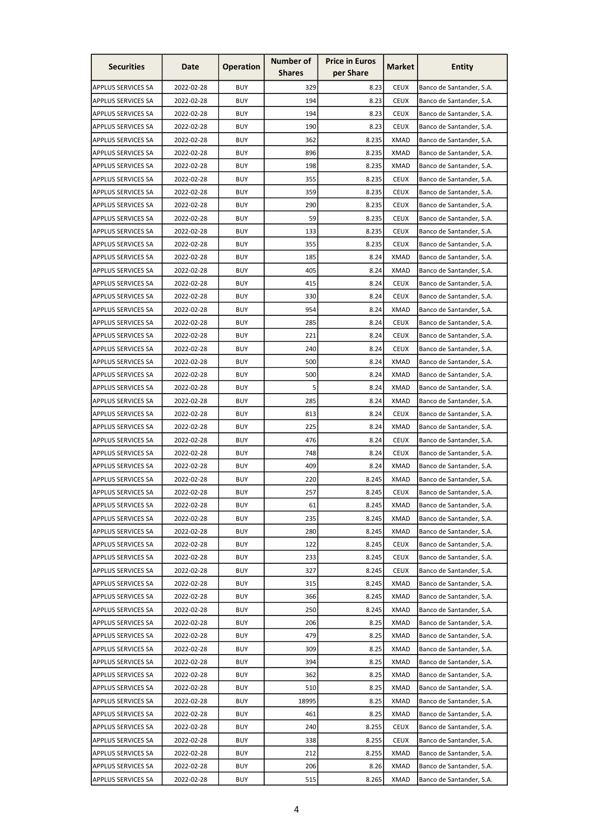| <b>Securities</b>         | Date       | <b>Operation</b> | <b>Number of</b><br><b>Shares</b> | <b>Price in Euros</b><br>per Share | Market      | <b>Entity</b>            |
|---------------------------|------------|------------------|-----------------------------------|------------------------------------|-------------|--------------------------|
|                           |            |                  |                                   |                                    |             |                          |
| APPLUS SERVICES SA        | 2022-02-28 | <b>BUY</b>       | 329                               | 8.23                               | <b>CEUX</b> | Banco de Santander, S.A. |
| <b>APPLUS SERVICES SA</b> | 2022-02-28 | <b>BUY</b>       | 194                               | 8.23                               | <b>CEUX</b> | Banco de Santander, S.A. |
| APPLUS SERVICES SA        | 2022-02-28 | <b>BUY</b>       | 194                               | 8.23                               | <b>CEUX</b> | Banco de Santander, S.A. |
| APPLUS SERVICES SA        | 2022-02-28 | <b>BUY</b>       | 190                               | 8.23                               | <b>CEUX</b> | Banco de Santander, S.A. |
| <b>APPLUS SERVICES SA</b> | 2022-02-28 | <b>BUY</b>       | 362                               | 8.235                              | <b>XMAD</b> | Banco de Santander, S.A. |
| <b>APPLUS SERVICES SA</b> | 2022-02-28 | <b>BUY</b>       | 896                               | 8.235                              | <b>XMAD</b> | Banco de Santander, S.A. |
| APPLUS SERVICES SA        | 2022-02-28 | <b>BUY</b>       | 198                               | 8.235                              | <b>XMAD</b> | Banco de Santander, S.A. |
| <b>APPLUS SERVICES SA</b> | 2022-02-28 | <b>BUY</b>       | 355                               | 8.235                              | <b>CEUX</b> | Banco de Santander, S.A. |
| <b>APPLUS SERVICES SA</b> | 2022-02-28 | <b>BUY</b>       | 359                               | 8.235                              | <b>CEUX</b> | Banco de Santander, S.A. |
| APPLUS SERVICES SA        | 2022-02-28 | <b>BUY</b>       | 290                               | 8.235                              | <b>CEUX</b> | Banco de Santander, S.A. |
| <b>APPLUS SERVICES SA</b> | 2022-02-28 | <b>BUY</b>       | 59                                | 8.235                              | <b>CEUX</b> | Banco de Santander, S.A. |
| <b>APPLUS SERVICES SA</b> | 2022-02-28 | <b>BUY</b>       | 133                               | 8.235                              | <b>CEUX</b> | Banco de Santander, S.A. |
| <b>APPLUS SERVICES SA</b> | 2022-02-28 | <b>BUY</b>       | 355                               | 8.235                              | <b>CEUX</b> | Banco de Santander, S.A. |
| <b>APPLUS SERVICES SA</b> | 2022-02-28 | <b>BUY</b>       | 185                               | 8.24                               | <b>XMAD</b> | Banco de Santander, S.A. |
| APPLUS SERVICES SA        | 2022-02-28 | <b>BUY</b>       | 405                               | 8.24                               | <b>XMAD</b> | Banco de Santander, S.A. |
| <b>APPLUS SERVICES SA</b> | 2022-02-28 | <b>BUY</b>       | 415                               | 8.24                               | <b>CEUX</b> | Banco de Santander, S.A. |
| APPLUS SERVICES SA        | 2022-02-28 | <b>BUY</b>       | 330                               | 8.24                               | <b>CEUX</b> | Banco de Santander, S.A. |
| APPLUS SERVICES SA        | 2022-02-28 | <b>BUY</b>       | 954                               | 8.24                               | <b>XMAD</b> | Banco de Santander, S.A. |
| <b>APPLUS SERVICES SA</b> | 2022-02-28 | <b>BUY</b>       | 285                               | 8.24                               | <b>CEUX</b> | Banco de Santander, S.A. |
| <b>APPLUS SERVICES SA</b> | 2022-02-28 | <b>BUY</b>       | 221                               | 8.24                               | <b>CEUX</b> | Banco de Santander, S.A. |
| APPLUS SERVICES SA        | 2022-02-28 | <b>BUY</b>       | 240                               | 8.24                               | <b>CEUX</b> | Banco de Santander, S.A. |
| <b>APPLUS SERVICES SA</b> | 2022-02-28 | <b>BUY</b>       | 500                               | 8.24                               | <b>XMAD</b> | Banco de Santander, S.A. |
| <b>APPLUS SERVICES SA</b> | 2022-02-28 | <b>BUY</b>       | 500                               | 8.24                               | <b>XMAD</b> | Banco de Santander, S.A. |
| <b>APPLUS SERVICES SA</b> | 2022-02-28 | <b>BUY</b>       | 5                                 | 8.24                               | <b>XMAD</b> | Banco de Santander, S.A. |
| <b>APPLUS SERVICES SA</b> | 2022-02-28 | BUY              | 285                               | 8.24                               | XMAD        | Banco de Santander, S.A. |
| <b>APPLUS SERVICES SA</b> | 2022-02-28 | <b>BUY</b>       | 813                               | 8.24                               | <b>CEUX</b> | Banco de Santander, S.A. |
| <b>APPLUS SERVICES SA</b> | 2022-02-28 | <b>BUY</b>       | 225                               | 8.24                               | <b>XMAD</b> | Banco de Santander, S.A. |
| APPLUS SERVICES SA        | 2022-02-28 | <b>BUY</b>       | 476                               | 8.24                               | <b>CEUX</b> | Banco de Santander, S.A. |
| APPLUS SERVICES SA        | 2022-02-28 | <b>BUY</b>       | 748                               | 8.24                               | <b>CEUX</b> | Banco de Santander, S.A. |
|                           | 2022-02-28 | <b>BUY</b>       | 409                               | 8.24                               | <b>XMAD</b> |                          |
| <b>APPLUS SERVICES SA</b> |            |                  |                                   |                                    |             | Banco de Santander, S.A. |
| APPLUS SERVICES SA        | 2022-02-28 | <b>BUY</b>       | 220                               | 8.245                              | <b>XMAD</b> | Banco de Santander, S.A. |
| <b>APPLUS SERVICES SA</b> | 2022-02-28 | <b>BUY</b>       | 257                               | 8.245                              | <b>CEUX</b> | Banco de Santander, S.A. |
| APPLUS SERVICES SA        | 2022-02-28 | <b>BUY</b>       | 61                                | 8.245                              | XMAD        | Banco de Santander, S.A. |
| <b>APPLUS SERVICES SA</b> | 2022-02-28 | <b>BUY</b>       | 235                               | 8.245                              | <b>XMAD</b> | Banco de Santander, S.A. |
| APPLUS SERVICES SA        | 2022-02-28 | <b>BUY</b>       | 280                               | 8.245                              | <b>XMAD</b> | Banco de Santander, S.A. |
| <b>APPLUS SERVICES SA</b> | 2022-02-28 | <b>BUY</b>       | 122                               | 8.245                              | <b>CEUX</b> | Banco de Santander, S.A. |
| APPLUS SERVICES SA        | 2022-02-28 | <b>BUY</b>       | 233                               | 8.245                              | <b>CEUX</b> | Banco de Santander, S.A. |
| <b>APPLUS SERVICES SA</b> | 2022-02-28 | <b>BUY</b>       | 327                               | 8.245                              | <b>CEUX</b> | Banco de Santander, S.A. |
| <b>APPLUS SERVICES SA</b> | 2022-02-28 | <b>BUY</b>       | 315                               | 8.245                              | <b>XMAD</b> | Banco de Santander, S.A. |
| <b>APPLUS SERVICES SA</b> | 2022-02-28 | <b>BUY</b>       | 366                               | 8.245                              | XMAD        | Banco de Santander, S.A. |
| <b>APPLUS SERVICES SA</b> | 2022-02-28 | <b>BUY</b>       | 250                               | 8.245                              | <b>XMAD</b> | Banco de Santander, S.A. |
| <b>APPLUS SERVICES SA</b> | 2022-02-28 | <b>BUY</b>       | 206                               | 8.25                               | <b>XMAD</b> | Banco de Santander, S.A. |
| <b>APPLUS SERVICES SA</b> | 2022-02-28 | <b>BUY</b>       | 479                               | 8.25                               | <b>XMAD</b> | Banco de Santander, S.A. |
| <b>APPLUS SERVICES SA</b> | 2022-02-28 | <b>BUY</b>       | 309                               | 8.25                               | <b>XMAD</b> | Banco de Santander, S.A. |
| <b>APPLUS SERVICES SA</b> | 2022-02-28 | <b>BUY</b>       | 394                               | 8.25                               | <b>XMAD</b> | Banco de Santander, S.A. |
| <b>APPLUS SERVICES SA</b> | 2022-02-28 | <b>BUY</b>       | 362                               | 8.25                               | <b>XMAD</b> | Banco de Santander, S.A. |
| <b>APPLUS SERVICES SA</b> | 2022-02-28 | <b>BUY</b>       | 510                               | 8.25                               | <b>XMAD</b> | Banco de Santander, S.A. |
| APPLUS SERVICES SA        | 2022-02-28 | <b>BUY</b>       | 18995                             | 8.25                               | <b>XMAD</b> | Banco de Santander, S.A. |
| <b>APPLUS SERVICES SA</b> | 2022-02-28 | <b>BUY</b>       | 461                               | 8.25                               | <b>XMAD</b> | Banco de Santander, S.A. |
| <b>APPLUS SERVICES SA</b> | 2022-02-28 | <b>BUY</b>       | 240                               | 8.255                              | <b>CEUX</b> | Banco de Santander, S.A. |
| APPLUS SERVICES SA        | 2022-02-28 | <b>BUY</b>       | 338                               | 8.255                              | <b>CEUX</b> | Banco de Santander, S.A. |
| <b>APPLUS SERVICES SA</b> | 2022-02-28 | <b>BUY</b>       | 212                               | 8.255                              | <b>XMAD</b> | Banco de Santander, S.A. |
| APPLUS SERVICES SA        | 2022-02-28 | <b>BUY</b>       | 206                               | 8.26                               | <b>XMAD</b> | Banco de Santander, S.A. |
| APPLUS SERVICES SA        | 2022-02-28 | <b>BUY</b>       | 515                               | 8.265                              | <b>XMAD</b> | Banco de Santander, S.A. |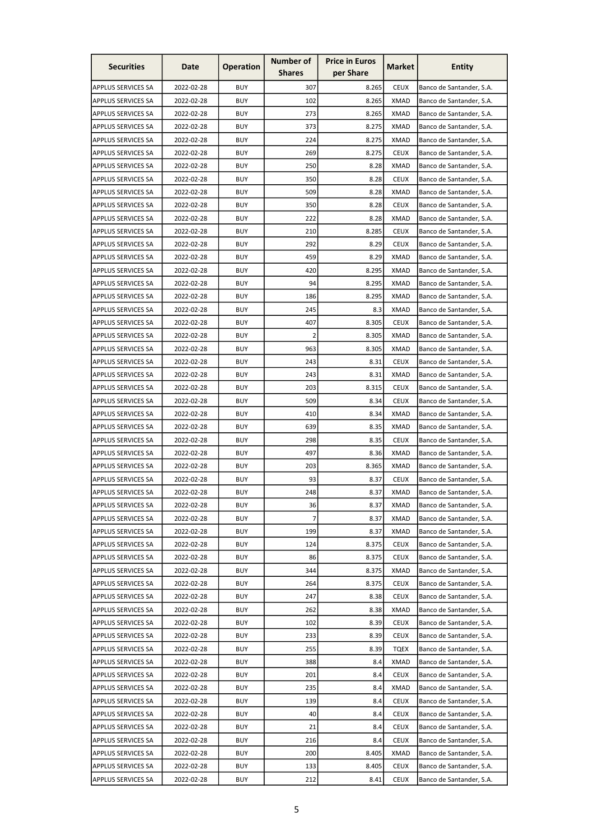| <b>Securities</b>         | Date       | <b>Operation</b> | Number of<br><b>Shares</b> | <b>Price in Euros</b><br>per Share | Market      | <b>Entity</b>            |
|---------------------------|------------|------------------|----------------------------|------------------------------------|-------------|--------------------------|
| APPLUS SERVICES SA        | 2022-02-28 | <b>BUY</b>       | 307                        | 8.265                              | <b>CEUX</b> | Banco de Santander, S.A. |
| <b>APPLUS SERVICES SA</b> | 2022-02-28 | <b>BUY</b>       | 102                        | 8.265                              | <b>XMAD</b> | Banco de Santander, S.A. |
| <b>APPLUS SERVICES SA</b> | 2022-02-28 | <b>BUY</b>       | 273                        | 8.265                              | XMAD        | Banco de Santander, S.A. |
| APPLUS SERVICES SA        | 2022-02-28 | <b>BUY</b>       | 373                        | 8.275                              | XMAD        | Banco de Santander, S.A. |
| <b>APPLUS SERVICES SA</b> | 2022-02-28 | <b>BUY</b>       | 224                        | 8.275                              | <b>XMAD</b> | Banco de Santander, S.A. |
| <b>APPLUS SERVICES SA</b> | 2022-02-28 | <b>BUY</b>       | 269                        | 8.275                              | <b>CEUX</b> | Banco de Santander, S.A. |
| APPLUS SERVICES SA        | 2022-02-28 | <b>BUY</b>       | 250                        | 8.28                               | <b>XMAD</b> | Banco de Santander, S.A. |
| <b>APPLUS SERVICES SA</b> | 2022-02-28 | <b>BUY</b>       | 350                        | 8.28                               | <b>CEUX</b> | Banco de Santander, S.A. |
| <b>APPLUS SERVICES SA</b> | 2022-02-28 | <b>BUY</b>       | 509                        | 8.28                               | <b>XMAD</b> | Banco de Santander, S.A. |
| APPLUS SERVICES SA        | 2022-02-28 | <b>BUY</b>       | 350                        | 8.28                               | <b>CEUX</b> | Banco de Santander, S.A. |
| <b>APPLUS SERVICES SA</b> | 2022-02-28 | <b>BUY</b>       | 222                        | 8.28                               | <b>XMAD</b> |                          |
|                           |            |                  |                            |                                    |             | Banco de Santander, S.A. |
| <b>APPLUS SERVICES SA</b> | 2022-02-28 | <b>BUY</b>       | 210                        | 8.285                              | <b>CEUX</b> | Banco de Santander, S.A. |
| <b>APPLUS SERVICES SA</b> | 2022-02-28 | <b>BUY</b>       | 292                        | 8.29                               | <b>CEUX</b> | Banco de Santander, S.A. |
| <b>APPLUS SERVICES SA</b> | 2022-02-28 | <b>BUY</b>       | 459                        | 8.29                               | <b>XMAD</b> | Banco de Santander, S.A. |
| <b>APPLUS SERVICES SA</b> | 2022-02-28 | <b>BUY</b>       | 420                        | 8.295                              | <b>XMAD</b> | Banco de Santander, S.A. |
| <b>APPLUS SERVICES SA</b> | 2022-02-28 | <b>BUY</b>       | 94                         | 8.295                              | <b>XMAD</b> | Banco de Santander, S.A. |
| APPLUS SERVICES SA        | 2022-02-28 | <b>BUY</b>       | 186                        | 8.295                              | <b>XMAD</b> | Banco de Santander, S.A. |
| APPLUS SERVICES SA        | 2022-02-28 | <b>BUY</b>       | 245                        | 8.3                                | <b>XMAD</b> | Banco de Santander, S.A. |
| <b>APPLUS SERVICES SA</b> | 2022-02-28 | <b>BUY</b>       | 407                        | 8.305                              | <b>CEUX</b> | Banco de Santander, S.A. |
| <b>APPLUS SERVICES SA</b> | 2022-02-28 | <b>BUY</b>       | $\overline{2}$             | 8.305                              | <b>XMAD</b> | Banco de Santander, S.A. |
| APPLUS SERVICES SA        | 2022-02-28 | <b>BUY</b>       | 963                        | 8.305                              | <b>XMAD</b> | Banco de Santander, S.A. |
| <b>APPLUS SERVICES SA</b> | 2022-02-28 | <b>BUY</b>       | 243                        | 8.31                               | <b>CEUX</b> | Banco de Santander, S.A. |
| <b>APPLUS SERVICES SA</b> | 2022-02-28 | <b>BUY</b>       | 243                        | 8.31                               | <b>XMAD</b> | Banco de Santander, S.A. |
| <b>APPLUS SERVICES SA</b> | 2022-02-28 | <b>BUY</b>       | 203                        | 8.315                              | <b>CEUX</b> | Banco de Santander, S.A. |
| APPLUS SERVICES SA        | 2022-02-28 | BUY              | 509                        | 8.34                               | CEUX        | Banco de Santander, S.A. |
| <b>APPLUS SERVICES SA</b> | 2022-02-28 | <b>BUY</b>       | 410                        | 8.34                               | <b>XMAD</b> | Banco de Santander, S.A. |
| <b>APPLUS SERVICES SA</b> | 2022-02-28 | <b>BUY</b>       | 639                        | 8.35                               | <b>XMAD</b> | Banco de Santander, S.A. |
| APPLUS SERVICES SA        | 2022-02-28 | <b>BUY</b>       | 298                        | 8.35                               | <b>CEUX</b> | Banco de Santander, S.A. |
| APPLUS SERVICES SA        | 2022-02-28 | <b>BUY</b>       | 497                        | 8.36                               | <b>XMAD</b> | Banco de Santander, S.A. |
| <b>APPLUS SERVICES SA</b> | 2022-02-28 | <b>BUY</b>       | 203                        | 8.365                              | <b>XMAD</b> | Banco de Santander, S.A. |
| <b>APPLUS SERVICES SA</b> | 2022-02-28 | <b>BUY</b>       | 93                         | 8.37                               | <b>CEUX</b> | Banco de Santander, S.A. |
| APPLUS SERVICES SA        | 2022-02-28 | <b>BUY</b>       | 248                        | 8.37                               | <b>XMAD</b> | Banco de Santander, S.A. |
| APPLUS SERVICES SA        | 2022-02-28 | <b>BUY</b>       | 36                         | 8.37                               | XMAD        | Banco de Santander, S.A. |
| <b>APPLUS SERVICES SA</b> | 2022-02-28 | <b>BUY</b>       | 7                          | 8.37                               | <b>XMAD</b> | Banco de Santander, S.A. |
| <b>APPLUS SERVICES SA</b> | 2022-02-28 | <b>BUY</b>       | 199                        | 8.37                               | <b>XMAD</b> | Banco de Santander, S.A. |
| <b>APPLUS SERVICES SA</b> | 2022-02-28 | <b>BUY</b>       | 124                        | 8.375                              | <b>CEUX</b> | Banco de Santander, S.A. |
| APPLUS SERVICES SA        | 2022-02-28 | <b>BUY</b>       | 86                         | 8.375                              | <b>CEUX</b> | Banco de Santander, S.A. |
| <b>APPLUS SERVICES SA</b> | 2022-02-28 | <b>BUY</b>       | 344                        | 8.375                              | <b>XMAD</b> | Banco de Santander, S.A. |
| <b>APPLUS SERVICES SA</b> | 2022-02-28 | <b>BUY</b>       | 264                        | 8.375                              | <b>CEUX</b> | Banco de Santander, S.A. |
| APPLUS SERVICES SA        | 2022-02-28 | <b>BUY</b>       | 247                        | 8.38                               | <b>CEUX</b> | Banco de Santander, S.A. |
| <b>APPLUS SERVICES SA</b> | 2022-02-28 | <b>BUY</b>       | 262                        | 8.38                               | <b>XMAD</b> | Banco de Santander, S.A. |
| <b>APPLUS SERVICES SA</b> | 2022-02-28 | <b>BUY</b>       | 102                        | 8.39                               | <b>CEUX</b> | Banco de Santander, S.A. |
| <b>APPLUS SERVICES SA</b> | 2022-02-28 | <b>BUY</b>       | 233                        | 8.39                               | <b>CEUX</b> | Banco de Santander, S.A. |
| <b>APPLUS SERVICES SA</b> | 2022-02-28 | <b>BUY</b>       | 255                        | 8.39                               | <b>TQEX</b> | Banco de Santander, S.A. |
| <b>APPLUS SERVICES SA</b> | 2022-02-28 | <b>BUY</b>       | 388                        | 8.4                                | <b>XMAD</b> | Banco de Santander, S.A. |
| <b>APPLUS SERVICES SA</b> | 2022-02-28 | <b>BUY</b>       | 201                        | 8.4                                | <b>CEUX</b> | Banco de Santander, S.A. |
| <b>APPLUS SERVICES SA</b> | 2022-02-28 | <b>BUY</b>       | 235                        | 8.4                                | <b>XMAD</b> | Banco de Santander, S.A. |
| APPLUS SERVICES SA        | 2022-02-28 | <b>BUY</b>       | 139                        | 8.4                                | <b>CEUX</b> | Banco de Santander, S.A. |
| <b>APPLUS SERVICES SA</b> | 2022-02-28 | <b>BUY</b>       | 40                         | 8.4                                | <b>CEUX</b> | Banco de Santander, S.A. |
| <b>APPLUS SERVICES SA</b> | 2022-02-28 | <b>BUY</b>       | 21                         | 8.4                                | <b>CEUX</b> | Banco de Santander, S.A. |
| APPLUS SERVICES SA        | 2022-02-28 | <b>BUY</b>       | 216                        | 8.4                                | <b>CEUX</b> | Banco de Santander, S.A. |
| <b>APPLUS SERVICES SA</b> | 2022-02-28 | <b>BUY</b>       | 200                        | 8.405                              | <b>XMAD</b> | Banco de Santander, S.A. |
| <b>APPLUS SERVICES SA</b> | 2022-02-28 | <b>BUY</b>       | 133                        | 8.405                              | <b>CEUX</b> | Banco de Santander, S.A. |
| APPLUS SERVICES SA        | 2022-02-28 | <b>BUY</b>       | 212                        | 8.41                               | <b>CEUX</b> | Banco de Santander, S.A. |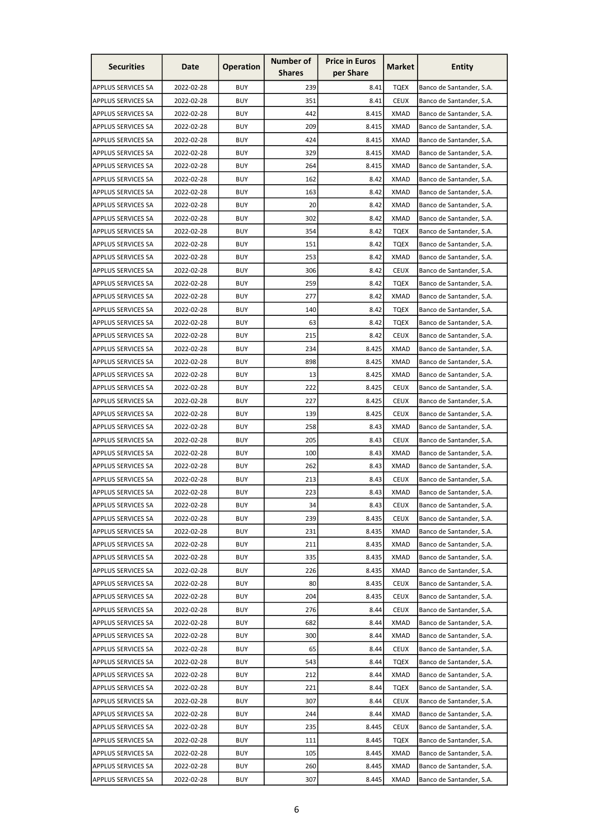| <b>Securities</b>                               | Date       | <b>Operation</b> | Number of<br><b>Shares</b> | <b>Price in Euros</b><br>per Share | Market      | <b>Entity</b>            |
|-------------------------------------------------|------------|------------------|----------------------------|------------------------------------|-------------|--------------------------|
| APPLUS SERVICES SA                              | 2022-02-28 | <b>BUY</b>       | 239                        | 8.41                               | <b>TQEX</b> | Banco de Santander, S.A. |
| <b>APPLUS SERVICES SA</b>                       | 2022-02-28 | <b>BUY</b>       | 351                        | 8.41                               | <b>CEUX</b> | Banco de Santander, S.A. |
| <b>APPLUS SERVICES SA</b>                       | 2022-02-28 | <b>BUY</b>       | 442                        | 8.415                              | XMAD        | Banco de Santander, S.A. |
| APPLUS SERVICES SA                              | 2022-02-28 | <b>BUY</b>       | 209                        | 8.415                              | XMAD        | Banco de Santander, S.A. |
| <b>APPLUS SERVICES SA</b>                       | 2022-02-28 | <b>BUY</b>       | 424                        | 8.415                              | <b>XMAD</b> | Banco de Santander, S.A. |
| <b>APPLUS SERVICES SA</b>                       | 2022-02-28 | <b>BUY</b>       | 329                        | 8.415                              | <b>XMAD</b> | Banco de Santander, S.A. |
| APPLUS SERVICES SA                              | 2022-02-28 | <b>BUY</b>       | 264                        | 8.415                              | <b>XMAD</b> | Banco de Santander, S.A. |
| <b>APPLUS SERVICES SA</b>                       | 2022-02-28 | <b>BUY</b>       | 162                        | 8.42                               | <b>XMAD</b> | Banco de Santander, S.A. |
| <b>APPLUS SERVICES SA</b>                       | 2022-02-28 | <b>BUY</b>       | 163                        | 8.42                               | <b>XMAD</b> | Banco de Santander, S.A. |
| APPLUS SERVICES SA                              | 2022-02-28 | <b>BUY</b>       | 20                         | 8.42                               | <b>XMAD</b> | Banco de Santander, S.A. |
| <b>APPLUS SERVICES SA</b>                       | 2022-02-28 | <b>BUY</b>       | 302                        | 8.42                               | <b>XMAD</b> | Banco de Santander, S.A. |
| <b>APPLUS SERVICES SA</b>                       | 2022-02-28 | <b>BUY</b>       | 354                        | 8.42                               | TQEX        | Banco de Santander, S.A. |
| <b>APPLUS SERVICES SA</b>                       | 2022-02-28 | <b>BUY</b>       | 151                        | 8.42                               | <b>TQEX</b> | Banco de Santander, S.A. |
| <b>APPLUS SERVICES SA</b>                       | 2022-02-28 | <b>BUY</b>       | 253                        | 8.42                               | <b>XMAD</b> | Banco de Santander, S.A. |
| <b>APPLUS SERVICES SA</b>                       | 2022-02-28 | <b>BUY</b>       | 306                        | 8.42                               | <b>CEUX</b> | Banco de Santander, S.A. |
| <b>APPLUS SERVICES SA</b>                       | 2022-02-28 | <b>BUY</b>       | 259                        | 8.42                               | <b>TQEX</b> | Banco de Santander, S.A. |
| APPLUS SERVICES SA                              | 2022-02-28 | <b>BUY</b>       | 277                        | 8.42                               | <b>XMAD</b> | Banco de Santander, S.A. |
| APPLUS SERVICES SA                              | 2022-02-28 | <b>BUY</b>       | 140                        | 8.42                               | <b>TQEX</b> | Banco de Santander, S.A. |
| <b>APPLUS SERVICES SA</b>                       | 2022-02-28 | <b>BUY</b>       | 63                         | 8.42                               | <b>TQEX</b> | Banco de Santander, S.A. |
| <b>APPLUS SERVICES SA</b>                       | 2022-02-28 | <b>BUY</b>       | 215                        | 8.42                               | <b>CEUX</b> | Banco de Santander, S.A. |
| APPLUS SERVICES SA                              | 2022-02-28 | <b>BUY</b>       | 234                        | 8.425                              | <b>XMAD</b> | Banco de Santander, S.A. |
| <b>APPLUS SERVICES SA</b>                       | 2022-02-28 | <b>BUY</b>       | 898                        | 8.425                              | <b>XMAD</b> | Banco de Santander, S.A. |
| <b>APPLUS SERVICES SA</b>                       | 2022-02-28 | <b>BUY</b>       | 13                         | 8.425                              | <b>XMAD</b> | Banco de Santander, S.A. |
| <b>APPLUS SERVICES SA</b>                       | 2022-02-28 | <b>BUY</b>       | 222                        | 8.425                              | <b>CEUX</b> | Banco de Santander, S.A. |
| <b>APPLUS SERVICES SA</b>                       | 2022-02-28 | BUY              | 227                        | 8.425                              | CEUX        | Banco de Santander, S.A. |
| <b>APPLUS SERVICES SA</b>                       | 2022-02-28 | <b>BUY</b>       | 139                        | 8.425                              | <b>CEUX</b> | Banco de Santander, S.A. |
| <b>APPLUS SERVICES SA</b>                       | 2022-02-28 | <b>BUY</b>       | 258                        | 8.43                               | <b>XMAD</b> | Banco de Santander, S.A. |
| APPLUS SERVICES SA                              | 2022-02-28 | <b>BUY</b>       | 205                        | 8.43                               | <b>CEUX</b> | Banco de Santander, S.A. |
| APPLUS SERVICES SA                              | 2022-02-28 | <b>BUY</b>       | 100                        | 8.43                               | <b>XMAD</b> | Banco de Santander, S.A. |
| <b>APPLUS SERVICES SA</b>                       | 2022-02-28 | <b>BUY</b>       | 262                        | 8.43                               | <b>XMAD</b> | Banco de Santander, S.A. |
| <b>APPLUS SERVICES SA</b>                       | 2022-02-28 | <b>BUY</b>       | 213                        | 8.43                               | <b>CEUX</b> | Banco de Santander, S.A. |
| <b>APPLUS SERVICES SA</b>                       | 2022-02-28 | <b>BUY</b>       | 223                        | 8.43                               | <b>XMAD</b> | Banco de Santander, S.A. |
| APPLUS SERVICES SA                              | 2022-02-28 | <b>BUY</b>       | 34                         | 8.43                               | <b>CEUX</b> | Banco de Santander, S.A. |
| <b>APPLUS SERVICES SA</b>                       | 2022-02-28 | <b>BUY</b>       | 239                        | 8.435                              | <b>CEUX</b> | Banco de Santander, S.A. |
| <b>APPLUS SERVICES SA</b>                       | 2022-02-28 | <b>BUY</b>       | 231                        | 8.435                              | <b>XMAD</b> | Banco de Santander, S.A. |
| <b>APPLUS SERVICES SA</b>                       | 2022-02-28 | <b>BUY</b>       | 211                        | 8.435                              | <b>XMAD</b> | Banco de Santander, S.A. |
|                                                 | 2022-02-28 | <b>BUY</b>       | 335                        | 8.435                              | <b>XMAD</b> | Banco de Santander, S.A. |
| APPLUS SERVICES SA<br><b>APPLUS SERVICES SA</b> | 2022-02-28 | <b>BUY</b>       | 226                        | 8.435                              | <b>XMAD</b> | Banco de Santander, S.A. |
| <b>APPLUS SERVICES SA</b>                       | 2022-02-28 | <b>BUY</b>       | 80                         | 8.435                              | <b>CEUX</b> | Banco de Santander, S.A. |
| APPLUS SERVICES SA                              | 2022-02-28 | <b>BUY</b>       | 204                        | 8.435                              | <b>CEUX</b> | Banco de Santander, S.A. |
| <b>APPLUS SERVICES SA</b>                       | 2022-02-28 | <b>BUY</b>       | 276                        | 8.44                               | <b>CEUX</b> | Banco de Santander, S.A. |
|                                                 |            |                  |                            | 8.44                               |             |                          |
| APPLUS SERVICES SA                              | 2022-02-28 | <b>BUY</b>       | 682                        |                                    | <b>XMAD</b> | Banco de Santander, S.A. |
| <b>APPLUS SERVICES SA</b>                       | 2022-02-28 | <b>BUY</b>       | 300                        | 8.44                               | <b>XMAD</b> | Banco de Santander, S.A. |
| <b>APPLUS SERVICES SA</b>                       | 2022-02-28 | <b>BUY</b>       | 65                         | 8.44                               | <b>CEUX</b> | Banco de Santander, S.A. |
| <b>APPLUS SERVICES SA</b>                       | 2022-02-28 | <b>BUY</b>       | 543                        | 8.44                               | <b>TQEX</b> | Banco de Santander, S.A. |
| <b>APPLUS SERVICES SA</b>                       | 2022-02-28 | <b>BUY</b>       | 212                        | 8.44                               | <b>XMAD</b> | Banco de Santander, S.A. |
| <b>APPLUS SERVICES SA</b>                       | 2022-02-28 | <b>BUY</b>       | 221                        | 8.44                               | <b>TQEX</b> | Banco de Santander, S.A. |
| APPLUS SERVICES SA                              | 2022-02-28 | <b>BUY</b>       | 307                        | 8.44                               | <b>CEUX</b> | Banco de Santander, S.A. |
| <b>APPLUS SERVICES SA</b>                       | 2022-02-28 | <b>BUY</b>       | 244                        | 8.44                               | <b>XMAD</b> | Banco de Santander, S.A. |
| <b>APPLUS SERVICES SA</b>                       | 2022-02-28 | <b>BUY</b>       | 235                        | 8.445                              | <b>CEUX</b> | Banco de Santander, S.A. |
| APPLUS SERVICES SA                              | 2022-02-28 | <b>BUY</b>       | 111                        | 8.445                              | TQEX        | Banco de Santander, S.A. |
| <b>APPLUS SERVICES SA</b>                       | 2022-02-28 | <b>BUY</b>       | 105                        | 8.445                              | <b>XMAD</b> | Banco de Santander, S.A. |
| APPLUS SERVICES SA                              | 2022-02-28 | <b>BUY</b>       | 260                        | 8.445                              | <b>XMAD</b> | Banco de Santander, S.A. |
| APPLUS SERVICES SA                              | 2022-02-28 | <b>BUY</b>       | 307                        | 8.445                              | <b>XMAD</b> | Banco de Santander, S.A. |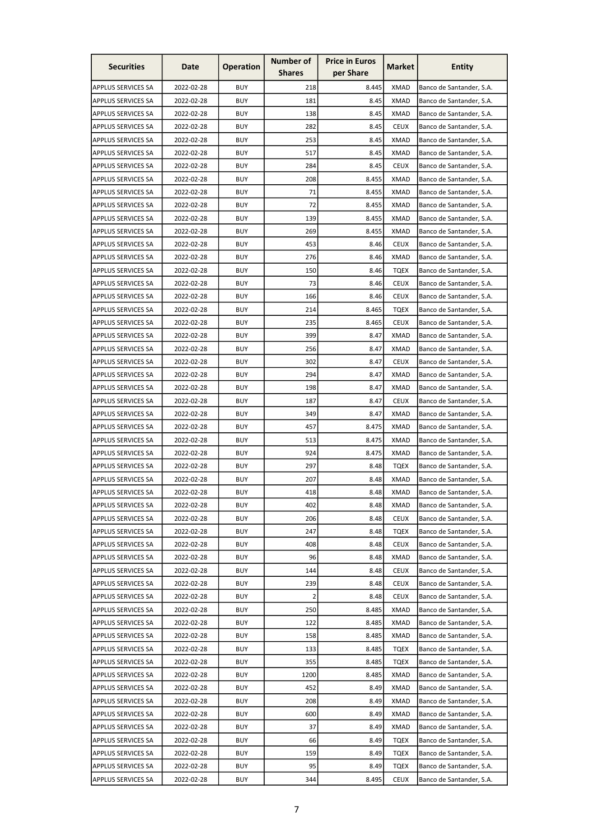| <b>Securities</b>                               | Date       | <b>Operation</b> | Number of<br><b>Shares</b> | <b>Price in Euros</b><br>per Share | Market      | <b>Entity</b>            |
|-------------------------------------------------|------------|------------------|----------------------------|------------------------------------|-------------|--------------------------|
| APPLUS SERVICES SA                              | 2022-02-28 | <b>BUY</b>       | 218                        | 8.445                              | <b>XMAD</b> | Banco de Santander, S.A. |
| <b>APPLUS SERVICES SA</b>                       | 2022-02-28 | <b>BUY</b>       | 181                        | 8.45                               | <b>XMAD</b> | Banco de Santander, S.A. |
| <b>APPLUS SERVICES SA</b>                       | 2022-02-28 | <b>BUY</b>       | 138                        | 8.45                               | XMAD        | Banco de Santander, S.A. |
| APPLUS SERVICES SA                              | 2022-02-28 | <b>BUY</b>       | 282                        | 8.45                               | <b>CEUX</b> | Banco de Santander, S.A. |
| <b>APPLUS SERVICES SA</b>                       | 2022-02-28 | <b>BUY</b>       | 253                        | 8.45                               | <b>XMAD</b> | Banco de Santander, S.A. |
| <b>APPLUS SERVICES SA</b>                       | 2022-02-28 | <b>BUY</b>       | 517                        | 8.45                               | <b>XMAD</b> | Banco de Santander, S.A. |
| APPLUS SERVICES SA                              | 2022-02-28 | <b>BUY</b>       | 284                        | 8.45                               | <b>CEUX</b> | Banco de Santander, S.A. |
| <b>APPLUS SERVICES SA</b>                       | 2022-02-28 | <b>BUY</b>       | 208                        | 8.455                              | <b>XMAD</b> | Banco de Santander, S.A. |
| <b>APPLUS SERVICES SA</b>                       | 2022-02-28 | <b>BUY</b>       | 71                         | 8.455                              | <b>XMAD</b> | Banco de Santander, S.A. |
| APPLUS SERVICES SA                              | 2022-02-28 | <b>BUY</b>       | 72                         | 8.455                              | <b>XMAD</b> | Banco de Santander, S.A. |
| <b>APPLUS SERVICES SA</b>                       | 2022-02-28 | <b>BUY</b>       | 139                        | 8.455                              | <b>XMAD</b> |                          |
|                                                 |            |                  |                            |                                    |             | Banco de Santander, S.A. |
| <b>APPLUS SERVICES SA</b>                       | 2022-02-28 | <b>BUY</b>       | 269                        | 8.455                              | <b>XMAD</b> | Banco de Santander, S.A. |
| <b>APPLUS SERVICES SA</b>                       | 2022-02-28 | <b>BUY</b>       | 453                        | 8.46                               | <b>CEUX</b> | Banco de Santander, S.A. |
| APPLUS SERVICES SA                              | 2022-02-28 | <b>BUY</b>       | 276                        | 8.46                               | <b>XMAD</b> | Banco de Santander, S.A. |
| APPLUS SERVICES SA                              | 2022-02-28 | <b>BUY</b>       | 150                        | 8.46                               | <b>TQEX</b> | Banco de Santander, S.A. |
| <b>APPLUS SERVICES SA</b>                       | 2022-02-28 | <b>BUY</b>       | 73                         | 8.46                               | <b>CEUX</b> | Banco de Santander, S.A. |
| APPLUS SERVICES SA                              | 2022-02-28 | <b>BUY</b>       | 166                        | 8.46                               | <b>CEUX</b> | Banco de Santander, S.A. |
| APPLUS SERVICES SA                              | 2022-02-28 | <b>BUY</b>       | 214                        | 8.465                              | <b>TQEX</b> | Banco de Santander, S.A. |
| <b>APPLUS SERVICES SA</b>                       | 2022-02-28 | <b>BUY</b>       | 235                        | 8.465                              | <b>CEUX</b> | Banco de Santander, S.A. |
| <b>APPLUS SERVICES SA</b>                       | 2022-02-28 | <b>BUY</b>       | 399                        | 8.47                               | <b>XMAD</b> | Banco de Santander, S.A. |
| APPLUS SERVICES SA                              | 2022-02-28 | <b>BUY</b>       | 256                        | 8.47                               | <b>XMAD</b> | Banco de Santander, S.A. |
| <b>APPLUS SERVICES SA</b>                       | 2022-02-28 | <b>BUY</b>       | 302                        | 8.47                               | <b>CEUX</b> | Banco de Santander, S.A. |
| <b>APPLUS SERVICES SA</b>                       | 2022-02-28 | <b>BUY</b>       | 294                        | 8.47                               | <b>XMAD</b> | Banco de Santander, S.A. |
| <b>APPLUS SERVICES SA</b>                       | 2022-02-28 | <b>BUY</b>       | 198                        | 8.47                               | <b>XMAD</b> | Banco de Santander, S.A. |
| APPLUS SERVICES SA                              | 2022-02-28 | BUY              | 187                        | 8.47                               | CEUX        | Banco de Santander, S.A. |
| <b>APPLUS SERVICES SA</b>                       | 2022-02-28 | <b>BUY</b>       | 349                        | 8.47                               | <b>XMAD</b> | Banco de Santander, S.A. |
| <b>APPLUS SERVICES SA</b>                       | 2022-02-28 | <b>BUY</b>       | 457                        | 8.475                              | <b>XMAD</b> | Banco de Santander, S.A. |
| APPLUS SERVICES SA                              | 2022-02-28 | <b>BUY</b>       | 513                        | 8.475                              | <b>XMAD</b> | Banco de Santander, S.A. |
| APPLUS SERVICES SA                              | 2022-02-28 | <b>BUY</b>       | 924                        | 8.475                              | <b>XMAD</b> | Banco de Santander, S.A. |
| <b>APPLUS SERVICES SA</b>                       | 2022-02-28 | <b>BUY</b>       | 297                        | 8.48                               | <b>TQEX</b> | Banco de Santander, S.A. |
| <b>APPLUS SERVICES SA</b>                       | 2022-02-28 | <b>BUY</b>       | 207                        | 8.48                               | <b>XMAD</b> | Banco de Santander, S.A. |
| <b>APPLUS SERVICES SA</b>                       | 2022-02-28 | <b>BUY</b>       | 418                        | 8.48                               | <b>XMAD</b> | Banco de Santander, S.A. |
| <b>APPLUS SERVICES SA</b>                       | 2022-02-28 | <b>BUY</b>       | 402                        | 8.48                               | XMAD        | Banco de Santander, S.A. |
| <b>APPLUS SERVICES SA</b>                       | 2022-02-28 | <b>BUY</b>       | 206                        | 8.48                               | <b>CEUX</b> | Banco de Santander, S.A. |
| <b>APPLUS SERVICES SA</b>                       | 2022-02-28 | <b>BUY</b>       | 247                        | 8.48                               | <b>TQEX</b> | Banco de Santander, S.A. |
| <b>APPLUS SERVICES SA</b>                       | 2022-02-28 | <b>BUY</b>       | 408                        | 8.48                               | <b>CEUX</b> | Banco de Santander, S.A. |
| APPLUS SERVICES SA                              | 2022-02-28 | <b>BUY</b>       | 96                         | 8.48                               | <b>XMAD</b> | Banco de Santander, S.A. |
| <b>APPLUS SERVICES SA</b>                       | 2022-02-28 | <b>BUY</b>       | 144                        | 8.48                               | <b>CEUX</b> | Banco de Santander, S.A. |
| <b>APPLUS SERVICES SA</b>                       | 2022-02-28 | <b>BUY</b>       | 239                        | 8.48                               | <b>CEUX</b> | Banco de Santander, S.A. |
| APPLUS SERVICES SA                              | 2022-02-28 | <b>BUY</b>       | 2                          | 8.48                               | <b>CEUX</b> | Banco de Santander, S.A. |
| <b>APPLUS SERVICES SA</b>                       | 2022-02-28 | <b>BUY</b>       | 250                        | 8.485                              | <b>XMAD</b> | Banco de Santander, S.A. |
| APPLUS SERVICES SA                              | 2022-02-28 | <b>BUY</b>       | 122                        | 8.485                              | <b>XMAD</b> | Banco de Santander, S.A. |
| <b>APPLUS SERVICES SA</b>                       | 2022-02-28 | <b>BUY</b>       | 158                        | 8.485                              | <b>XMAD</b> | Banco de Santander, S.A. |
| <b>APPLUS SERVICES SA</b>                       | 2022-02-28 | <b>BUY</b>       | 133                        | 8.485                              | <b>TQEX</b> | Banco de Santander, S.A. |
| <b>APPLUS SERVICES SA</b>                       | 2022-02-28 | <b>BUY</b>       | 355                        | 8.485                              | <b>TQEX</b> | Banco de Santander, S.A. |
| <b>APPLUS SERVICES SA</b>                       | 2022-02-28 | <b>BUY</b>       | 1200                       | 8.485                              | <b>XMAD</b> | Banco de Santander, S.A. |
| <b>APPLUS SERVICES SA</b>                       | 2022-02-28 | <b>BUY</b>       | 452                        | 8.49                               | <b>XMAD</b> | Banco de Santander, S.A. |
|                                                 | 2022-02-28 | <b>BUY</b>       | 208                        | 8.49                               | <b>XMAD</b> | Banco de Santander, S.A. |
| APPLUS SERVICES SA<br><b>APPLUS SERVICES SA</b> | 2022-02-28 | <b>BUY</b>       | 600                        | 8.49                               | <b>XMAD</b> | Banco de Santander, S.A. |
|                                                 |            |                  |                            |                                    |             |                          |
| <b>APPLUS SERVICES SA</b>                       | 2022-02-28 | <b>BUY</b>       | 37                         | 8.49                               | <b>XMAD</b> | Banco de Santander, S.A. |
| APPLUS SERVICES SA                              | 2022-02-28 | <b>BUY</b>       | 66                         | 8.49                               | TQEX        | Banco de Santander, S.A. |
| <b>APPLUS SERVICES SA</b>                       | 2022-02-28 | <b>BUY</b>       | 159                        | 8.49                               | <b>TQEX</b> | Banco de Santander, S.A. |
| APPLUS SERVICES SA                              | 2022-02-28 | <b>BUY</b>       | 95                         | 8.49                               | <b>TQEX</b> | Banco de Santander, S.A. |
| APPLUS SERVICES SA                              | 2022-02-28 | <b>BUY</b>       | 344                        | 8.495                              | <b>CEUX</b> | Banco de Santander, S.A. |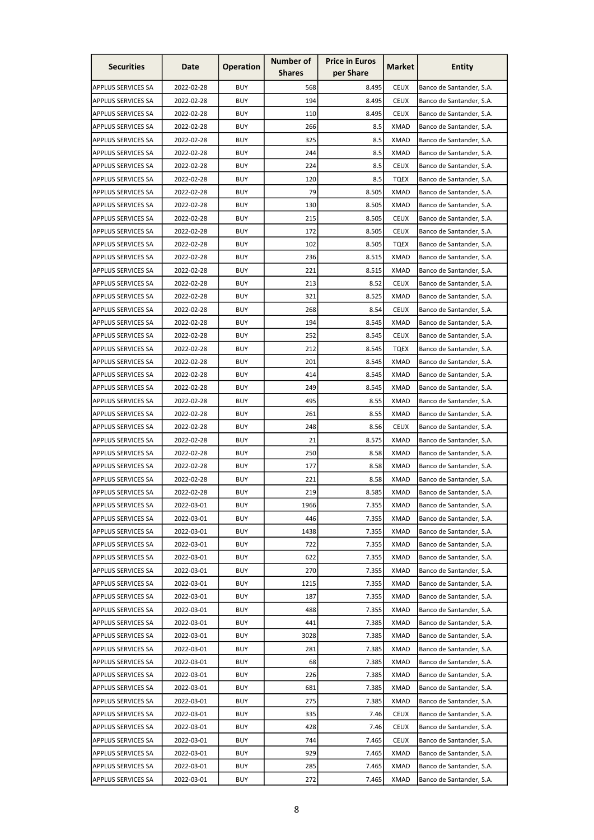| <b>Securities</b>         | Date       | <b>Operation</b> | <b>Number of</b> | <b>Price in Euros</b> | Market      | <b>Entity</b>            |
|---------------------------|------------|------------------|------------------|-----------------------|-------------|--------------------------|
|                           |            |                  | <b>Shares</b>    | per Share             |             |                          |
| APPLUS SERVICES SA        | 2022-02-28 | <b>BUY</b>       | 568              | 8.495                 | <b>CEUX</b> | Banco de Santander, S.A. |
| <b>APPLUS SERVICES SA</b> | 2022-02-28 | <b>BUY</b>       | 194              | 8.495                 | <b>CEUX</b> | Banco de Santander, S.A. |
| <b>APPLUS SERVICES SA</b> | 2022-02-28 | <b>BUY</b>       | 110              | 8.495                 | <b>CEUX</b> | Banco de Santander, S.A. |
| APPLUS SERVICES SA        | 2022-02-28 | <b>BUY</b>       | 266              | 8.5                   | <b>XMAD</b> | Banco de Santander, S.A. |
| <b>APPLUS SERVICES SA</b> | 2022-02-28 | <b>BUY</b>       | 325              | 8.5                   | <b>XMAD</b> | Banco de Santander, S.A. |
| <b>APPLUS SERVICES SA</b> | 2022-02-28 | <b>BUY</b>       | 244              | 8.5                   | <b>XMAD</b> | Banco de Santander, S.A. |
| <b>APPLUS SERVICES SA</b> | 2022-02-28 | <b>BUY</b>       | 224              | 8.5                   | <b>CEUX</b> | Banco de Santander, S.A. |
| <b>APPLUS SERVICES SA</b> | 2022-02-28 | <b>BUY</b>       | 120              | 8.5                   | <b>TQEX</b> | Banco de Santander, S.A. |
| <b>APPLUS SERVICES SA</b> | 2022-02-28 | <b>BUY</b>       | 79               | 8.505                 | <b>XMAD</b> | Banco de Santander, S.A. |
| <b>APPLUS SERVICES SA</b> | 2022-02-28 | <b>BUY</b>       | 130              | 8.505                 | <b>XMAD</b> | Banco de Santander, S.A. |
| <b>APPLUS SERVICES SA</b> | 2022-02-28 | <b>BUY</b>       | 215              | 8.505                 | <b>CEUX</b> | Banco de Santander, S.A. |
| <b>APPLUS SERVICES SA</b> | 2022-02-28 | <b>BUY</b>       | 172              | 8.505                 | <b>CEUX</b> | Banco de Santander, S.A. |
| <b>APPLUS SERVICES SA</b> | 2022-02-28 | <b>BUY</b>       | 102              | 8.505                 | <b>TQEX</b> | Banco de Santander, S.A. |
| <b>APPLUS SERVICES SA</b> | 2022-02-28 | <b>BUY</b>       | 236              | 8.515                 | <b>XMAD</b> | Banco de Santander, S.A. |
| APPLUS SERVICES SA        | 2022-02-28 | <b>BUY</b>       | 221              | 8.515                 | <b>XMAD</b> | Banco de Santander, S.A. |
| <b>APPLUS SERVICES SA</b> | 2022-02-28 | <b>BUY</b>       | 213              | 8.52                  | <b>CEUX</b> | Banco de Santander, S.A. |
| APPLUS SERVICES SA        | 2022-02-28 | <b>BUY</b>       | 321              | 8.525                 | <b>XMAD</b> | Banco de Santander, S.A. |
| APPLUS SERVICES SA        | 2022-02-28 | <b>BUY</b>       | 268              | 8.54                  | <b>CEUX</b> | Banco de Santander, S.A. |
| APPLUS SERVICES SA        | 2022-02-28 | <b>BUY</b>       | 194              | 8.545                 | <b>XMAD</b> | Banco de Santander, S.A. |
| <b>APPLUS SERVICES SA</b> | 2022-02-28 | <b>BUY</b>       | 252              | 8.545                 | <b>CEUX</b> | Banco de Santander, S.A. |
| APPLUS SERVICES SA        | 2022-02-28 | <b>BUY</b>       | 212              | 8.545                 | <b>TQEX</b> | Banco de Santander, S.A. |
| <b>APPLUS SERVICES SA</b> | 2022-02-28 | <b>BUY</b>       | 201              | 8.545                 | <b>XMAD</b> | Banco de Santander, S.A. |
| <b>APPLUS SERVICES SA</b> | 2022-02-28 | <b>BUY</b>       | 414              | 8.545                 | <b>XMAD</b> | Banco de Santander, S.A. |
| <b>APPLUS SERVICES SA</b> | 2022-02-28 | <b>BUY</b>       | 249              | 8.545                 | <b>XMAD</b> |                          |
|                           |            |                  |                  |                       |             | Banco de Santander, S.A. |
| <b>APPLUS SERVICES SA</b> | 2022-02-28 | <b>BUY</b>       | 495              | 8.55                  | XMAD        | Banco de Santander, S.A. |
| <b>APPLUS SERVICES SA</b> | 2022-02-28 | <b>BUY</b>       | 261              | 8.55                  | <b>XMAD</b> | Banco de Santander, S.A. |
| <b>APPLUS SERVICES SA</b> | 2022-02-28 | <b>BUY</b>       | 248              | 8.56                  | <b>CEUX</b> | Banco de Santander, S.A. |
| APPLUS SERVICES SA        | 2022-02-28 | <b>BUY</b>       | 21               | 8.575                 | <b>XMAD</b> | Banco de Santander, S.A. |
| APPLUS SERVICES SA        | 2022-02-28 | <b>BUY</b>       | 250              | 8.58                  | <b>XMAD</b> | Banco de Santander, S.A. |
| <b>APPLUS SERVICES SA</b> | 2022-02-28 | <b>BUY</b>       | 177              | 8.58                  | <b>XMAD</b> | Banco de Santander, S.A. |
| <b>APPLUS SERVICES SA</b> | 2022-02-28 | <b>BUY</b>       | 221              | 8.58                  | <b>XMAD</b> | Banco de Santander, S.A. |
| <b>APPLUS SERVICES SA</b> | 2022-02-28 | <b>BUY</b>       | 219              | 8.585                 | <b>XMAD</b> | Banco de Santander, S.A. |
| APPLUS SERVICES SA        | 2022-03-01 | <b>BUY</b>       | 1966             | 7.355                 | XMAD        | Banco de Santander, S.A. |
| <b>APPLUS SERVICES SA</b> | 2022-03-01 | <b>BUY</b>       | 446              | 7.355                 | <b>XMAD</b> | Banco de Santander, S.A. |
| <b>APPLUS SERVICES SA</b> | 2022-03-01 | <b>BUY</b>       | 1438             | 7.355                 | <b>XMAD</b> | Banco de Santander, S.A. |
| <b>APPLUS SERVICES SA</b> | 2022-03-01 | <b>BUY</b>       | 722              | 7.355                 | <b>XMAD</b> | Banco de Santander, S.A. |
| APPLUS SERVICES SA        | 2022-03-01 | <b>BUY</b>       | 622              | 7.355                 | <b>XMAD</b> | Banco de Santander, S.A. |
| <b>APPLUS SERVICES SA</b> | 2022-03-01 | <b>BUY</b>       | 270              | 7.355                 | <b>XMAD</b> | Banco de Santander, S.A. |
| <b>APPLUS SERVICES SA</b> | 2022-03-01 | <b>BUY</b>       | 1215             | 7.355                 | XMAD        | Banco de Santander, S.A. |
| APPLUS SERVICES SA        | 2022-03-01 | <b>BUY</b>       | 187              | 7.355                 | XMAD        | Banco de Santander, S.A. |
| <b>APPLUS SERVICES SA</b> | 2022-03-01 | <b>BUY</b>       | 488              | 7.355                 | <b>XMAD</b> | Banco de Santander, S.A. |
| <b>APPLUS SERVICES SA</b> | 2022-03-01 | <b>BUY</b>       | 441              | 7.385                 | <b>XMAD</b> | Banco de Santander, S.A. |
| <b>APPLUS SERVICES SA</b> | 2022-03-01 | <b>BUY</b>       | 3028             | 7.385                 | <b>XMAD</b> | Banco de Santander, S.A. |
| <b>APPLUS SERVICES SA</b> | 2022-03-01 | <b>BUY</b>       | 281              | 7.385                 | <b>XMAD</b> | Banco de Santander, S.A. |
| <b>APPLUS SERVICES SA</b> | 2022-03-01 | <b>BUY</b>       | 68               | 7.385                 | <b>XMAD</b> | Banco de Santander, S.A. |
| <b>APPLUS SERVICES SA</b> | 2022-03-01 | <b>BUY</b>       | 226              | 7.385                 | <b>XMAD</b> | Banco de Santander, S.A. |
| <b>APPLUS SERVICES SA</b> | 2022-03-01 | <b>BUY</b>       | 681              | 7.385                 | <b>XMAD</b> | Banco de Santander, S.A. |
| APPLUS SERVICES SA        | 2022-03-01 | <b>BUY</b>       | 275              | 7.385                 | <b>XMAD</b> | Banco de Santander, S.A. |
| <b>APPLUS SERVICES SA</b> | 2022-03-01 | <b>BUY</b>       | 335              | 7.46                  | <b>CEUX</b> | Banco de Santander, S.A. |
| <b>APPLUS SERVICES SA</b> | 2022-03-01 | <b>BUY</b>       | 428              | 7.46                  | <b>CEUX</b> | Banco de Santander, S.A. |
| APPLUS SERVICES SA        | 2022-03-01 | <b>BUY</b>       | 744              | 7.465                 | <b>CEUX</b> | Banco de Santander, S.A. |
| <b>APPLUS SERVICES SA</b> | 2022-03-01 | <b>BUY</b>       | 929              | 7.465                 | <b>XMAD</b> | Banco de Santander, S.A. |
| <b>APPLUS SERVICES SA</b> | 2022-03-01 | <b>BUY</b>       | 285              | 7.465                 | <b>XMAD</b> | Banco de Santander, S.A. |
| APPLUS SERVICES SA        | 2022-03-01 | <b>BUY</b>       | 272              | 7.465                 | <b>XMAD</b> | Banco de Santander, S.A. |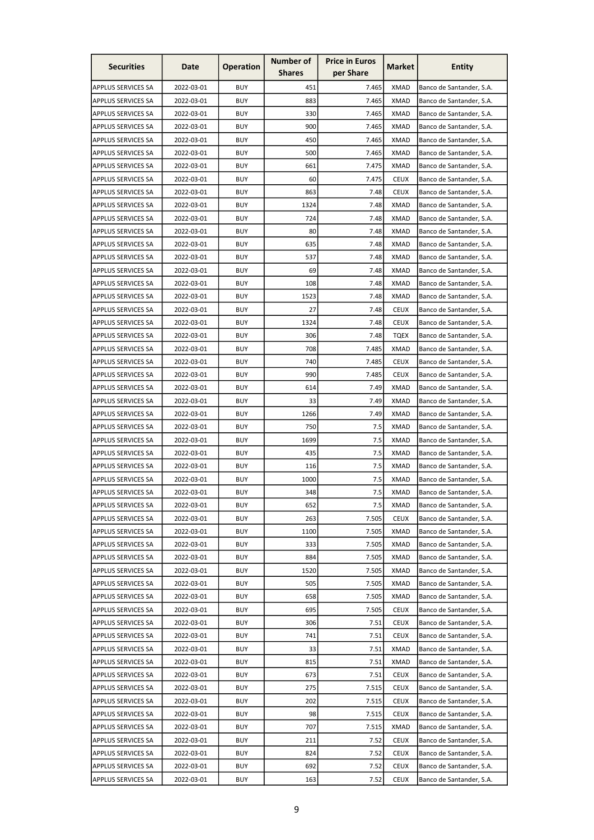| <b>Securities</b>         | Date       | <b>Operation</b> | <b>Number of</b><br><b>Shares</b> | <b>Price in Euros</b><br>per Share | Market      | <b>Entity</b>            |
|---------------------------|------------|------------------|-----------------------------------|------------------------------------|-------------|--------------------------|
| APPLUS SERVICES SA        | 2022-03-01 | <b>BUY</b>       | 451                               | 7.465                              | <b>XMAD</b> | Banco de Santander, S.A. |
| <b>APPLUS SERVICES SA</b> | 2022-03-01 | <b>BUY</b>       | 883                               | 7.465                              | <b>XMAD</b> | Banco de Santander, S.A. |
| <b>APPLUS SERVICES SA</b> | 2022-03-01 | <b>BUY</b>       | 330                               | 7.465                              | XMAD        | Banco de Santander, S.A. |
| APPLUS SERVICES SA        | 2022-03-01 | <b>BUY</b>       | 900                               | 7.465                              | <b>XMAD</b> | Banco de Santander, S.A. |
| <b>APPLUS SERVICES SA</b> | 2022-03-01 | <b>BUY</b>       | 450                               | 7.465                              | <b>XMAD</b> | Banco de Santander, S.A. |
| <b>APPLUS SERVICES SA</b> | 2022-03-01 | <b>BUY</b>       | 500                               | 7.465                              | <b>XMAD</b> | Banco de Santander, S.A. |
| <b>APPLUS SERVICES SA</b> | 2022-03-01 | <b>BUY</b>       | 661                               | 7.475                              | <b>XMAD</b> | Banco de Santander, S.A. |
| <b>APPLUS SERVICES SA</b> | 2022-03-01 | <b>BUY</b>       | 60                                | 7.475                              | <b>CEUX</b> | Banco de Santander, S.A. |
| <b>APPLUS SERVICES SA</b> | 2022-03-01 | <b>BUY</b>       | 863                               | 7.48                               | <b>CEUX</b> | Banco de Santander, S.A. |
| APPLUS SERVICES SA        | 2022-03-01 | <b>BUY</b>       | 1324                              | 7.48                               | <b>XMAD</b> | Banco de Santander, S.A. |
| <b>APPLUS SERVICES SA</b> | 2022-03-01 | <b>BUY</b>       | 724                               | 7.48                               | <b>XMAD</b> | Banco de Santander, S.A. |
| <b>APPLUS SERVICES SA</b> | 2022-03-01 | <b>BUY</b>       | 80                                | 7.48                               | <b>XMAD</b> | Banco de Santander, S.A. |
| <b>APPLUS SERVICES SA</b> | 2022-03-01 | <b>BUY</b>       | 635                               | 7.48                               | <b>XMAD</b> | Banco de Santander, S.A. |
|                           |            |                  |                                   |                                    |             |                          |
| APPLUS SERVICES SA        | 2022-03-01 | <b>BUY</b>       | 537                               | 7.48                               | <b>XMAD</b> | Banco de Santander, S.A. |
| APPLUS SERVICES SA        | 2022-03-01 | <b>BUY</b>       | 69                                | 7.48                               | <b>XMAD</b> | Banco de Santander, S.A. |
| <b>APPLUS SERVICES SA</b> | 2022-03-01 | <b>BUY</b>       | 108                               | 7.48                               | <b>XMAD</b> | Banco de Santander, S.A. |
| APPLUS SERVICES SA        | 2022-03-01 | <b>BUY</b>       | 1523                              | 7.48                               | <b>XMAD</b> | Banco de Santander, S.A. |
| APPLUS SERVICES SA        | 2022-03-01 | <b>BUY</b>       | 27                                | 7.48                               | <b>CEUX</b> | Banco de Santander, S.A. |
| <b>APPLUS SERVICES SA</b> | 2022-03-01 | <b>BUY</b>       | 1324                              | 7.48                               | <b>CEUX</b> | Banco de Santander, S.A. |
| <b>APPLUS SERVICES SA</b> | 2022-03-01 | <b>BUY</b>       | 306                               | 7.48                               | <b>TQEX</b> | Banco de Santander, S.A. |
| APPLUS SERVICES SA        | 2022-03-01 | <b>BUY</b>       | 708                               | 7.485                              | <b>XMAD</b> | Banco de Santander, S.A. |
| <b>APPLUS SERVICES SA</b> | 2022-03-01 | <b>BUY</b>       | 740                               | 7.485                              | <b>CEUX</b> | Banco de Santander, S.A. |
| <b>APPLUS SERVICES SA</b> | 2022-03-01 | <b>BUY</b>       | 990                               | 7.485                              | <b>CEUX</b> | Banco de Santander, S.A. |
| <b>APPLUS SERVICES SA</b> | 2022-03-01 | <b>BUY</b>       | 614                               | 7.49                               | <b>XMAD</b> | Banco de Santander, S.A. |
| APPLUS SERVICES SA        | 2022-03-01 | BUY              | 33                                | 7.49                               | XMAD        | Banco de Santander, S.A. |
| <b>APPLUS SERVICES SA</b> | 2022-03-01 | <b>BUY</b>       | 1266                              | 7.49                               | XMAD        | Banco de Santander, S.A. |
| <b>APPLUS SERVICES SA</b> | 2022-03-01 | <b>BUY</b>       | 750                               | 7.5                                | <b>XMAD</b> | Banco de Santander, S.A. |
| APPLUS SERVICES SA        | 2022-03-01 | <b>BUY</b>       | 1699                              | 7.5                                | <b>XMAD</b> | Banco de Santander, S.A. |
| APPLUS SERVICES SA        | 2022-03-01 | <b>BUY</b>       | 435                               | 7.5                                | <b>XMAD</b> | Banco de Santander, S.A. |
| <b>APPLUS SERVICES SA</b> | 2022-03-01 | <b>BUY</b>       | 116                               | 7.5                                | <b>XMAD</b> | Banco de Santander, S.A. |
| APPLUS SERVICES SA        | 2022-03-01 | <b>BUY</b>       | 1000                              | 7.5                                | <b>XMAD</b> | Banco de Santander, S.A. |
| <b>APPLUS SERVICES SA</b> | 2022-03-01 | <b>BUY</b>       | 348                               | 7.5                                | <b>XMAD</b> | Banco de Santander, S.A. |
| APPLUS SERVICES SA        | 2022-03-01 | <b>BUY</b>       | 652                               | 7.5                                | XMAD        | Banco de Santander, S.A. |
| <b>APPLUS SERVICES SA</b> | 2022-03-01 | <b>BUY</b>       | 263                               | 7.505                              | <b>CEUX</b> | Banco de Santander, S.A. |
| <b>APPLUS SERVICES SA</b> | 2022-03-01 | <b>BUY</b>       | 1100                              | 7.505                              | <b>XMAD</b> | Banco de Santander, S.A. |
| <b>APPLUS SERVICES SA</b> | 2022-03-01 | <b>BUY</b>       | 333                               | 7.505                              | <b>XMAD</b> | Banco de Santander, S.A. |
| APPLUS SERVICES SA        | 2022-03-01 | <b>BUY</b>       | 884                               | 7.505                              | <b>XMAD</b> | Banco de Santander, S.A. |
| <b>APPLUS SERVICES SA</b> | 2022-03-01 | <b>BUY</b>       | 1520                              | 7.505                              | <b>XMAD</b> | Banco de Santander, S.A. |
| <b>APPLUS SERVICES SA</b> | 2022-03-01 | <b>BUY</b>       | 505                               | 7.505                              | <b>XMAD</b> | Banco de Santander, S.A. |
| APPLUS SERVICES SA        | 2022-03-01 | <b>BUY</b>       | 658                               | 7.505                              | <b>XMAD</b> | Banco de Santander, S.A. |
| <b>APPLUS SERVICES SA</b> | 2022-03-01 | <b>BUY</b>       | 695                               | 7.505                              | <b>CEUX</b> | Banco de Santander, S.A. |
| APPLUS SERVICES SA        | 2022-03-01 | <b>BUY</b>       | 306                               | 7.51                               | <b>CEUX</b> | Banco de Santander, S.A. |
| <b>APPLUS SERVICES SA</b> | 2022-03-01 | <b>BUY</b>       | 741                               | 7.51                               | <b>CEUX</b> | Banco de Santander, S.A. |
| <b>APPLUS SERVICES SA</b> | 2022-03-01 | <b>BUY</b>       | 33                                | 7.51                               | <b>XMAD</b> | Banco de Santander, S.A. |
| <b>APPLUS SERVICES SA</b> | 2022-03-01 | <b>BUY</b>       | 815                               | 7.51                               | <b>XMAD</b> | Banco de Santander, S.A. |
| <b>APPLUS SERVICES SA</b> | 2022-03-01 | <b>BUY</b>       | 673                               | 7.51                               | <b>CEUX</b> | Banco de Santander, S.A. |
| <b>APPLUS SERVICES SA</b> | 2022-03-01 | <b>BUY</b>       | 275                               | 7.515                              | <b>CEUX</b> | Banco de Santander, S.A. |
| APPLUS SERVICES SA        | 2022-03-01 | <b>BUY</b>       | 202                               | 7.515                              | <b>CEUX</b> | Banco de Santander, S.A. |
| <b>APPLUS SERVICES SA</b> | 2022-03-01 | <b>BUY</b>       | 98                                | 7.515                              | <b>CEUX</b> | Banco de Santander, S.A. |
| <b>APPLUS SERVICES SA</b> | 2022-03-01 | <b>BUY</b>       | 707                               | 7.515                              | <b>XMAD</b> | Banco de Santander, S.A. |
| APPLUS SERVICES SA        | 2022-03-01 | <b>BUY</b>       | 211                               | 7.52                               | <b>CEUX</b> | Banco de Santander, S.A. |
| <b>APPLUS SERVICES SA</b> | 2022-03-01 | <b>BUY</b>       | 824                               | 7.52                               | <b>CEUX</b> | Banco de Santander, S.A. |
| <b>APPLUS SERVICES SA</b> | 2022-03-01 | <b>BUY</b>       | 692                               | 7.52                               | <b>CEUX</b> | Banco de Santander, S.A. |
| APPLUS SERVICES SA        | 2022-03-01 | <b>BUY</b>       | 163                               | 7.52                               | <b>CEUX</b> | Banco de Santander, S.A. |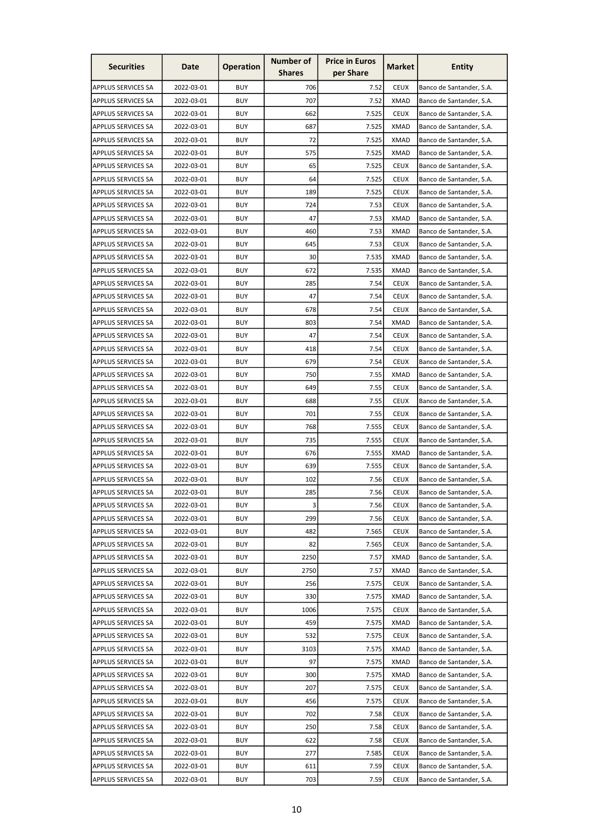| <b>Securities</b>         | Date       | <b>Operation</b> | Number of     | <b>Price in Euros</b><br>per Share | Market      | <b>Entity</b>            |
|---------------------------|------------|------------------|---------------|------------------------------------|-------------|--------------------------|
|                           |            |                  | <b>Shares</b> |                                    |             |                          |
| APPLUS SERVICES SA        | 2022-03-01 | <b>BUY</b>       | 706           | 7.52                               | <b>CEUX</b> | Banco de Santander, S.A. |
| <b>APPLUS SERVICES SA</b> | 2022-03-01 | <b>BUY</b>       | 707           | 7.52                               | <b>XMAD</b> | Banco de Santander, S.A. |
| APPLUS SERVICES SA        | 2022-03-01 | <b>BUY</b>       | 662           | 7.525                              | <b>CEUX</b> | Banco de Santander, S.A. |
| APPLUS SERVICES SA        | 2022-03-01 | <b>BUY</b>       | 687           | 7.525                              | <b>XMAD</b> | Banco de Santander, S.A. |
| <b>APPLUS SERVICES SA</b> | 2022-03-01 | <b>BUY</b>       | 72            | 7.525                              | <b>XMAD</b> | Banco de Santander, S.A. |
| <b>APPLUS SERVICES SA</b> | 2022-03-01 | <b>BUY</b>       | 575           | 7.525                              | <b>XMAD</b> | Banco de Santander, S.A. |
| <b>APPLUS SERVICES SA</b> | 2022-03-01 | <b>BUY</b>       | 65            | 7.525                              | <b>CEUX</b> | Banco de Santander, S.A. |
| APPLUS SERVICES SA        | 2022-03-01 | <b>BUY</b>       | 64            | 7.525                              | <b>CEUX</b> | Banco de Santander, S.A. |
| <b>APPLUS SERVICES SA</b> | 2022-03-01 | <b>BUY</b>       | 189           | 7.525                              | <b>CEUX</b> | Banco de Santander, S.A. |
| APPLUS SERVICES SA        | 2022-03-01 | <b>BUY</b>       | 724           | 7.53                               | <b>CEUX</b> | Banco de Santander, S.A. |
| <b>APPLUS SERVICES SA</b> | 2022-03-01 | <b>BUY</b>       | 47            | 7.53                               | <b>XMAD</b> | Banco de Santander, S.A. |
| <b>APPLUS SERVICES SA</b> | 2022-03-01 | <b>BUY</b>       | 460           | 7.53                               | <b>XMAD</b> | Banco de Santander, S.A. |
| <b>APPLUS SERVICES SA</b> | 2022-03-01 | <b>BUY</b>       | 645           | 7.53                               | <b>CEUX</b> | Banco de Santander, S.A. |
| APPLUS SERVICES SA        | 2022-03-01 | <b>BUY</b>       | 30            | 7.535                              | <b>XMAD</b> | Banco de Santander, S.A. |
| APPLUS SERVICES SA        | 2022-03-01 | <b>BUY</b>       | 672           | 7.535                              | <b>XMAD</b> | Banco de Santander, S.A. |
| <b>APPLUS SERVICES SA</b> | 2022-03-01 | <b>BUY</b>       | 285           | 7.54                               | <b>CEUX</b> | Banco de Santander, S.A. |
| APPLUS SERVICES SA        | 2022-03-01 | <b>BUY</b>       | 47            | 7.54                               | <b>CEUX</b> | Banco de Santander, S.A. |
| APPLUS SERVICES SA        | 2022-03-01 | <b>BUY</b>       | 678           | 7.54                               | <b>CEUX</b> | Banco de Santander, S.A. |
| APPLUS SERVICES SA        | 2022-03-01 | <b>BUY</b>       | 803           | 7.54                               | XMAD        | Banco de Santander, S.A. |
| <b>APPLUS SERVICES SA</b> | 2022-03-01 | <b>BUY</b>       | 47            | 7.54                               | <b>CEUX</b> | Banco de Santander, S.A. |
| APPLUS SERVICES SA        | 2022-03-01 | <b>BUY</b>       | 418           | 7.54                               | <b>CEUX</b> | Banco de Santander, S.A. |
| <b>APPLUS SERVICES SA</b> | 2022-03-01 | <b>BUY</b>       | 679           | 7.54                               | <b>CEUX</b> | Banco de Santander, S.A. |
| <b>APPLUS SERVICES SA</b> | 2022-03-01 | <b>BUY</b>       | 750           | 7.55                               | <b>XMAD</b> | Banco de Santander, S.A. |
| <b>APPLUS SERVICES SA</b> | 2022-03-01 | <b>BUY</b>       | 649           | 7.55                               | <b>CEUX</b> | Banco de Santander, S.A. |
| APPLUS SERVICES SA        | 2022-03-01 | <b>BUY</b>       | 688           | 7.55                               | <b>CEUX</b> | Banco de Santander, S.A. |
| <b>APPLUS SERVICES SA</b> | 2022-03-01 | <b>BUY</b>       | 701           | 7.55                               | <b>CEUX</b> | Banco de Santander, S.A. |
| <b>APPLUS SERVICES SA</b> | 2022-03-01 | <b>BUY</b>       | 768           | 7.555                              | <b>CEUX</b> | Banco de Santander, S.A. |
| <b>APPLUS SERVICES SA</b> | 2022-03-01 | <b>BUY</b>       | 735           | 7.555                              | <b>CEUX</b> | Banco de Santander, S.A. |
| <b>APPLUS SERVICES SA</b> | 2022-03-01 | <b>BUY</b>       | 676           | 7.555                              | <b>XMAD</b> | Banco de Santander, S.A. |
| <b>APPLUS SERVICES SA</b> | 2022-03-01 | <b>BUY</b>       | 639           | 7.555                              | <b>CEUX</b> | Banco de Santander, S.A. |
| APPLUS SERVICES SA        | 2022-03-01 | <b>BUY</b>       | 102           | 7.56                               | <b>CEUX</b> | Banco de Santander, S.A. |
| <b>APPLUS SERVICES SA</b> | 2022-03-01 | <b>BUY</b>       | 285           | 7.56                               | <b>CEUX</b> | Banco de Santander, S.A. |
| APPLUS SERVICES SA        | 2022-03-01 | <b>BUY</b>       | $\vert$ 3     | 7.56                               | <b>CEUX</b> | Banco de Santander, S.A. |
| <b>APPLUS SERVICES SA</b> | 2022-03-01 | <b>BUY</b>       | 299           | 7.56                               | <b>CEUX</b> | Banco de Santander, S.A. |
| <b>APPLUS SERVICES SA</b> | 2022-03-01 | <b>BUY</b>       | 482           | 7.565                              | <b>CEUX</b> | Banco de Santander, S.A. |
|                           | 2022-03-01 | <b>BUY</b>       | 82            | 7.565                              | <b>CEUX</b> | Banco de Santander, S.A. |
| <b>APPLUS SERVICES SA</b> |            |                  |               |                                    |             |                          |
| APPLUS SERVICES SA        | 2022-03-01 | <b>BUY</b>       | 2250          | 7.57                               | XMAD        | Banco de Santander, S.A. |
| <b>APPLUS SERVICES SA</b> | 2022-03-01 | <b>BUY</b>       | 2750          | 7.57                               | <b>XMAD</b> | Banco de Santander, S.A. |
| <b>APPLUS SERVICES SA</b> | 2022-03-01 | <b>BUY</b>       | 256           | 7.575                              | <b>CEUX</b> | Banco de Santander, S.A. |
| <b>APPLUS SERVICES SA</b> | 2022-03-01 | <b>BUY</b>       | 330           | 7.575                              | <b>XMAD</b> | Banco de Santander, S.A. |
| <b>APPLUS SERVICES SA</b> | 2022-03-01 | <b>BUY</b>       | 1006          | 7.575                              | <b>CEUX</b> | Banco de Santander, S.A. |
| <b>APPLUS SERVICES SA</b> | 2022-03-01 | <b>BUY</b>       | 459           | 7.575                              | <b>XMAD</b> | Banco de Santander, S.A. |
| <b>APPLUS SERVICES SA</b> | 2022-03-01 | <b>BUY</b>       | 532           | 7.575                              | <b>CEUX</b> | Banco de Santander, S.A. |
| <b>APPLUS SERVICES SA</b> | 2022-03-01 | <b>BUY</b>       | 3103          | 7.575                              | <b>XMAD</b> | Banco de Santander, S.A. |
| <b>APPLUS SERVICES SA</b> | 2022-03-01 | <b>BUY</b>       | 97            | 7.575                              | <b>XMAD</b> | Banco de Santander, S.A. |
| APPLUS SERVICES SA        | 2022-03-01 | <b>BUY</b>       | 300           | 7.575                              | <b>XMAD</b> | Banco de Santander, S.A. |
| <b>APPLUS SERVICES SA</b> | 2022-03-01 | <b>BUY</b>       | 207           | 7.575                              | <b>CEUX</b> | Banco de Santander, S.A. |
| APPLUS SERVICES SA        | 2022-03-01 | <b>BUY</b>       | 456           | 7.575                              | <b>CEUX</b> | Banco de Santander, S.A. |
| <b>APPLUS SERVICES SA</b> | 2022-03-01 | <b>BUY</b>       | 702           | 7.58                               | <b>CEUX</b> | Banco de Santander, S.A. |
| <b>APPLUS SERVICES SA</b> | 2022-03-01 | <b>BUY</b>       | 250           | 7.58                               | <b>CEUX</b> | Banco de Santander, S.A. |
| APPLUS SERVICES SA        | 2022-03-01 | <b>BUY</b>       | 622           | 7.58                               | <b>CEUX</b> | Banco de Santander, S.A. |
| <b>APPLUS SERVICES SA</b> | 2022-03-01 | <b>BUY</b>       | 277           | 7.585                              | <b>CEUX</b> | Banco de Santander, S.A. |
| <b>APPLUS SERVICES SA</b> | 2022-03-01 | <b>BUY</b>       | 611           | 7.59                               | <b>CEUX</b> | Banco de Santander, S.A. |
| APPLUS SERVICES SA        | 2022-03-01 | <b>BUY</b>       | 703           | 7.59                               | <b>CEUX</b> | Banco de Santander, S.A. |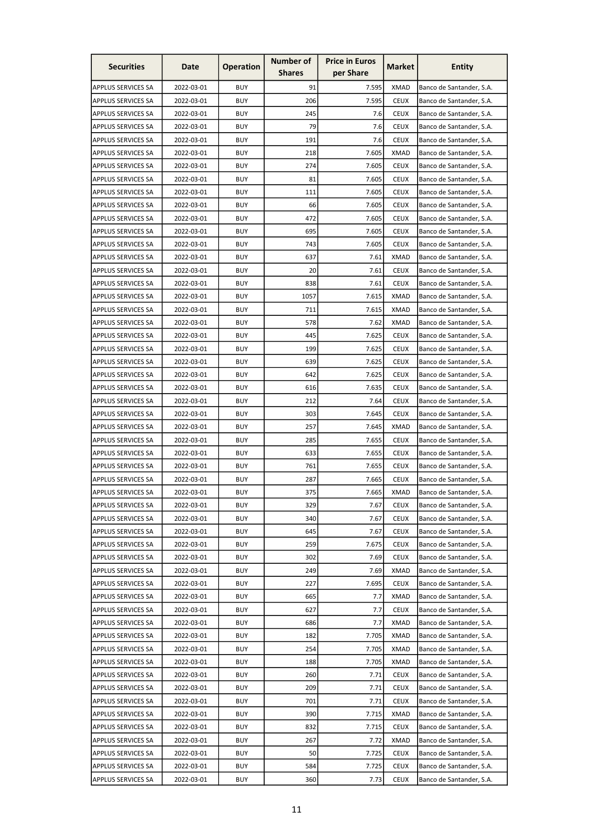| <b>Securities</b>         | Date       | <b>Operation</b> | Number of     | <b>Price in Euros</b> | <b>Market</b> | <b>Entity</b>            |
|---------------------------|------------|------------------|---------------|-----------------------|---------------|--------------------------|
|                           |            |                  | <b>Shares</b> | per Share             |               |                          |
| APPLUS SERVICES SA        | 2022-03-01 | <b>BUY</b>       | 91            | 7.595                 | <b>XMAD</b>   | Banco de Santander, S.A. |
| <b>APPLUS SERVICES SA</b> | 2022-03-01 | <b>BUY</b>       | 206           | 7.595                 | <b>CEUX</b>   | Banco de Santander, S.A. |
| APPLUS SERVICES SA        | 2022-03-01 | <b>BUY</b>       | 245           | 7.6                   | <b>CEUX</b>   | Banco de Santander, S.A. |
| APPLUS SERVICES SA        | 2022-03-01 | <b>BUY</b>       | 79            | 7.6                   | <b>CEUX</b>   | Banco de Santander, S.A. |
| <b>APPLUS SERVICES SA</b> | 2022-03-01 | <b>BUY</b>       | 191           | 7.6                   | <b>CEUX</b>   | Banco de Santander, S.A. |
| <b>APPLUS SERVICES SA</b> | 2022-03-01 | <b>BUY</b>       | 218           | 7.605                 | <b>XMAD</b>   | Banco de Santander, S.A. |
| <b>APPLUS SERVICES SA</b> | 2022-03-01 | <b>BUY</b>       | 274           | 7.605                 | <b>CEUX</b>   | Banco de Santander, S.A. |
| APPLUS SERVICES SA        | 2022-03-01 | <b>BUY</b>       | 81            | 7.605                 | <b>CEUX</b>   | Banco de Santander, S.A. |
| <b>APPLUS SERVICES SA</b> | 2022-03-01 | <b>BUY</b>       | 111           | 7.605                 | <b>CEUX</b>   | Banco de Santander, S.A. |
| APPLUS SERVICES SA        | 2022-03-01 | <b>BUY</b>       | 66            | 7.605                 | <b>CEUX</b>   | Banco de Santander, S.A. |
| <b>APPLUS SERVICES SA</b> | 2022-03-01 | <b>BUY</b>       | 472           | 7.605                 | <b>CEUX</b>   | Banco de Santander, S.A. |
| <b>APPLUS SERVICES SA</b> | 2022-03-01 | <b>BUY</b>       | 695           | 7.605                 | <b>CEUX</b>   | Banco de Santander, S.A. |
| <b>APPLUS SERVICES SA</b> | 2022-03-01 | <b>BUY</b>       | 743           | 7.605                 | <b>CEUX</b>   | Banco de Santander, S.A. |
| APPLUS SERVICES SA        | 2022-03-01 | <b>BUY</b>       | 637           | 7.61                  | <b>XMAD</b>   | Banco de Santander, S.A. |
| APPLUS SERVICES SA        | 2022-03-01 | <b>BUY</b>       | 20            | 7.61                  | <b>CEUX</b>   | Banco de Santander, S.A. |
| <b>APPLUS SERVICES SA</b> | 2022-03-01 | <b>BUY</b>       | 838           | 7.61                  | <b>CEUX</b>   | Banco de Santander, S.A. |
| APPLUS SERVICES SA        | 2022-03-01 | <b>BUY</b>       | 1057          | 7.615                 | <b>XMAD</b>   | Banco de Santander, S.A. |
| APPLUS SERVICES SA        | 2022-03-01 | <b>BUY</b>       | 711           | 7.615                 | <b>XMAD</b>   | Banco de Santander, S.A. |
| <b>APPLUS SERVICES SA</b> | 2022-03-01 | <b>BUY</b>       | 578           | 7.62                  | XMAD          | Banco de Santander, S.A. |
| <b>APPLUS SERVICES SA</b> | 2022-03-01 | <b>BUY</b>       | 445           | 7.625                 | <b>CEUX</b>   | Banco de Santander, S.A. |
| APPLUS SERVICES SA        | 2022-03-01 | <b>BUY</b>       | 199           | 7.625                 | <b>CEUX</b>   | Banco de Santander, S.A. |
| <b>APPLUS SERVICES SA</b> | 2022-03-01 | <b>BUY</b>       | 639           | 7.625                 | <b>CEUX</b>   | Banco de Santander, S.A. |
| <b>APPLUS SERVICES SA</b> | 2022-03-01 | <b>BUY</b>       | 642           | 7.625                 | <b>CEUX</b>   | Banco de Santander, S.A. |
| <b>APPLUS SERVICES SA</b> | 2022-03-01 | <b>BUY</b>       | 616           | 7.635                 | <b>CEUX</b>   | Banco de Santander, S.A. |
| APPLUS SERVICES SA        | 2022-03-01 | <b>BUY</b>       | 212           | 7.64                  | <b>CEUX</b>   | Banco de Santander, S.A. |
| <b>APPLUS SERVICES SA</b> | 2022-03-01 | <b>BUY</b>       | 303           | 7.645                 | <b>CEUX</b>   | Banco de Santander, S.A. |
| <b>APPLUS SERVICES SA</b> | 2022-03-01 | <b>BUY</b>       | 257           | 7.645                 | <b>XMAD</b>   | Banco de Santander, S.A. |
| APPLUS SERVICES SA        | 2022-03-01 | <b>BUY</b>       | 285           | 7.655                 | <b>CEUX</b>   | Banco de Santander, S.A. |
| <b>APPLUS SERVICES SA</b> | 2022-03-01 | <b>BUY</b>       | 633           | 7.655                 | <b>CEUX</b>   | Banco de Santander, S.A. |
| <b>APPLUS SERVICES SA</b> | 2022-03-01 | <b>BUY</b>       | 761           | 7.655                 | <b>CEUX</b>   | Banco de Santander, S.A. |
| APPLUS SERVICES SA        | 2022-03-01 | <b>BUY</b>       | 287           | 7.665                 | <b>CEUX</b>   | Banco de Santander, S.A. |
| <b>APPLUS SERVICES SA</b> | 2022-03-01 | <b>BUY</b>       | 375           | 7.665                 | <b>XMAD</b>   | Banco de Santander, S.A. |
| <b>APPLUS SERVICES SA</b> | 2022-03-01 | <b>BUY</b>       | 329           | 7.67                  | <b>CEUX</b>   | Banco de Santander, S.A. |
| <b>APPLUS SERVICES SA</b> | 2022-03-01 | <b>BUY</b>       | 340           | 7.67                  | <b>CEUX</b>   | Banco de Santander, S.A. |
| <b>APPLUS SERVICES SA</b> | 2022-03-01 | <b>BUY</b>       | 645           | 7.67                  | <b>CEUX</b>   | Banco de Santander, S.A. |
| <b>APPLUS SERVICES SA</b> | 2022-03-01 | <b>BUY</b>       | 259           | 7.675                 | <b>CEUX</b>   | Banco de Santander, S.A. |
| APPLUS SERVICES SA        | 2022-03-01 | <b>BUY</b>       | 302           | 7.69                  | <b>CEUX</b>   | Banco de Santander, S.A. |
| <b>APPLUS SERVICES SA</b> | 2022-03-01 | <b>BUY</b>       | 249           | 7.69                  | <b>XMAD</b>   | Banco de Santander, S.A. |
| <b>APPLUS SERVICES SA</b> | 2022-03-01 | <b>BUY</b>       | 227           | 7.695                 | <b>CEUX</b>   | Banco de Santander, S.A. |
| <b>APPLUS SERVICES SA</b> | 2022-03-01 | <b>BUY</b>       | 665           | 7.7                   | <b>XMAD</b>   | Banco de Santander, S.A. |
| <b>APPLUS SERVICES SA</b> | 2022-03-01 | <b>BUY</b>       | 627           | 7.7                   | <b>CEUX</b>   | Banco de Santander, S.A. |
| <b>APPLUS SERVICES SA</b> | 2022-03-01 | <b>BUY</b>       | 686           | 7.7                   | <b>XMAD</b>   | Banco de Santander, S.A. |
| <b>APPLUS SERVICES SA</b> | 2022-03-01 | <b>BUY</b>       | 182           | 7.705                 | <b>XMAD</b>   | Banco de Santander, S.A. |
| <b>APPLUS SERVICES SA</b> | 2022-03-01 | <b>BUY</b>       | 254           | 7.705                 | <b>XMAD</b>   | Banco de Santander, S.A. |
| <b>APPLUS SERVICES SA</b> | 2022-03-01 | <b>BUY</b>       | 188           | 7.705                 | <b>XMAD</b>   | Banco de Santander, S.A. |
| APPLUS SERVICES SA        | 2022-03-01 | <b>BUY</b>       | 260           | 7.71                  | <b>CEUX</b>   | Banco de Santander, S.A. |
| <b>APPLUS SERVICES SA</b> | 2022-03-01 | <b>BUY</b>       | 209           | 7.71                  | <b>CEUX</b>   | Banco de Santander, S.A. |
| APPLUS SERVICES SA        | 2022-03-01 | <b>BUY</b>       | 701           | 7.71                  | <b>CEUX</b>   | Banco de Santander, S.A. |
| <b>APPLUS SERVICES SA</b> | 2022-03-01 | <b>BUY</b>       | 390           | 7.715                 | <b>XMAD</b>   | Banco de Santander, S.A. |
| <b>APPLUS SERVICES SA</b> | 2022-03-01 | <b>BUY</b>       | 832           | 7.715                 | <b>CEUX</b>   | Banco de Santander, S.A. |
| APPLUS SERVICES SA        | 2022-03-01 | <b>BUY</b>       | 267           | 7.72                  | <b>XMAD</b>   | Banco de Santander, S.A. |
| <b>APPLUS SERVICES SA</b> | 2022-03-01 | <b>BUY</b>       | 50            | 7.725                 | <b>CEUX</b>   | Banco de Santander, S.A. |
| APPLUS SERVICES SA        | 2022-03-01 | <b>BUY</b>       | 584           | 7.725                 | <b>CEUX</b>   | Banco de Santander, S.A. |
| APPLUS SERVICES SA        | 2022-03-01 | <b>BUY</b>       | 360           | 7.73                  | <b>CEUX</b>   | Banco de Santander, S.A. |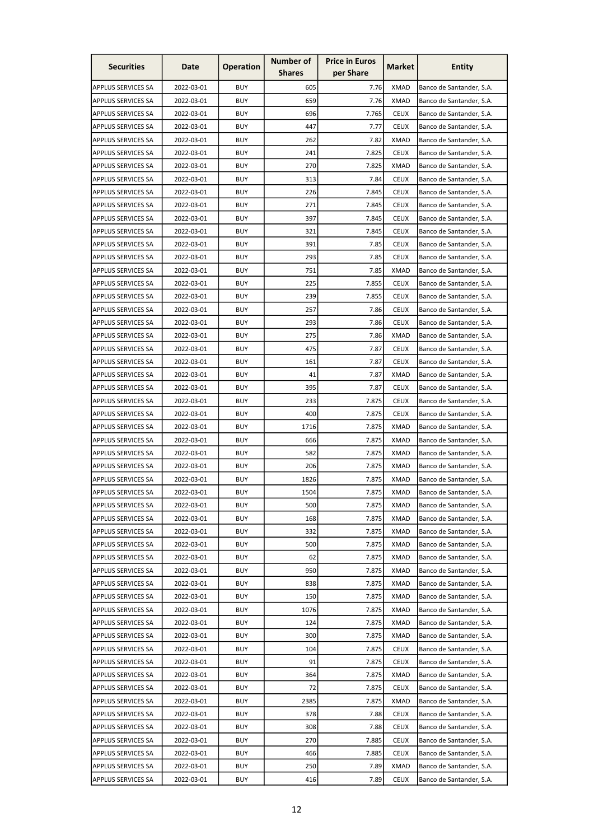| <b>Securities</b>         | Date       | <b>Operation</b> | <b>Number of</b><br><b>Shares</b> | <b>Price in Euros</b><br>per Share | Market      | <b>Entity</b>            |
|---------------------------|------------|------------------|-----------------------------------|------------------------------------|-------------|--------------------------|
|                           |            |                  |                                   |                                    |             |                          |
| APPLUS SERVICES SA        | 2022-03-01 | <b>BUY</b>       | 605                               | 7.76                               | <b>XMAD</b> | Banco de Santander, S.A. |
| <b>APPLUS SERVICES SA</b> | 2022-03-01 | <b>BUY</b>       | 659                               | 7.76                               | <b>XMAD</b> | Banco de Santander, S.A. |
| <b>APPLUS SERVICES SA</b> | 2022-03-01 | <b>BUY</b>       | 696                               | 7.765                              | <b>CEUX</b> | Banco de Santander, S.A. |
| APPLUS SERVICES SA        | 2022-03-01 | <b>BUY</b>       | 447                               | 7.77                               | <b>CEUX</b> | Banco de Santander, S.A. |
| <b>APPLUS SERVICES SA</b> | 2022-03-01 | <b>BUY</b>       | 262                               | 7.82                               | <b>XMAD</b> | Banco de Santander, S.A. |
| <b>APPLUS SERVICES SA</b> | 2022-03-01 | <b>BUY</b>       | 241                               | 7.825                              | <b>CEUX</b> | Banco de Santander, S.A. |
| <b>APPLUS SERVICES SA</b> | 2022-03-01 | <b>BUY</b>       | 270                               | 7.825                              | <b>XMAD</b> | Banco de Santander, S.A. |
| <b>APPLUS SERVICES SA</b> | 2022-03-01 | <b>BUY</b>       | 313                               | 7.84                               | <b>CEUX</b> | Banco de Santander, S.A. |
| <b>APPLUS SERVICES SA</b> | 2022-03-01 | <b>BUY</b>       | 226                               | 7.845                              | <b>CEUX</b> | Banco de Santander, S.A. |
| APPLUS SERVICES SA        | 2022-03-01 | <b>BUY</b>       | 271                               | 7.845                              | <b>CEUX</b> | Banco de Santander, S.A. |
| <b>APPLUS SERVICES SA</b> | 2022-03-01 | <b>BUY</b>       | 397                               | 7.845                              | <b>CEUX</b> | Banco de Santander, S.A. |
| <b>APPLUS SERVICES SA</b> | 2022-03-01 | <b>BUY</b>       | 321                               | 7.845                              | <b>CEUX</b> | Banco de Santander, S.A. |
| <b>APPLUS SERVICES SA</b> | 2022-03-01 | <b>BUY</b>       | 391                               | 7.85                               | <b>CEUX</b> | Banco de Santander, S.A. |
| APPLUS SERVICES SA        | 2022-03-01 | <b>BUY</b>       | 293                               | 7.85                               | <b>CEUX</b> | Banco de Santander, S.A. |
| APPLUS SERVICES SA        | 2022-03-01 | <b>BUY</b>       | 751                               | 7.85                               | <b>XMAD</b> | Banco de Santander, S.A. |
| <b>APPLUS SERVICES SA</b> | 2022-03-01 | <b>BUY</b>       | 225                               | 7.855                              | <b>CEUX</b> | Banco de Santander, S.A. |
| APPLUS SERVICES SA        | 2022-03-01 | <b>BUY</b>       | 239                               | 7.855                              | <b>CEUX</b> | Banco de Santander, S.A. |
| APPLUS SERVICES SA        | 2022-03-01 | <b>BUY</b>       | 257                               | 7.86                               | <b>CEUX</b> | Banco de Santander, S.A. |
| <b>APPLUS SERVICES SA</b> | 2022-03-01 | <b>BUY</b>       | 293                               | 7.86                               | <b>CEUX</b> | Banco de Santander, S.A. |
| <b>APPLUS SERVICES SA</b> | 2022-03-01 | <b>BUY</b>       | 275                               | 7.86                               | <b>XMAD</b> | Banco de Santander, S.A. |
| APPLUS SERVICES SA        | 2022-03-01 | <b>BUY</b>       | 475                               | 7.87                               | <b>CEUX</b> | Banco de Santander, S.A. |
| <b>APPLUS SERVICES SA</b> | 2022-03-01 | <b>BUY</b>       | 161                               | 7.87                               | <b>CEUX</b> | Banco de Santander, S.A. |
| <b>APPLUS SERVICES SA</b> | 2022-03-01 | <b>BUY</b>       | 41                                | 7.87                               | <b>XMAD</b> | Banco de Santander, S.A. |
| <b>APPLUS SERVICES SA</b> | 2022-03-01 | <b>BUY</b>       | 395                               | 7.87                               | <b>CEUX</b> | Banco de Santander, S.A. |
| APPLUS SERVICES SA        | 2022-03-01 | <b>BUY</b>       | 233                               | 7.875                              | <b>CEUX</b> | Banco de Santander, S.A. |
| <b>APPLUS SERVICES SA</b> | 2022-03-01 | <b>BUY</b>       | 400                               | 7.875                              | <b>CEUX</b> | Banco de Santander, S.A. |
| <b>APPLUS SERVICES SA</b> | 2022-03-01 | <b>BUY</b>       | 1716                              | 7.875                              | <b>XMAD</b> | Banco de Santander, S.A. |
| APPLUS SERVICES SA        | 2022-03-01 | <b>BUY</b>       | 666                               | 7.875                              | XMAD        | Banco de Santander, S.A. |
| APPLUS SERVICES SA        | 2022-03-01 | <b>BUY</b>       | 582                               | 7.875                              | <b>XMAD</b> | Banco de Santander, S.A. |
|                           | 2022-03-01 | <b>BUY</b>       | 206                               | 7.875                              | <b>XMAD</b> | Banco de Santander, S.A. |
| <b>APPLUS SERVICES SA</b> |            |                  |                                   |                                    |             |                          |
| APPLUS SERVICES SA        | 2022-03-01 | <b>BUY</b>       | 1826                              | 7.875                              | <b>XMAD</b> | Banco de Santander, S.A. |
| <b>APPLUS SERVICES SA</b> | 2022-03-01 | <b>BUY</b>       | 1504                              | 7.875                              | <b>XMAD</b> | Banco de Santander, S.A. |
| <b>APPLUS SERVICES SA</b> | 2022-03-01 | <b>BUY</b>       | 500                               | 7.875                              | XMAD        | Banco de Santander, S.A. |
| <b>APPLUS SERVICES SA</b> | 2022-03-01 | <b>BUY</b>       | 168                               | 7.875                              | <b>XMAD</b> | Banco de Santander, S.A. |
| <b>APPLUS SERVICES SA</b> | 2022-03-01 | <b>BUY</b>       | 332                               | 7.875                              | <b>XMAD</b> | Banco de Santander, S.A. |
| <b>APPLUS SERVICES SA</b> | 2022-03-01 | <b>BUY</b>       | 500                               | 7.875                              | <b>XMAD</b> | Banco de Santander, S.A. |
| APPLUS SERVICES SA        | 2022-03-01 | <b>BUY</b>       | 62                                | 7.875                              | <b>XMAD</b> | Banco de Santander, S.A. |
| <b>APPLUS SERVICES SA</b> | 2022-03-01 | <b>BUY</b>       | 950                               | 7.875                              | <b>XMAD</b> | Banco de Santander, S.A. |
| <b>APPLUS SERVICES SA</b> | 2022-03-01 | <b>BUY</b>       | 838                               | 7.875                              | <b>XMAD</b> | Banco de Santander, S.A. |
| APPLUS SERVICES SA        | 2022-03-01 | <b>BUY</b>       | 150                               | 7.875                              | XMAD        | Banco de Santander, S.A. |
| <b>APPLUS SERVICES SA</b> | 2022-03-01 | <b>BUY</b>       | 1076                              | 7.875                              | <b>XMAD</b> | Banco de Santander, S.A. |
| <b>APPLUS SERVICES SA</b> | 2022-03-01 | <b>BUY</b>       | 124                               | 7.875                              | <b>XMAD</b> | Banco de Santander, S.A. |
| <b>APPLUS SERVICES SA</b> | 2022-03-01 | <b>BUY</b>       | 300                               | 7.875                              | <b>XMAD</b> | Banco de Santander, S.A. |
| <b>APPLUS SERVICES SA</b> | 2022-03-01 | <b>BUY</b>       | 104                               | 7.875                              | <b>CEUX</b> | Banco de Santander, S.A. |
| <b>APPLUS SERVICES SA</b> | 2022-03-01 | <b>BUY</b>       | 91                                | 7.875                              | <b>CEUX</b> | Banco de Santander, S.A. |
| <b>APPLUS SERVICES SA</b> | 2022-03-01 | <b>BUY</b>       | 364                               | 7.875                              | <b>XMAD</b> | Banco de Santander, S.A. |
| <b>APPLUS SERVICES SA</b> | 2022-03-01 | <b>BUY</b>       | 72                                | 7.875                              | <b>CEUX</b> | Banco de Santander, S.A. |
| APPLUS SERVICES SA        | 2022-03-01 | <b>BUY</b>       | 2385                              | 7.875                              | <b>XMAD</b> | Banco de Santander, S.A. |
| <b>APPLUS SERVICES SA</b> | 2022-03-01 | <b>BUY</b>       | 378                               | 7.88                               | <b>CEUX</b> | Banco de Santander, S.A. |
| <b>APPLUS SERVICES SA</b> | 2022-03-01 | <b>BUY</b>       | 308                               | 7.88                               | <b>CEUX</b> | Banco de Santander, S.A. |
| APPLUS SERVICES SA        | 2022-03-01 | <b>BUY</b>       | 270                               | 7.885                              | <b>CEUX</b> | Banco de Santander, S.A. |
| <b>APPLUS SERVICES SA</b> | 2022-03-01 | <b>BUY</b>       | 466                               | 7.885                              | <b>CEUX</b> | Banco de Santander, S.A. |
| <b>APPLUS SERVICES SA</b> | 2022-03-01 | <b>BUY</b>       | 250                               | 7.89                               | <b>XMAD</b> | Banco de Santander, S.A. |
| APPLUS SERVICES SA        | 2022-03-01 | <b>BUY</b>       | 416                               | 7.89                               | <b>CEUX</b> | Banco de Santander, S.A. |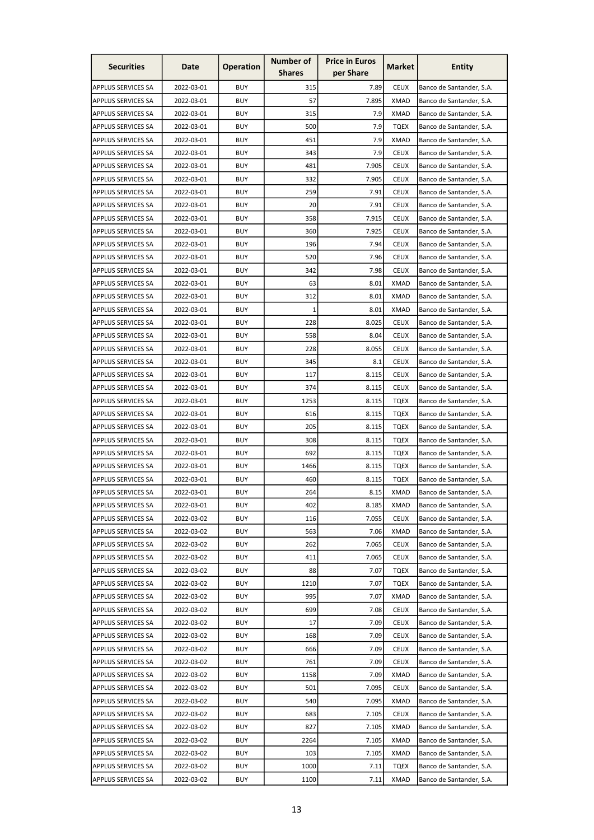| <b>Securities</b>         | Date       | <b>Operation</b> | Number of     | <b>Price in Euros</b> | <b>Market</b> | <b>Entity</b>            |
|---------------------------|------------|------------------|---------------|-----------------------|---------------|--------------------------|
|                           |            |                  | <b>Shares</b> | per Share             |               |                          |
| APPLUS SERVICES SA        | 2022-03-01 | <b>BUY</b>       | 315           | 7.89                  | <b>CEUX</b>   | Banco de Santander, S.A. |
| <b>APPLUS SERVICES SA</b> | 2022-03-01 | <b>BUY</b>       | 57            | 7.895                 | <b>XMAD</b>   | Banco de Santander, S.A. |
| <b>APPLUS SERVICES SA</b> | 2022-03-01 | <b>BUY</b>       | 315           | 7.9                   | XMAD          | Banco de Santander, S.A. |
| APPLUS SERVICES SA        | 2022-03-01 | <b>BUY</b>       | 500           | 7.9                   | TQEX          | Banco de Santander, S.A. |
| <b>APPLUS SERVICES SA</b> | 2022-03-01 | <b>BUY</b>       | 451           | 7.9                   | <b>XMAD</b>   | Banco de Santander, S.A. |
| <b>APPLUS SERVICES SA</b> | 2022-03-01 | <b>BUY</b>       | 343           | 7.9                   | <b>CEUX</b>   | Banco de Santander, S.A. |
| APPLUS SERVICES SA        | 2022-03-01 | <b>BUY</b>       | 481           | 7.905                 | <b>CEUX</b>   | Banco de Santander, S.A. |
| <b>APPLUS SERVICES SA</b> | 2022-03-01 | <b>BUY</b>       | 332           | 7.905                 | <b>CEUX</b>   | Banco de Santander, S.A. |
| <b>APPLUS SERVICES SA</b> | 2022-03-01 | <b>BUY</b>       | 259           | 7.91                  | <b>CEUX</b>   | Banco de Santander, S.A. |
| APPLUS SERVICES SA        | 2022-03-01 | <b>BUY</b>       | 20            | 7.91                  | <b>CEUX</b>   | Banco de Santander, S.A. |
| <b>APPLUS SERVICES SA</b> | 2022-03-01 | <b>BUY</b>       | 358           | 7.915                 | <b>CEUX</b>   | Banco de Santander, S.A. |
| <b>APPLUS SERVICES SA</b> | 2022-03-01 | <b>BUY</b>       | 360           | 7.925                 | <b>CEUX</b>   | Banco de Santander, S.A. |
| <b>APPLUS SERVICES SA</b> | 2022-03-01 | <b>BUY</b>       | 196           | 7.94                  | <b>CEUX</b>   | Banco de Santander, S.A. |
| APPLUS SERVICES SA        | 2022-03-01 | <b>BUY</b>       | 520           | 7.96                  | <b>CEUX</b>   | Banco de Santander, S.A. |
| APPLUS SERVICES SA        | 2022-03-01 | <b>BUY</b>       | 342           | 7.98                  | <b>CEUX</b>   | Banco de Santander, S.A. |
| <b>APPLUS SERVICES SA</b> | 2022-03-01 | <b>BUY</b>       | 63            | 8.01                  | <b>XMAD</b>   | Banco de Santander, S.A. |
| <b>APPLUS SERVICES SA</b> | 2022-03-01 | <b>BUY</b>       | 312           | 8.01                  | <b>XMAD</b>   | Banco de Santander, S.A. |
| APPLUS SERVICES SA        | 2022-03-01 | <b>BUY</b>       | $1\vert$      | 8.01                  | <b>XMAD</b>   | Banco de Santander, S.A. |
| <b>APPLUS SERVICES SA</b> | 2022-03-01 | <b>BUY</b>       | 228           | 8.025                 | <b>CEUX</b>   | Banco de Santander, S.A. |
| <b>APPLUS SERVICES SA</b> | 2022-03-01 | <b>BUY</b>       | 558           | 8.04                  | <b>CEUX</b>   | Banco de Santander, S.A. |
| APPLUS SERVICES SA        | 2022-03-01 | <b>BUY</b>       | 228           | 8.055                 | <b>CEUX</b>   | Banco de Santander, S.A. |
| <b>APPLUS SERVICES SA</b> | 2022-03-01 | <b>BUY</b>       | 345           | 8.1                   | <b>CEUX</b>   | Banco de Santander, S.A. |
| <b>APPLUS SERVICES SA</b> | 2022-03-01 | <b>BUY</b>       | 117           | 8.115                 | <b>CEUX</b>   | Banco de Santander, S.A. |
| <b>APPLUS SERVICES SA</b> | 2022-03-01 | <b>BUY</b>       | 374           | 8.115                 | <b>CEUX</b>   | Banco de Santander, S.A. |
| APPLUS SERVICES SA        | 2022-03-01 | BUY              | 1253          | 8.115                 | TQEX          | Banco de Santander, S.A. |
| <b>APPLUS SERVICES SA</b> | 2022-03-01 | <b>BUY</b>       | 616           | 8.115                 | TQEX          | Banco de Santander, S.A. |
| <b>APPLUS SERVICES SA</b> | 2022-03-01 | <b>BUY</b>       | 205           | 8.115                 | TQEX          | Banco de Santander, S.A. |
| <b>APPLUS SERVICES SA</b> | 2022-03-01 | <b>BUY</b>       | 308           | 8.115                 | <b>TQEX</b>   | Banco de Santander, S.A. |
| <b>APPLUS SERVICES SA</b> | 2022-03-01 | <b>BUY</b>       | 692           | 8.115                 | TOEX          | Banco de Santander, S.A. |
| <b>APPLUS SERVICES SA</b> | 2022-03-01 | <b>BUY</b>       | 1466          | 8.115                 | TQEX          | Banco de Santander, S.A. |
| <b>APPLUS SERVICES SA</b> | 2022-03-01 | <b>BUY</b>       | 460           | 8.115                 | TQEX          | Banco de Santander, S.A. |
| APPLUS SERVICES SA        | 2022-03-01 | <b>BUY</b>       | 264           | 8.15                  | <b>XMAD</b>   | Banco de Santander, S.A. |
| <b>APPLUS SERVICES SA</b> | 2022-03-01 | <b>BUY</b>       | 402           | 8.185                 | XMAD          | Banco de Santander, S.A. |
| <b>APPLUS SERVICES SA</b> | 2022-03-02 | <b>BUY</b>       | 116           | 7.055                 | <b>CEUX</b>   | Banco de Santander, S.A. |
| APPLUS SERVICES SA        | 2022-03-02 | <b>BUY</b>       | 563           | 7.06                  | <b>XMAD</b>   | Banco de Santander, S.A. |
| <b>APPLUS SERVICES SA</b> | 2022-03-02 | <b>BUY</b>       | 262           | 7.065                 | <b>CEUX</b>   | Banco de Santander, S.A. |
| APPLUS SERVICES SA        | 2022-03-02 | <b>BUY</b>       | 411           | 7.065                 | <b>CEUX</b>   | Banco de Santander, S.A. |
| <b>APPLUS SERVICES SA</b> | 2022-03-02 | <b>BUY</b>       | 88            | 7.07                  | TQEX          | Banco de Santander, S.A. |
| <b>APPLUS SERVICES SA</b> | 2022-03-02 | <b>BUY</b>       | 1210          | 7.07                  | TQEX          | Banco de Santander, S.A. |
| APPLUS SERVICES SA        | 2022-03-02 | <b>BUY</b>       | 995           | 7.07                  | <b>XMAD</b>   | Banco de Santander, S.A. |
| <b>APPLUS SERVICES SA</b> | 2022-03-02 | <b>BUY</b>       | 699           | 7.08                  | <b>CEUX</b>   | Banco de Santander, S.A. |
| <b>APPLUS SERVICES SA</b> | 2022-03-02 | <b>BUY</b>       | 17            | 7.09                  | <b>CEUX</b>   | Banco de Santander, S.A. |
| <b>APPLUS SERVICES SA</b> | 2022-03-02 | <b>BUY</b>       | 168           | 7.09                  | <b>CEUX</b>   | Banco de Santander, S.A. |
| <b>APPLUS SERVICES SA</b> | 2022-03-02 | <b>BUY</b>       | 666           | 7.09                  | <b>CEUX</b>   | Banco de Santander, S.A. |
| <b>APPLUS SERVICES SA</b> | 2022-03-02 | <b>BUY</b>       | 761           | 7.09                  | <b>CEUX</b>   | Banco de Santander, S.A. |
| APPLUS SERVICES SA        | 2022-03-02 | <b>BUY</b>       | 1158          | 7.09                  | <b>XMAD</b>   | Banco de Santander, S.A. |
| <b>APPLUS SERVICES SA</b> | 2022-03-02 | <b>BUY</b>       | 501           | 7.095                 | <b>CEUX</b>   | Banco de Santander, S.A. |
| APPLUS SERVICES SA        | 2022-03-02 | <b>BUY</b>       | 540           | 7.095                 | <b>XMAD</b>   | Banco de Santander, S.A. |
| <b>APPLUS SERVICES SA</b> | 2022-03-02 | <b>BUY</b>       | 683           | 7.105                 | <b>CEUX</b>   | Banco de Santander, S.A. |
| <b>APPLUS SERVICES SA</b> | 2022-03-02 | <b>BUY</b>       | 827           | 7.105                 | <b>XMAD</b>   | Banco de Santander, S.A. |
| APPLUS SERVICES SA        | 2022-03-02 | <b>BUY</b>       | 2264          | 7.105                 | <b>XMAD</b>   | Banco de Santander, S.A. |
| <b>APPLUS SERVICES SA</b> | 2022-03-02 | <b>BUY</b>       | 103           | 7.105                 | <b>XMAD</b>   | Banco de Santander, S.A. |
| APPLUS SERVICES SA        | 2022-03-02 | <b>BUY</b>       | 1000          | 7.11                  | TQEX          | Banco de Santander, S.A. |
| APPLUS SERVICES SA        | 2022-03-02 | <b>BUY</b>       | 1100          | 7.11                  | <b>XMAD</b>   | Banco de Santander, S.A. |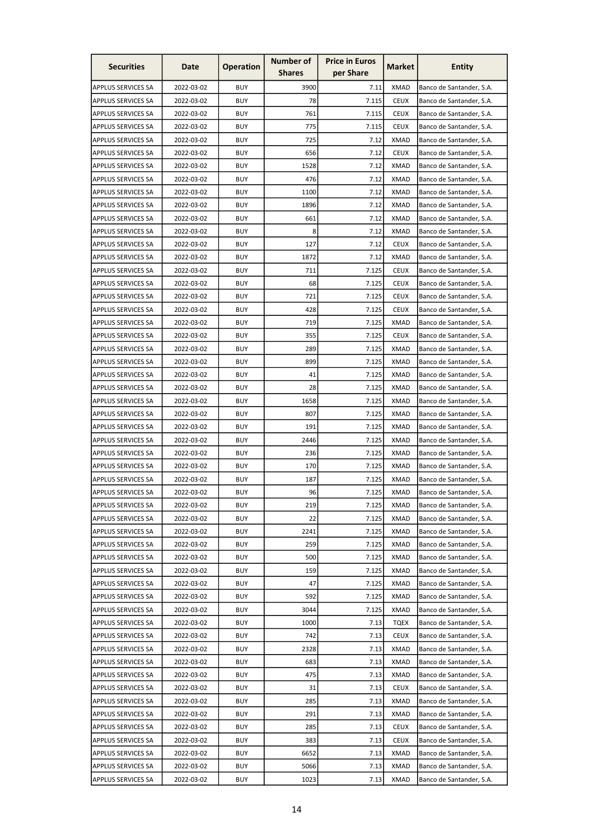| <b>Securities</b>         | Date       | <b>Operation</b> | <b>Number of</b> | <b>Price in Euros</b> | Market      | <b>Entity</b>            |
|---------------------------|------------|------------------|------------------|-----------------------|-------------|--------------------------|
|                           |            |                  | <b>Shares</b>    | per Share             |             |                          |
| APPLUS SERVICES SA        | 2022-03-02 | <b>BUY</b>       | 3900             | 7.11                  | <b>XMAD</b> | Banco de Santander, S.A. |
| <b>APPLUS SERVICES SA</b> | 2022-03-02 | <b>BUY</b>       | 78               | 7.115                 | <b>CEUX</b> | Banco de Santander, S.A. |
| <b>APPLUS SERVICES SA</b> | 2022-03-02 | <b>BUY</b>       | 761              | 7.115                 | <b>CEUX</b> | Banco de Santander, S.A. |
| APPLUS SERVICES SA        | 2022-03-02 | <b>BUY</b>       | 775              | 7.115                 | <b>CEUX</b> | Banco de Santander, S.A. |
| <b>APPLUS SERVICES SA</b> | 2022-03-02 | <b>BUY</b>       | 725              | 7.12                  | <b>XMAD</b> | Banco de Santander, S.A. |
| <b>APPLUS SERVICES SA</b> | 2022-03-02 | <b>BUY</b>       | 656              | 7.12                  | <b>CEUX</b> | Banco de Santander, S.A. |
| <b>APPLUS SERVICES SA</b> | 2022-03-02 | <b>BUY</b>       | 1528             | 7.12                  | <b>XMAD</b> | Banco de Santander, S.A. |
| <b>APPLUS SERVICES SA</b> | 2022-03-02 | <b>BUY</b>       | 476              | 7.12                  | <b>XMAD</b> | Banco de Santander, S.A. |
| <b>APPLUS SERVICES SA</b> | 2022-03-02 | <b>BUY</b>       | 1100             | 7.12                  | <b>XMAD</b> | Banco de Santander, S.A. |
| APPLUS SERVICES SA        | 2022-03-02 | <b>BUY</b>       | 1896             | 7.12                  | <b>XMAD</b> | Banco de Santander, S.A. |
| <b>APPLUS SERVICES SA</b> | 2022-03-02 | <b>BUY</b>       | 661              | 7.12                  | <b>XMAD</b> | Banco de Santander, S.A. |
| <b>APPLUS SERVICES SA</b> | 2022-03-02 | <b>BUY</b>       | 8                | 7.12                  | <b>XMAD</b> | Banco de Santander, S.A. |
| <b>APPLUS SERVICES SA</b> | 2022-03-02 | <b>BUY</b>       | 127              | 7.12                  | <b>CEUX</b> | Banco de Santander, S.A. |
| <b>APPLUS SERVICES SA</b> | 2022-03-02 | <b>BUY</b>       | 1872             | 7.12                  | <b>XMAD</b> | Banco de Santander, S.A. |
| APPLUS SERVICES SA        | 2022-03-02 | <b>BUY</b>       | 711              | 7.125                 | <b>CEUX</b> | Banco de Santander, S.A. |
| <b>APPLUS SERVICES SA</b> | 2022-03-02 | <b>BUY</b>       | 68               | 7.125                 | <b>CEUX</b> | Banco de Santander, S.A. |
| APPLUS SERVICES SA        | 2022-03-02 | <b>BUY</b>       | 721              | 7.125                 | <b>CEUX</b> | Banco de Santander, S.A. |
| APPLUS SERVICES SA        | 2022-03-02 | <b>BUY</b>       | 428              | 7.125                 | <b>CEUX</b> | Banco de Santander, S.A. |
| <b>APPLUS SERVICES SA</b> | 2022-03-02 | <b>BUY</b>       | 719              | 7.125                 | <b>XMAD</b> | Banco de Santander, S.A. |
| <b>APPLUS SERVICES SA</b> | 2022-03-02 | <b>BUY</b>       | 355              | 7.125                 | <b>CEUX</b> | Banco de Santander, S.A. |
| APPLUS SERVICES SA        | 2022-03-02 | <b>BUY</b>       | 289              | 7.125                 | <b>XMAD</b> | Banco de Santander, S.A. |
| <b>APPLUS SERVICES SA</b> | 2022-03-02 | <b>BUY</b>       | 899              | 7.125                 | <b>XMAD</b> | Banco de Santander, S.A. |
| <b>APPLUS SERVICES SA</b> | 2022-03-02 | <b>BUY</b>       | 41               | 7.125                 | <b>XMAD</b> | Banco de Santander, S.A. |
| <b>APPLUS SERVICES SA</b> | 2022-03-02 | <b>BUY</b>       | 28               | 7.125                 | <b>XMAD</b> | Banco de Santander, S.A. |
| <b>APPLUS SERVICES SA</b> | 2022-03-02 | <b>BUY</b>       | 1658             | 7.125                 | XMAD        | Banco de Santander, S.A. |
| <b>APPLUS SERVICES SA</b> | 2022-03-02 | <b>BUY</b>       | 807              | 7.125                 | XMAD        | Banco de Santander, S.A. |
| <b>APPLUS SERVICES SA</b> | 2022-03-02 | <b>BUY</b>       | 191              | 7.125                 | <b>XMAD</b> | Banco de Santander, S.A. |
| APPLUS SERVICES SA        | 2022-03-02 | <b>BUY</b>       | 2446             | 7.125                 | XMAD        | Banco de Santander, S.A. |
| APPLUS SERVICES SA        | 2022-03-02 | <b>BUY</b>       | 236              | 7.125                 | <b>XMAD</b> | Banco de Santander, S.A. |
| <b>APPLUS SERVICES SA</b> | 2022-03-02 | <b>BUY</b>       | 170              | 7.125                 | <b>XMAD</b> | Banco de Santander, S.A. |
| <b>APPLUS SERVICES SA</b> | 2022-03-02 | <b>BUY</b>       | 187              | 7.125                 | <b>XMAD</b> | Banco de Santander, S.A. |
| <b>APPLUS SERVICES SA</b> | 2022-03-02 | <b>BUY</b>       | 96               | 7.125                 | <b>XMAD</b> | Banco de Santander, S.A. |
| APPLUS SERVICES SA        | 2022-03-02 | <b>BUY</b>       | 219              | 7.125                 | XMAD        | Banco de Santander, S.A. |
| <b>APPLUS SERVICES SA</b> | 2022-03-02 | <b>BUY</b>       | 22               | 7.125                 | <b>XMAD</b> | Banco de Santander, S.A. |
| <b>APPLUS SERVICES SA</b> | 2022-03-02 | <b>BUY</b>       | 2241             | 7.125                 | <b>XMAD</b> | Banco de Santander, S.A. |
| <b>APPLUS SERVICES SA</b> | 2022-03-02 | <b>BUY</b>       | 259              | 7.125                 | <b>XMAD</b> | Banco de Santander, S.A. |
| APPLUS SERVICES SA        | 2022-03-02 | <b>BUY</b>       | 500              | 7.125                 | <b>XMAD</b> | Banco de Santander, S.A. |
| <b>APPLUS SERVICES SA</b> | 2022-03-02 | <b>BUY</b>       | 159              | 7.125                 | <b>XMAD</b> | Banco de Santander, S.A. |
| <b>APPLUS SERVICES SA</b> | 2022-03-02 | <b>BUY</b>       | 47               | 7.125                 | <b>XMAD</b> | Banco de Santander, S.A. |
| APPLUS SERVICES SA        | 2022-03-02 | <b>BUY</b>       | 592              | 7.125                 | <b>XMAD</b> | Banco de Santander, S.A. |
| <b>APPLUS SERVICES SA</b> | 2022-03-02 | <b>BUY</b>       | 3044             | 7.125                 | <b>XMAD</b> | Banco de Santander, S.A. |
|                           |            |                  |                  |                       |             | Banco de Santander, S.A. |
| APPLUS SERVICES SA        | 2022-03-02 | <b>BUY</b>       | 1000             | 7.13                  | <b>TQEX</b> |                          |
| <b>APPLUS SERVICES SA</b> | 2022-03-02 | <b>BUY</b>       | 742              | 7.13                  | <b>CEUX</b> | Banco de Santander, S.A. |
| <b>APPLUS SERVICES SA</b> | 2022-03-02 | <b>BUY</b>       | 2328             | 7.13                  | <b>XMAD</b> | Banco de Santander, S.A. |
| <b>APPLUS SERVICES SA</b> | 2022-03-02 | <b>BUY</b>       | 683              | 7.13                  | <b>XMAD</b> | Banco de Santander, S.A. |
| <b>APPLUS SERVICES SA</b> | 2022-03-02 | <b>BUY</b>       | 475              | 7.13                  | <b>XMAD</b> | Banco de Santander, S.A. |
| <b>APPLUS SERVICES SA</b> | 2022-03-02 | <b>BUY</b>       | 31               | 7.13                  | <b>CEUX</b> | Banco de Santander, S.A. |
| APPLUS SERVICES SA        | 2022-03-02 | <b>BUY</b>       | 285              | 7.13                  | <b>XMAD</b> | Banco de Santander, S.A. |
| <b>APPLUS SERVICES SA</b> | 2022-03-02 | <b>BUY</b>       | 291              | 7.13                  | <b>XMAD</b> | Banco de Santander, S.A. |
| <b>APPLUS SERVICES SA</b> | 2022-03-02 | <b>BUY</b>       | 285              | 7.13                  | <b>CEUX</b> | Banco de Santander, S.A. |
| APPLUS SERVICES SA        | 2022-03-02 | <b>BUY</b>       | 383              | 7.13                  | <b>CEUX</b> | Banco de Santander, S.A. |
| <b>APPLUS SERVICES SA</b> | 2022-03-02 | <b>BUY</b>       | 6652             | 7.13                  | <b>XMAD</b> | Banco de Santander, S.A. |
| APPLUS SERVICES SA        | 2022-03-02 | <b>BUY</b>       | 5066             | 7.13                  | <b>XMAD</b> | Banco de Santander, S.A. |
| APPLUS SERVICES SA        | 2022-03-02 | <b>BUY</b>       | 1023             | 7.13                  | <b>XMAD</b> | Banco de Santander, S.A. |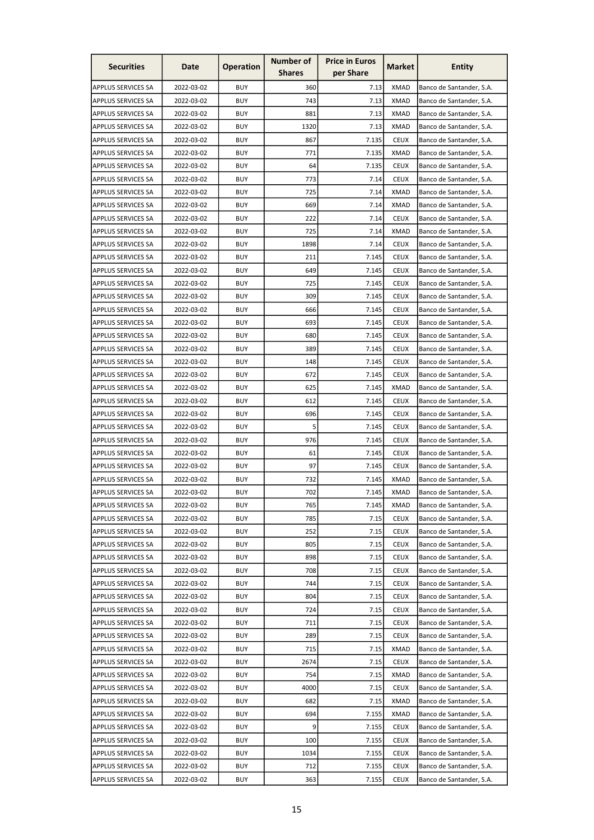| <b>Securities</b>         | Date       | <b>Operation</b> | Number of     | <b>Price in Euros</b> | <b>Market</b> | <b>Entity</b>            |
|---------------------------|------------|------------------|---------------|-----------------------|---------------|--------------------------|
|                           |            |                  | <b>Shares</b> | per Share             |               |                          |
| APPLUS SERVICES SA        | 2022-03-02 | <b>BUY</b>       | 360           | 7.13                  | <b>XMAD</b>   | Banco de Santander, S.A. |
| APPLUS SERVICES SA        | 2022-03-02 | <b>BUY</b>       | 743           | 7.13                  | <b>XMAD</b>   | Banco de Santander, S.A. |
| <b>APPLUS SERVICES SA</b> | 2022-03-02 | <b>BUY</b>       | 881           | 7.13                  | <b>XMAD</b>   | Banco de Santander, S.A. |
| APPLUS SERVICES SA        | 2022-03-02 | <b>BUY</b>       | 1320          | 7.13                  | <b>XMAD</b>   | Banco de Santander, S.A. |
| <b>APPLUS SERVICES SA</b> | 2022-03-02 | <b>BUY</b>       | 867           | 7.135                 | <b>CEUX</b>   | Banco de Santander, S.A. |
| <b>APPLUS SERVICES SA</b> | 2022-03-02 | <b>BUY</b>       | 771           | 7.135                 | <b>XMAD</b>   | Banco de Santander, S.A. |
| <b>APPLUS SERVICES SA</b> | 2022-03-02 | <b>BUY</b>       | 64            | 7.135                 | <b>CEUX</b>   | Banco de Santander, S.A. |
| APPLUS SERVICES SA        | 2022-03-02 | <b>BUY</b>       | 773           | 7.14                  | <b>CEUX</b>   | Banco de Santander, S.A. |
| <b>APPLUS SERVICES SA</b> | 2022-03-02 | <b>BUY</b>       | 725           | 7.14                  | <b>XMAD</b>   | Banco de Santander, S.A. |
| APPLUS SERVICES SA        | 2022-03-02 | <b>BUY</b>       | 669           | 7.14                  | <b>XMAD</b>   | Banco de Santander, S.A. |
| <b>APPLUS SERVICES SA</b> | 2022-03-02 | <b>BUY</b>       | 222           | 7.14                  | <b>CEUX</b>   | Banco de Santander, S.A. |
| <b>APPLUS SERVICES SA</b> | 2022-03-02 | <b>BUY</b>       | 725           | 7.14                  | <b>XMAD</b>   | Banco de Santander, S.A. |
| APPLUS SERVICES SA        | 2022-03-02 | <b>BUY</b>       | 1898          | 7.14                  | <b>CEUX</b>   | Banco de Santander, S.A. |
| APPLUS SERVICES SA        | 2022-03-02 | <b>BUY</b>       | 211           | 7.145                 | <b>CEUX</b>   | Banco de Santander, S.A. |
| APPLUS SERVICES SA        | 2022-03-02 | <b>BUY</b>       | 649           | 7.145                 | <b>CEUX</b>   | Banco de Santander, S.A. |
| <b>APPLUS SERVICES SA</b> | 2022-03-02 | <b>BUY</b>       | 725           | 7.145                 | <b>CEUX</b>   | Banco de Santander, S.A. |
| APPLUS SERVICES SA        | 2022-03-02 | <b>BUY</b>       | 309           | 7.145                 | <b>CEUX</b>   | Banco de Santander, S.A. |
| APPLUS SERVICES SA        | 2022-03-02 | <b>BUY</b>       | 666           | 7.145                 | <b>CEUX</b>   | Banco de Santander, S.A. |
| <b>APPLUS SERVICES SA</b> | 2022-03-02 | <b>BUY</b>       | 693           | 7.145                 | <b>CEUX</b>   | Banco de Santander, S.A. |
| <b>APPLUS SERVICES SA</b> | 2022-03-02 | <b>BUY</b>       | 680           | 7.145                 | <b>CEUX</b>   | Banco de Santander, S.A. |
| APPLUS SERVICES SA        | 2022-03-02 | <b>BUY</b>       | 389           | 7.145                 | <b>CEUX</b>   | Banco de Santander, S.A. |
| <b>APPLUS SERVICES SA</b> | 2022-03-02 | <b>BUY</b>       | 148           | 7.145                 | <b>CEUX</b>   | Banco de Santander, S.A. |
| <b>APPLUS SERVICES SA</b> | 2022-03-02 | <b>BUY</b>       | 672           | 7.145                 | <b>CEUX</b>   | Banco de Santander, S.A. |
| <b>APPLUS SERVICES SA</b> | 2022-03-02 | <b>BUY</b>       | 625           | 7.145                 | <b>XMAD</b>   | Banco de Santander, S.A. |
| APPLUS SERVICES SA        | 2022-03-02 | <b>BUY</b>       | 612           | 7.145                 | <b>CEUX</b>   | Banco de Santander, S.A. |
| <b>APPLUS SERVICES SA</b> | 2022-03-02 | <b>BUY</b>       | 696           | 7.145                 | <b>CEUX</b>   | Banco de Santander, S.A. |
| <b>APPLUS SERVICES SA</b> | 2022-03-02 | <b>BUY</b>       | 5             | 7.145                 | <b>CEUX</b>   | Banco de Santander, S.A. |
| <b>APPLUS SERVICES SA</b> | 2022-03-02 | <b>BUY</b>       | 976           | 7.145                 | <b>CEUX</b>   | Banco de Santander, S.A. |
| <b>APPLUS SERVICES SA</b> | 2022-03-02 | <b>BUY</b>       | 61            | 7.145                 | <b>CEUX</b>   | Banco de Santander, S.A. |
| <b>APPLUS SERVICES SA</b> | 2022-03-02 | <b>BUY</b>       | 97            | 7.145                 | <b>CEUX</b>   | Banco de Santander, S.A. |
| APPLUS SERVICES SA        | 2022-03-02 | <b>BUY</b>       | 732           | 7.145                 | <b>XMAD</b>   | Banco de Santander, S.A. |
| <b>APPLUS SERVICES SA</b> | 2022-03-02 | <b>BUY</b>       | 702           | 7.145                 | <b>XMAD</b>   | Banco de Santander, S.A. |
| <b>APPLUS SERVICES SA</b> | 2022-03-02 | <b>BUY</b>       | 765           | 7.145                 | XMAD          | Banco de Santander, S.A. |
| <b>APPLUS SERVICES SA</b> | 2022-03-02 | <b>BUY</b>       | 785           | 7.15                  | <b>CEUX</b>   | Banco de Santander, S.A. |
| APPLUS SERVICES SA        | 2022-03-02 | <b>BUY</b>       | 252           | 7.15                  | <b>CEUX</b>   | Banco de Santander, S.A. |
| <b>APPLUS SERVICES SA</b> | 2022-03-02 | <b>BUY</b>       | 805           | 7.15                  | <b>CEUX</b>   | Banco de Santander, S.A. |
| APPLUS SERVICES SA        | 2022-03-02 | <b>BUY</b>       | 898           | 7.15                  | <b>CEUX</b>   | Banco de Santander, S.A. |
| <b>APPLUS SERVICES SA</b> | 2022-03-02 | <b>BUY</b>       | 708           | 7.15                  | <b>CEUX</b>   | Banco de Santander, S.A. |
| <b>APPLUS SERVICES SA</b> | 2022-03-02 | <b>BUY</b>       | 744           | 7.15                  | <b>CEUX</b>   | Banco de Santander, S.A. |
| APPLUS SERVICES SA        | 2022-03-02 | <b>BUY</b>       | 804           | 7.15                  | <b>CEUX</b>   | Banco de Santander, S.A. |
| <b>APPLUS SERVICES SA</b> | 2022-03-02 | <b>BUY</b>       | 724           | 7.15                  | <b>CEUX</b>   | Banco de Santander, S.A. |
| <b>APPLUS SERVICES SA</b> | 2022-03-02 | <b>BUY</b>       | 711           | 7.15                  | <b>CEUX</b>   | Banco de Santander, S.A. |
| <b>APPLUS SERVICES SA</b> | 2022-03-02 | <b>BUY</b>       | 289           | 7.15                  | <b>CEUX</b>   | Banco de Santander, S.A. |
| <b>APPLUS SERVICES SA</b> | 2022-03-02 | <b>BUY</b>       | 715           | 7.15                  | <b>XMAD</b>   | Banco de Santander, S.A. |
| <b>APPLUS SERVICES SA</b> | 2022-03-02 | <b>BUY</b>       | 2674          | 7.15                  | <b>CEUX</b>   | Banco de Santander, S.A. |
| APPLUS SERVICES SA        | 2022-03-02 | <b>BUY</b>       | 754           | 7.15                  | <b>XMAD</b>   | Banco de Santander, S.A. |
| <b>APPLUS SERVICES SA</b> | 2022-03-02 | <b>BUY</b>       | 4000          | 7.15                  | <b>CEUX</b>   | Banco de Santander, S.A. |
| APPLUS SERVICES SA        | 2022-03-02 | <b>BUY</b>       | 682           | 7.15                  | <b>XMAD</b>   | Banco de Santander, S.A. |
| <b>APPLUS SERVICES SA</b> | 2022-03-02 | <b>BUY</b>       | 694           | 7.155                 | <b>XMAD</b>   | Banco de Santander, S.A. |
| <b>APPLUS SERVICES SA</b> | 2022-03-02 | <b>BUY</b>       | 9             | 7.155                 | <b>CEUX</b>   | Banco de Santander, S.A. |
| APPLUS SERVICES SA        | 2022-03-02 | <b>BUY</b>       | 100           | 7.155                 | <b>CEUX</b>   | Banco de Santander, S.A. |
| <b>APPLUS SERVICES SA</b> | 2022-03-02 | <b>BUY</b>       | 1034          | 7.155                 | <b>CEUX</b>   | Banco de Santander, S.A. |
| APPLUS SERVICES SA        | 2022-03-02 | <b>BUY</b>       | 712           | 7.155                 | <b>CEUX</b>   | Banco de Santander, S.A. |
| APPLUS SERVICES SA        | 2022-03-02 | <b>BUY</b>       | 363           | 7.155                 | <b>CEUX</b>   | Banco de Santander, S.A. |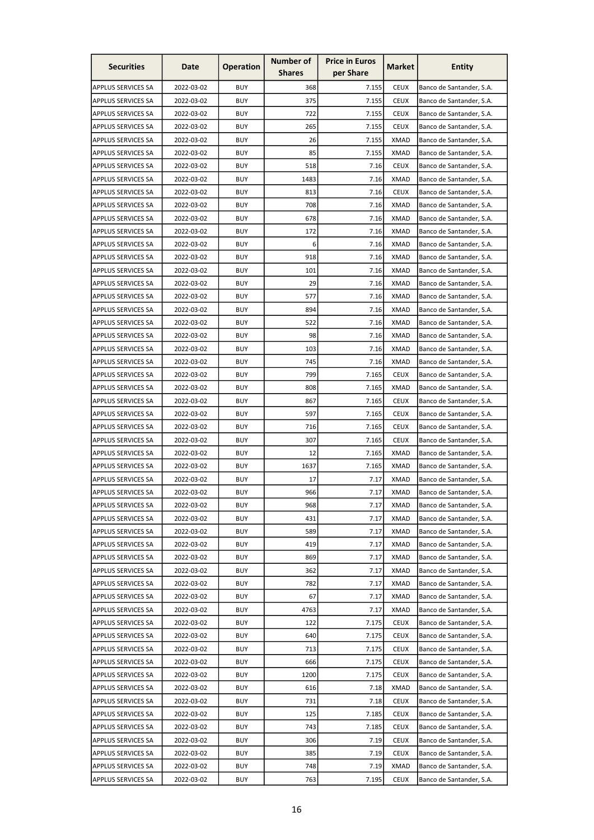| <b>Securities</b>         | Date       | <b>Operation</b> | <b>Number of</b><br><b>Shares</b> | <b>Price in Euros</b><br>per Share | Market      | <b>Entity</b>            |
|---------------------------|------------|------------------|-----------------------------------|------------------------------------|-------------|--------------------------|
|                           |            |                  |                                   |                                    |             |                          |
| APPLUS SERVICES SA        | 2022-03-02 | <b>BUY</b>       | 368                               | 7.155                              | <b>CEUX</b> | Banco de Santander, S.A. |
| <b>APPLUS SERVICES SA</b> | 2022-03-02 | <b>BUY</b>       | 375                               | 7.155                              | <b>CEUX</b> | Banco de Santander, S.A. |
| <b>APPLUS SERVICES SA</b> | 2022-03-02 | <b>BUY</b>       | 722                               | 7.155                              | <b>CEUX</b> | Banco de Santander, S.A. |
| APPLUS SERVICES SA        | 2022-03-02 | <b>BUY</b>       | 265                               | 7.155                              | <b>CEUX</b> | Banco de Santander, S.A. |
| <b>APPLUS SERVICES SA</b> | 2022-03-02 | <b>BUY</b>       | 26                                | 7.155                              | <b>XMAD</b> | Banco de Santander, S.A. |
| <b>APPLUS SERVICES SA</b> | 2022-03-02 | <b>BUY</b>       | 85                                | 7.155                              | <b>XMAD</b> | Banco de Santander, S.A. |
| <b>APPLUS SERVICES SA</b> | 2022-03-02 | <b>BUY</b>       | 518                               | 7.16                               | <b>CEUX</b> | Banco de Santander, S.A. |
| <b>APPLUS SERVICES SA</b> | 2022-03-02 | <b>BUY</b>       | 1483                              | 7.16                               | <b>XMAD</b> | Banco de Santander, S.A. |
| <b>APPLUS SERVICES SA</b> | 2022-03-02 | <b>BUY</b>       | 813                               | 7.16                               | <b>CEUX</b> | Banco de Santander, S.A. |
| <b>APPLUS SERVICES SA</b> | 2022-03-02 | <b>BUY</b>       | 708                               | 7.16                               | <b>XMAD</b> | Banco de Santander, S.A. |
| <b>APPLUS SERVICES SA</b> | 2022-03-02 | <b>BUY</b>       | 678                               | 7.16                               | <b>XMAD</b> | Banco de Santander, S.A. |
| <b>APPLUS SERVICES SA</b> | 2022-03-02 | <b>BUY</b>       | 172                               | 7.16                               | <b>XMAD</b> | Banco de Santander, S.A. |
| <b>APPLUS SERVICES SA</b> | 2022-03-02 | <b>BUY</b>       | 6                                 | 7.16                               | <b>XMAD</b> | Banco de Santander, S.A. |
| <b>APPLUS SERVICES SA</b> | 2022-03-02 | <b>BUY</b>       | 918                               | 7.16                               | <b>XMAD</b> | Banco de Santander, S.A. |
| APPLUS SERVICES SA        | 2022-03-02 | <b>BUY</b>       | 101                               | 7.16                               | <b>XMAD</b> | Banco de Santander, S.A. |
| <b>APPLUS SERVICES SA</b> | 2022-03-02 | <b>BUY</b>       | 29                                | 7.16                               | <b>XMAD</b> | Banco de Santander, S.A. |
| APPLUS SERVICES SA        | 2022-03-02 | <b>BUY</b>       | 577                               | 7.16                               | <b>XMAD</b> | Banco de Santander, S.A. |
| APPLUS SERVICES SA        | 2022-03-02 | <b>BUY</b>       | 894                               | 7.16                               | <b>XMAD</b> | Banco de Santander, S.A. |
| <b>APPLUS SERVICES SA</b> | 2022-03-02 | <b>BUY</b>       | 522                               | 7.16                               | <b>XMAD</b> | Banco de Santander, S.A. |
| <b>APPLUS SERVICES SA</b> | 2022-03-02 | <b>BUY</b>       | 98                                | 7.16                               | <b>XMAD</b> | Banco de Santander, S.A. |
| APPLUS SERVICES SA        | 2022-03-02 | <b>BUY</b>       | 103                               | 7.16                               | <b>XMAD</b> | Banco de Santander, S.A. |
| <b>APPLUS SERVICES SA</b> | 2022-03-02 | <b>BUY</b>       | 745                               | 7.16                               | <b>XMAD</b> | Banco de Santander, S.A. |
| <b>APPLUS SERVICES SA</b> | 2022-03-02 | <b>BUY</b>       | 799                               | 7.165                              | <b>CEUX</b> | Banco de Santander, S.A. |
| <b>APPLUS SERVICES SA</b> | 2022-03-02 | <b>BUY</b>       | 808                               | 7.165                              | <b>XMAD</b> | Banco de Santander, S.A. |
| <b>APPLUS SERVICES SA</b> | 2022-03-02 | <b>BUY</b>       | 867                               | 7.165                              | <b>CEUX</b> | Banco de Santander, S.A. |
| <b>APPLUS SERVICES SA</b> | 2022-03-02 | <b>BUY</b>       | 597                               | 7.165                              | <b>CEUX</b> | Banco de Santander, S.A. |
| <b>APPLUS SERVICES SA</b> | 2022-03-02 | <b>BUY</b>       | 716                               | 7.165                              | <b>CEUX</b> | Banco de Santander, S.A. |
| APPLUS SERVICES SA        | 2022-03-02 | <b>BUY</b>       | 307                               | 7.165                              | <b>CEUX</b> |                          |
|                           | 2022-03-02 |                  |                                   |                                    | <b>XMAD</b> | Banco de Santander, S.A. |
| APPLUS SERVICES SA        |            | <b>BUY</b>       | 12                                | 7.165                              |             | Banco de Santander, S.A. |
| <b>APPLUS SERVICES SA</b> | 2022-03-02 | <b>BUY</b>       | 1637                              | 7.165                              | <b>XMAD</b> | Banco de Santander, S.A. |
| APPLUS SERVICES SA        | 2022-03-02 | <b>BUY</b>       | 17                                | 7.17                               | <b>XMAD</b> | Banco de Santander, S.A. |
| <b>APPLUS SERVICES SA</b> | 2022-03-02 | <b>BUY</b>       | 966                               | 7.17                               | <b>XMAD</b> | Banco de Santander, S.A. |
| APPLUS SERVICES SA        | 2022-03-02 | <b>BUY</b>       | 968                               | 7.17                               | XMAD        | Banco de Santander, S.A. |
| <b>APPLUS SERVICES SA</b> | 2022-03-02 | <b>BUY</b>       | 431                               | 7.17                               | <b>XMAD</b> | Banco de Santander, S.A. |
| <b>APPLUS SERVICES SA</b> | 2022-03-02 | <b>BUY</b>       | 589                               | 7.17                               | <b>XMAD</b> | Banco de Santander, S.A. |
| <b>APPLUS SERVICES SA</b> | 2022-03-02 | <b>BUY</b>       | 419                               | 7.17                               | <b>XMAD</b> | Banco de Santander, S.A. |
| APPLUS SERVICES SA        | 2022-03-02 | <b>BUY</b>       | 869                               | 7.17                               | <b>XMAD</b> | Banco de Santander, S.A. |
| <b>APPLUS SERVICES SA</b> | 2022-03-02 | <b>BUY</b>       | 362                               | 7.17                               | <b>XMAD</b> | Banco de Santander, S.A. |
| <b>APPLUS SERVICES SA</b> | 2022-03-02 | <b>BUY</b>       | 782                               | 7.17                               | <b>XMAD</b> | Banco de Santander, S.A. |
| APPLUS SERVICES SA        | 2022-03-02 | <b>BUY</b>       | 67                                | 7.17                               | <b>XMAD</b> | Banco de Santander, S.A. |
| <b>APPLUS SERVICES SA</b> | 2022-03-02 | <b>BUY</b>       | 4763                              | 7.17                               | <b>XMAD</b> | Banco de Santander, S.A. |
| APPLUS SERVICES SA        | 2022-03-02 | <b>BUY</b>       | 122                               | 7.175                              | <b>CEUX</b> | Banco de Santander, S.A. |
| <b>APPLUS SERVICES SA</b> | 2022-03-02 | <b>BUY</b>       | 640                               | 7.175                              | <b>CEUX</b> | Banco de Santander, S.A. |
| <b>APPLUS SERVICES SA</b> | 2022-03-02 | <b>BUY</b>       | 713                               | 7.175                              | <b>CEUX</b> | Banco de Santander, S.A. |
| <b>APPLUS SERVICES SA</b> | 2022-03-02 | <b>BUY</b>       | 666                               | 7.175                              | <b>CEUX</b> | Banco de Santander, S.A. |
| <b>APPLUS SERVICES SA</b> | 2022-03-02 | <b>BUY</b>       | 1200                              | 7.175                              | <b>CEUX</b> | Banco de Santander, S.A. |
| <b>APPLUS SERVICES SA</b> | 2022-03-02 | <b>BUY</b>       | 616                               | 7.18                               | <b>XMAD</b> | Banco de Santander, S.A. |
| APPLUS SERVICES SA        | 2022-03-02 | <b>BUY</b>       | 731                               | 7.18                               | <b>CEUX</b> | Banco de Santander, S.A. |
| <b>APPLUS SERVICES SA</b> | 2022-03-02 | <b>BUY</b>       | 125                               | 7.185                              | <b>CEUX</b> | Banco de Santander, S.A. |
| <b>APPLUS SERVICES SA</b> | 2022-03-02 | <b>BUY</b>       | 743                               | 7.185                              | <b>CEUX</b> | Banco de Santander, S.A. |
| APPLUS SERVICES SA        | 2022-03-02 | <b>BUY</b>       | 306                               | 7.19                               | <b>CEUX</b> | Banco de Santander, S.A. |
| <b>APPLUS SERVICES SA</b> | 2022-03-02 | <b>BUY</b>       | 385                               | 7.19                               | <b>CEUX</b> | Banco de Santander, S.A. |
| APPLUS SERVICES SA        | 2022-03-02 | <b>BUY</b>       | 748                               | 7.19                               | <b>XMAD</b> | Banco de Santander, S.A. |
| APPLUS SERVICES SA        | 2022-03-02 | <b>BUY</b>       | 763                               | 7.195                              | <b>CEUX</b> | Banco de Santander, S.A. |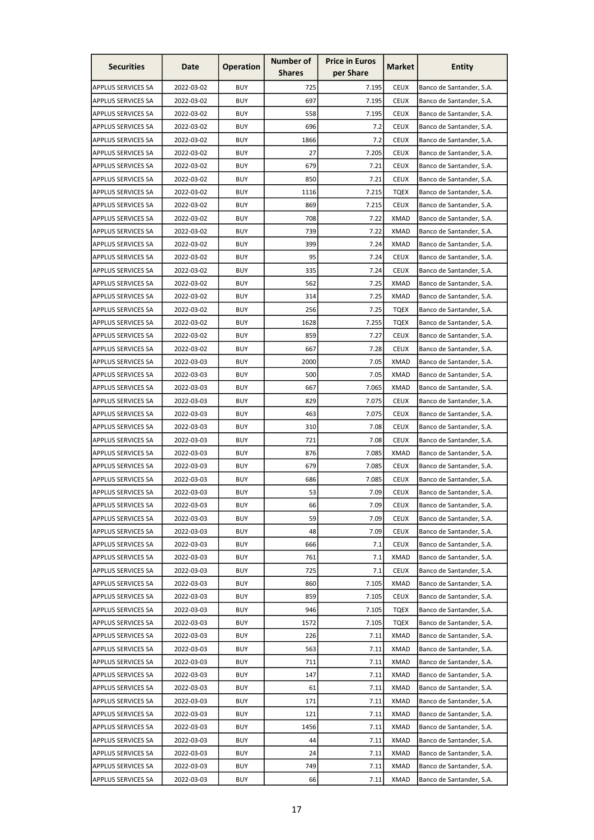| <b>Securities</b>         | Date       | <b>Operation</b> | <b>Number of</b><br><b>Shares</b> | <b>Price in Euros</b><br>per Share | Market      | <b>Entity</b>            |
|---------------------------|------------|------------------|-----------------------------------|------------------------------------|-------------|--------------------------|
|                           |            |                  |                                   |                                    |             |                          |
| APPLUS SERVICES SA        | 2022-03-02 | <b>BUY</b>       | 725                               | 7.195                              | <b>CEUX</b> | Banco de Santander, S.A. |
| <b>APPLUS SERVICES SA</b> | 2022-03-02 | <b>BUY</b>       | 697                               | 7.195                              | <b>CEUX</b> | Banco de Santander, S.A. |
| <b>APPLUS SERVICES SA</b> | 2022-03-02 | <b>BUY</b>       | 558                               | 7.195                              | <b>CEUX</b> | Banco de Santander, S.A. |
| APPLUS SERVICES SA        | 2022-03-02 | <b>BUY</b>       | 696                               | 7.2                                | <b>CEUX</b> | Banco de Santander, S.A. |
| <b>APPLUS SERVICES SA</b> | 2022-03-02 | <b>BUY</b>       | 1866                              | 7.2                                | <b>CEUX</b> | Banco de Santander, S.A. |
| <b>APPLUS SERVICES SA</b> | 2022-03-02 | <b>BUY</b>       | 27                                | 7.205                              | <b>CEUX</b> | Banco de Santander, S.A. |
| APPLUS SERVICES SA        | 2022-03-02 | <b>BUY</b>       | 679                               | 7.21                               | <b>CEUX</b> | Banco de Santander, S.A. |
| <b>APPLUS SERVICES SA</b> | 2022-03-02 | <b>BUY</b>       | 850                               | 7.21                               | <b>CEUX</b> | Banco de Santander, S.A. |
| <b>APPLUS SERVICES SA</b> | 2022-03-02 | <b>BUY</b>       | 1116                              | 7.215                              | <b>TQEX</b> | Banco de Santander, S.A. |
| APPLUS SERVICES SA        | 2022-03-02 | <b>BUY</b>       | 869                               | 7.215                              | <b>CEUX</b> | Banco de Santander, S.A. |
| <b>APPLUS SERVICES SA</b> | 2022-03-02 | <b>BUY</b>       | 708                               | 7.22                               | <b>XMAD</b> | Banco de Santander, S.A. |
| <b>APPLUS SERVICES SA</b> | 2022-03-02 | <b>BUY</b>       | 739                               | 7.22                               | <b>XMAD</b> | Banco de Santander, S.A. |
| <b>APPLUS SERVICES SA</b> | 2022-03-02 | <b>BUY</b>       | 399                               | 7.24                               | <b>XMAD</b> | Banco de Santander, S.A. |
| APPLUS SERVICES SA        | 2022-03-02 | <b>BUY</b>       | 95                                | 7.24                               | <b>CEUX</b> | Banco de Santander, S.A. |
| APPLUS SERVICES SA        | 2022-03-02 | <b>BUY</b>       | 335                               | 7.24                               | <b>CEUX</b> | Banco de Santander, S.A. |
| <b>APPLUS SERVICES SA</b> | 2022-03-02 | <b>BUY</b>       | 562                               | 7.25                               | <b>XMAD</b> | Banco de Santander, S.A. |
| APPLUS SERVICES SA        | 2022-03-02 | <b>BUY</b>       | 314                               | 7.25                               | <b>XMAD</b> | Banco de Santander, S.A. |
| APPLUS SERVICES SA        | 2022-03-02 | <b>BUY</b>       | 256                               | 7.25                               | <b>TQEX</b> | Banco de Santander, S.A. |
| <b>APPLUS SERVICES SA</b> | 2022-03-02 | <b>BUY</b>       | 1628                              | 7.255                              | <b>TQEX</b> | Banco de Santander, S.A. |
| <b>APPLUS SERVICES SA</b> | 2022-03-02 | <b>BUY</b>       | 859                               | 7.27                               | <b>CEUX</b> | Banco de Santander, S.A. |
| APPLUS SERVICES SA        | 2022-03-02 | <b>BUY</b>       | 667                               | 7.28                               | <b>CEUX</b> | Banco de Santander, S.A. |
| <b>APPLUS SERVICES SA</b> | 2022-03-03 | <b>BUY</b>       | 2000                              | 7.05                               | <b>XMAD</b> | Banco de Santander, S.A. |
| <b>APPLUS SERVICES SA</b> | 2022-03-03 | <b>BUY</b>       | 500                               | 7.05                               | <b>XMAD</b> | Banco de Santander, S.A. |
| <b>APPLUS SERVICES SA</b> | 2022-03-03 | <b>BUY</b>       | 667                               | 7.065                              | <b>XMAD</b> | Banco de Santander, S.A. |
| <b>APPLUS SERVICES SA</b> | 2022-03-03 | <b>BUY</b>       | 829                               | 7.075                              | <b>CEUX</b> | Banco de Santander, S.A. |
| <b>APPLUS SERVICES SA</b> | 2022-03-03 | <b>BUY</b>       | 463                               | 7.075                              | <b>CEUX</b> | Banco de Santander, S.A. |
| <b>APPLUS SERVICES SA</b> | 2022-03-03 | <b>BUY</b>       | 310                               | 7.08                               | <b>CEUX</b> | Banco de Santander, S.A. |
| APPLUS SERVICES SA        | 2022-03-03 | <b>BUY</b>       | 721                               | 7.08                               | <b>CEUX</b> | Banco de Santander, S.A. |
| APPLUS SERVICES SA        | 2022-03-03 | <b>BUY</b>       | 876                               | 7.085                              | <b>XMAD</b> | Banco de Santander, S.A. |
| APPLUS SERVICES SA        | 2022-03-03 | <b>BUY</b>       | 679                               | 7.085                              | <b>CEUX</b> | Banco de Santander, S.A. |
|                           | 2022-03-03 | <b>BUY</b>       |                                   | 7.085                              | <b>CEUX</b> | Banco de Santander, S.A. |
| APPLUS SERVICES SA        |            |                  | 686                               |                                    |             |                          |
| <b>APPLUS SERVICES SA</b> | 2022-03-03 | <b>BUY</b>       | 53                                | 7.09                               | <b>CEUX</b> | Banco de Santander, S.A. |
| APPLUS SERVICES SA        | 2022-03-03 | <b>BUY</b>       | 66                                | 7.09                               | <b>CEUX</b> | Banco de Santander, S.A. |
| <b>APPLUS SERVICES SA</b> | 2022-03-03 | <b>BUY</b>       | 59                                | 7.09                               | <b>CEUX</b> | Banco de Santander, S.A. |
| <b>APPLUS SERVICES SA</b> | 2022-03-03 | <b>BUY</b>       | 48                                | 7.09                               | <b>CEUX</b> | Banco de Santander, S.A. |
| <b>APPLUS SERVICES SA</b> | 2022-03-03 | <b>BUY</b>       | 666                               | 7.1                                | <b>CEUX</b> | Banco de Santander, S.A. |
| APPLUS SERVICES SA        | 2022-03-03 | <b>BUY</b>       | 761                               | 7.1                                | <b>XMAD</b> | Banco de Santander, S.A. |
| <b>APPLUS SERVICES SA</b> | 2022-03-03 | <b>BUY</b>       | 725                               | 7.1                                | <b>CEUX</b> | Banco de Santander, S.A. |
| <b>APPLUS SERVICES SA</b> | 2022-03-03 | <b>BUY</b>       | 860                               | 7.105                              | <b>XMAD</b> | Banco de Santander, S.A. |
| APPLUS SERVICES SA        | 2022-03-03 | <b>BUY</b>       | 859                               | 7.105                              | <b>CEUX</b> | Banco de Santander, S.A. |
| <b>APPLUS SERVICES SA</b> | 2022-03-03 | <b>BUY</b>       | 946                               | 7.105                              | <b>TQEX</b> | Banco de Santander, S.A. |
| APPLUS SERVICES SA        | 2022-03-03 | <b>BUY</b>       | 1572                              | 7.105                              | <b>TQEX</b> | Banco de Santander, S.A. |
| <b>APPLUS SERVICES SA</b> | 2022-03-03 | <b>BUY</b>       | 226                               | 7.11                               | <b>XMAD</b> | Banco de Santander, S.A. |
| <b>APPLUS SERVICES SA</b> | 2022-03-03 | <b>BUY</b>       | 563                               | 7.11                               | <b>XMAD</b> | Banco de Santander, S.A. |
| <b>APPLUS SERVICES SA</b> | 2022-03-03 | <b>BUY</b>       | 711                               | 7.11                               | <b>XMAD</b> | Banco de Santander, S.A. |
| <b>APPLUS SERVICES SA</b> | 2022-03-03 | <b>BUY</b>       | 147                               | 7.11                               | <b>XMAD</b> | Banco de Santander, S.A. |
| <b>APPLUS SERVICES SA</b> | 2022-03-03 | <b>BUY</b>       | 61                                | 7.11                               | <b>XMAD</b> | Banco de Santander, S.A. |
| APPLUS SERVICES SA        | 2022-03-03 | <b>BUY</b>       | 171                               | 7.11                               | <b>XMAD</b> | Banco de Santander, S.A. |
| <b>APPLUS SERVICES SA</b> | 2022-03-03 | <b>BUY</b>       | 121                               | 7.11                               | <b>XMAD</b> | Banco de Santander, S.A. |
| <b>APPLUS SERVICES SA</b> | 2022-03-03 | <b>BUY</b>       | 1456                              | 7.11                               | <b>XMAD</b> | Banco de Santander, S.A. |
| APPLUS SERVICES SA        | 2022-03-03 | <b>BUY</b>       | 44                                | 7.11                               | <b>XMAD</b> | Banco de Santander, S.A. |
| <b>APPLUS SERVICES SA</b> | 2022-03-03 | <b>BUY</b>       | 24                                | 7.11                               | <b>XMAD</b> | Banco de Santander, S.A. |
| APPLUS SERVICES SA        | 2022-03-03 | <b>BUY</b>       | 749                               | 7.11                               | <b>XMAD</b> | Banco de Santander, S.A. |
| APPLUS SERVICES SA        | 2022-03-03 | <b>BUY</b>       | 66                                | 7.11                               | <b>XMAD</b> | Banco de Santander, S.A. |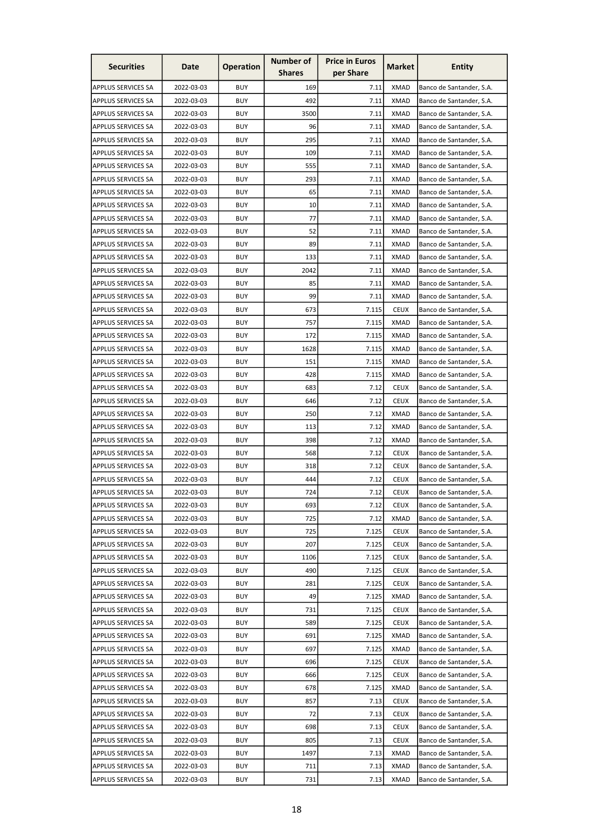| <b>Securities</b>         | Date       | <b>Operation</b> | Number of<br><b>Shares</b> | <b>Price in Euros</b><br>per Share | Market      | <b>Entity</b>            |
|---------------------------|------------|------------------|----------------------------|------------------------------------|-------------|--------------------------|
|                           |            |                  |                            |                                    |             |                          |
| APPLUS SERVICES SA        | 2022-03-03 | <b>BUY</b>       | 169                        | 7.11                               | <b>XMAD</b> | Banco de Santander, S.A. |
| <b>APPLUS SERVICES SA</b> | 2022-03-03 | <b>BUY</b>       | 492                        | 7.11                               | <b>XMAD</b> | Banco de Santander, S.A. |
| <b>APPLUS SERVICES SA</b> | 2022-03-03 | <b>BUY</b>       | 3500                       | 7.11                               | <b>XMAD</b> | Banco de Santander, S.A. |
| APPLUS SERVICES SA        | 2022-03-03 | <b>BUY</b>       | 96                         | 7.11                               | <b>XMAD</b> | Banco de Santander, S.A. |
| <b>APPLUS SERVICES SA</b> | 2022-03-03 | <b>BUY</b>       | 295                        | 7.11                               | <b>XMAD</b> | Banco de Santander, S.A. |
| <b>APPLUS SERVICES SA</b> | 2022-03-03 | <b>BUY</b>       | 109                        | 7.11                               | <b>XMAD</b> | Banco de Santander, S.A. |
| <b>APPLUS SERVICES SA</b> | 2022-03-03 | <b>BUY</b>       | 555                        | 7.11                               | <b>XMAD</b> | Banco de Santander, S.A. |
| <b>APPLUS SERVICES SA</b> | 2022-03-03 | <b>BUY</b>       | 293                        | 7.11                               | <b>XMAD</b> | Banco de Santander, S.A. |
| <b>APPLUS SERVICES SA</b> | 2022-03-03 | <b>BUY</b>       | 65                         | 7.11                               | <b>XMAD</b> | Banco de Santander, S.A. |
| APPLUS SERVICES SA        | 2022-03-03 | <b>BUY</b>       | 10                         | 7.11                               | <b>XMAD</b> | Banco de Santander, S.A. |
| <b>APPLUS SERVICES SA</b> | 2022-03-03 | <b>BUY</b>       | 77                         | 7.11                               | <b>XMAD</b> | Banco de Santander, S.A. |
| <b>APPLUS SERVICES SA</b> | 2022-03-03 | <b>BUY</b>       | 52                         | 7.11                               | <b>XMAD</b> | Banco de Santander, S.A. |
| <b>APPLUS SERVICES SA</b> | 2022-03-03 | <b>BUY</b>       | 89                         | 7.11                               | <b>XMAD</b> | Banco de Santander, S.A. |
| APPLUS SERVICES SA        | 2022-03-03 | <b>BUY</b>       | 133                        | 7.11                               | <b>XMAD</b> | Banco de Santander, S.A. |
| APPLUS SERVICES SA        | 2022-03-03 | <b>BUY</b>       | 2042                       | 7.11                               | <b>XMAD</b> | Banco de Santander, S.A. |
| <b>APPLUS SERVICES SA</b> | 2022-03-03 | <b>BUY</b>       | 85                         | 7.11                               | <b>XMAD</b> | Banco de Santander, S.A. |
| APPLUS SERVICES SA        | 2022-03-03 | <b>BUY</b>       | 99                         | 7.11                               | <b>XMAD</b> | Banco de Santander, S.A. |
| APPLUS SERVICES SA        | 2022-03-03 | <b>BUY</b>       | 673                        | 7.115                              | <b>CEUX</b> | Banco de Santander, S.A. |
| <b>APPLUS SERVICES SA</b> | 2022-03-03 | <b>BUY</b>       | 757                        | 7.115                              | <b>XMAD</b> | Banco de Santander, S.A. |
| <b>APPLUS SERVICES SA</b> | 2022-03-03 | <b>BUY</b>       | 172                        | 7.115                              | <b>XMAD</b> | Banco de Santander, S.A. |
| APPLUS SERVICES SA        | 2022-03-03 | <b>BUY</b>       | 1628                       | 7.115                              | <b>XMAD</b> | Banco de Santander, S.A. |
| <b>APPLUS SERVICES SA</b> | 2022-03-03 | <b>BUY</b>       | 151                        | 7.115                              | <b>XMAD</b> | Banco de Santander, S.A. |
| <b>APPLUS SERVICES SA</b> | 2022-03-03 | <b>BUY</b>       | 428                        | 7.115                              | <b>XMAD</b> | Banco de Santander, S.A. |
| <b>APPLUS SERVICES SA</b> | 2022-03-03 | <b>BUY</b>       | 683                        | 7.12                               | <b>CEUX</b> | Banco de Santander, S.A. |
| APPLUS SERVICES SA        | 2022-03-03 | BUY              | 646                        | 7.12                               | <b>CEUX</b> | Banco de Santander, S.A. |
| <b>APPLUS SERVICES SA</b> | 2022-03-03 | <b>BUY</b>       | 250                        | 7.12                               | <b>XMAD</b> | Banco de Santander, S.A. |
| <b>APPLUS SERVICES SA</b> | 2022-03-03 | <b>BUY</b>       | 113                        | 7.12                               | <b>XMAD</b> | Banco de Santander, S.A. |
| APPLUS SERVICES SA        | 2022-03-03 | <b>BUY</b>       | 398                        | 7.12                               | <b>XMAD</b> |                          |
|                           |            |                  |                            |                                    |             | Banco de Santander, S.A. |
| <b>APPLUS SERVICES SA</b> | 2022-03-03 | <b>BUY</b>       | 568                        | 7.12                               | <b>CEUX</b> | Banco de Santander, S.A. |
| <b>APPLUS SERVICES SA</b> | 2022-03-03 | <b>BUY</b>       | 318                        | 7.12                               | <b>CEUX</b> | Banco de Santander, S.A. |
| <b>APPLUS SERVICES SA</b> | 2022-03-03 | <b>BUY</b>       | 444                        | 7.12                               | <b>CEUX</b> | Banco de Santander, S.A. |
| <b>APPLUS SERVICES SA</b> | 2022-03-03 | <b>BUY</b>       | 724                        | 7.12                               | <b>CEUX</b> | Banco de Santander, S.A. |
| APPLUS SERVICES SA        | 2022-03-03 | <b>BUY</b>       | 693                        | 7.12                               | <b>CEUX</b> | Banco de Santander, S.A. |
| <b>APPLUS SERVICES SA</b> | 2022-03-03 | <b>BUY</b>       | 725                        | 7.12                               | <b>XMAD</b> | Banco de Santander, S.A. |
| <b>APPLUS SERVICES SA</b> | 2022-03-03 | <b>BUY</b>       | 725                        | 7.125                              | <b>CEUX</b> | Banco de Santander, S.A. |
| <b>APPLUS SERVICES SA</b> | 2022-03-03 | <b>BUY</b>       | 207                        | 7.125                              | <b>CEUX</b> | Banco de Santander, S.A. |
| APPLUS SERVICES SA        | 2022-03-03 | <b>BUY</b>       | 1106                       | 7.125                              | <b>CEUX</b> | Banco de Santander, S.A. |
| <b>APPLUS SERVICES SA</b> | 2022-03-03 | <b>BUY</b>       | 490                        | 7.125                              | <b>CEUX</b> | Banco de Santander, S.A. |
| <b>APPLUS SERVICES SA</b> | 2022-03-03 | <b>BUY</b>       | 281                        | 7.125                              | <b>CEUX</b> | Banco de Santander, S.A. |
| APPLUS SERVICES SA        | 2022-03-03 | <b>BUY</b>       | 49                         | 7.125                              | <b>XMAD</b> | Banco de Santander, S.A. |
| <b>APPLUS SERVICES SA</b> | 2022-03-03 | <b>BUY</b>       | 731                        | 7.125                              | <b>CEUX</b> | Banco de Santander, S.A. |
| APPLUS SERVICES SA        | 2022-03-03 | <b>BUY</b>       | 589                        | 7.125                              | <b>CEUX</b> | Banco de Santander, S.A. |
| <b>APPLUS SERVICES SA</b> | 2022-03-03 | <b>BUY</b>       | 691                        | 7.125                              | <b>XMAD</b> | Banco de Santander, S.A. |
| <b>APPLUS SERVICES SA</b> | 2022-03-03 | <b>BUY</b>       | 697                        | 7.125                              | <b>XMAD</b> | Banco de Santander, S.A. |
| <b>APPLUS SERVICES SA</b> | 2022-03-03 | <b>BUY</b>       | 696                        | 7.125                              | <b>CEUX</b> | Banco de Santander, S.A. |
| <b>APPLUS SERVICES SA</b> | 2022-03-03 | <b>BUY</b>       | 666                        | 7.125                              | <b>CEUX</b> | Banco de Santander, S.A. |
| <b>APPLUS SERVICES SA</b> | 2022-03-03 | <b>BUY</b>       | 678                        | 7.125                              | <b>XMAD</b> | Banco de Santander, S.A. |
| APPLUS SERVICES SA        | 2022-03-03 | <b>BUY</b>       | 857                        | 7.13                               | <b>CEUX</b> | Banco de Santander, S.A. |
| <b>APPLUS SERVICES SA</b> | 2022-03-03 | <b>BUY</b>       | 72                         | 7.13                               | <b>CEUX</b> | Banco de Santander, S.A. |
| <b>APPLUS SERVICES SA</b> | 2022-03-03 | <b>BUY</b>       | 698                        | 7.13                               | <b>CEUX</b> | Banco de Santander, S.A. |
| APPLUS SERVICES SA        | 2022-03-03 | <b>BUY</b>       | 805                        | 7.13                               | <b>CEUX</b> | Banco de Santander, S.A. |
| <b>APPLUS SERVICES SA</b> | 2022-03-03 | <b>BUY</b>       | 1497                       | 7.13                               | <b>XMAD</b> | Banco de Santander, S.A. |
| APPLUS SERVICES SA        | 2022-03-03 | <b>BUY</b>       | 711                        | 7.13                               | <b>XMAD</b> | Banco de Santander, S.A. |
| APPLUS SERVICES SA        | 2022-03-03 | <b>BUY</b>       | 731                        | 7.13                               | <b>XMAD</b> | Banco de Santander, S.A. |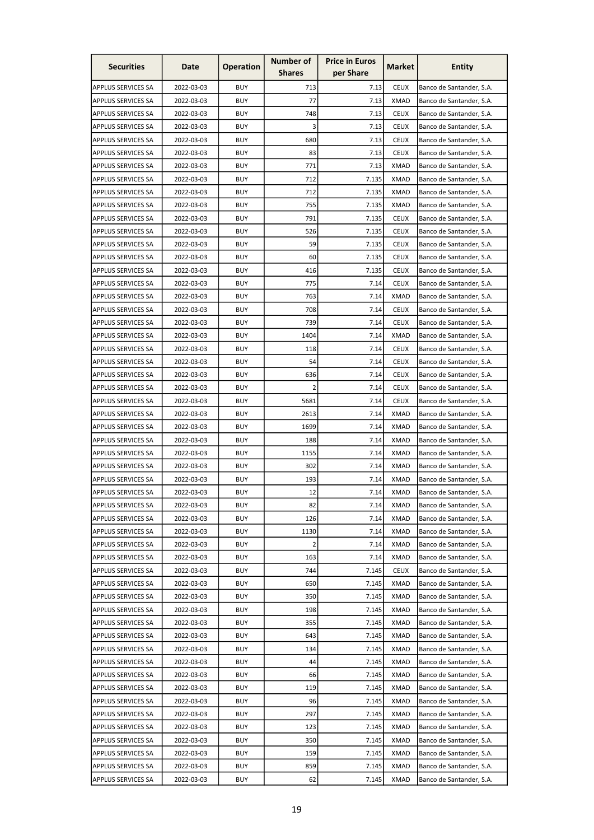| <b>Securities</b>         | Date       | <b>Operation</b> | <b>Number of</b> | <b>Price in Euros</b> | Market      | <b>Entity</b>            |
|---------------------------|------------|------------------|------------------|-----------------------|-------------|--------------------------|
|                           |            |                  | <b>Shares</b>    | per Share             |             |                          |
| APPLUS SERVICES SA        | 2022-03-03 | <b>BUY</b>       | 713              | 7.13                  | <b>CEUX</b> | Banco de Santander, S.A. |
| <b>APPLUS SERVICES SA</b> | 2022-03-03 | <b>BUY</b>       | 77               | 7.13                  | <b>XMAD</b> | Banco de Santander, S.A. |
| APPLUS SERVICES SA        | 2022-03-03 | <b>BUY</b>       | 748              | 7.13                  | <b>CEUX</b> | Banco de Santander, S.A. |
| APPLUS SERVICES SA        | 2022-03-03 | <b>BUY</b>       | 3                | 7.13                  | <b>CEUX</b> | Banco de Santander, S.A. |
| <b>APPLUS SERVICES SA</b> | 2022-03-03 | <b>BUY</b>       | 680              | 7.13                  | <b>CEUX</b> | Banco de Santander, S.A. |
| <b>APPLUS SERVICES SA</b> | 2022-03-03 | <b>BUY</b>       | 83               | 7.13                  | <b>CEUX</b> | Banco de Santander, S.A. |
| <b>APPLUS SERVICES SA</b> | 2022-03-03 | <b>BUY</b>       | 771              | 7.13                  | <b>XMAD</b> | Banco de Santander, S.A. |
| <b>APPLUS SERVICES SA</b> | 2022-03-03 | <b>BUY</b>       | 712              | 7.135                 | <b>XMAD</b> | Banco de Santander, S.A. |
| <b>APPLUS SERVICES SA</b> | 2022-03-03 | <b>BUY</b>       | 712              | 7.135                 | <b>XMAD</b> | Banco de Santander, S.A. |
| APPLUS SERVICES SA        | 2022-03-03 | <b>BUY</b>       | 755              | 7.135                 | <b>XMAD</b> | Banco de Santander, S.A. |
| <b>APPLUS SERVICES SA</b> | 2022-03-03 | <b>BUY</b>       | 791              | 7.135                 | <b>CEUX</b> | Banco de Santander, S.A. |
| <b>APPLUS SERVICES SA</b> | 2022-03-03 | <b>BUY</b>       | 526              | 7.135                 | <b>CEUX</b> | Banco de Santander, S.A. |
| <b>APPLUS SERVICES SA</b> | 2022-03-03 | <b>BUY</b>       | 59               | 7.135                 | <b>CEUX</b> | Banco de Santander, S.A. |
| <b>APPLUS SERVICES SA</b> | 2022-03-03 | <b>BUY</b>       | 60               | 7.135                 | <b>CEUX</b> | Banco de Santander, S.A. |
| APPLUS SERVICES SA        | 2022-03-03 | <b>BUY</b>       | 416              | 7.135                 | <b>CEUX</b> | Banco de Santander, S.A. |
| <b>APPLUS SERVICES SA</b> | 2022-03-03 | <b>BUY</b>       | 775              | 7.14                  | <b>CEUX</b> | Banco de Santander, S.A. |
| APPLUS SERVICES SA        | 2022-03-03 | <b>BUY</b>       | 763              | 7.14                  | <b>XMAD</b> | Banco de Santander, S.A. |
| APPLUS SERVICES SA        | 2022-03-03 | <b>BUY</b>       | 708              | 7.14                  | <b>CEUX</b> | Banco de Santander, S.A. |
| <b>APPLUS SERVICES SA</b> | 2022-03-03 | <b>BUY</b>       | 739              | 7.14                  | <b>CEUX</b> | Banco de Santander, S.A. |
| <b>APPLUS SERVICES SA</b> | 2022-03-03 | <b>BUY</b>       | 1404             | 7.14                  | <b>XMAD</b> | Banco de Santander, S.A. |
| APPLUS SERVICES SA        | 2022-03-03 | <b>BUY</b>       | 118              | 7.14                  | <b>CEUX</b> | Banco de Santander, S.A. |
| <b>APPLUS SERVICES SA</b> | 2022-03-03 | <b>BUY</b>       | 54               | 7.14                  | <b>CEUX</b> | Banco de Santander, S.A. |
| <b>APPLUS SERVICES SA</b> | 2022-03-03 | <b>BUY</b>       | 636              | 7.14                  | <b>CEUX</b> | Banco de Santander, S.A. |
| <b>APPLUS SERVICES SA</b> | 2022-03-03 | <b>BUY</b>       | $\overline{2}$   | 7.14                  | <b>CEUX</b> | Banco de Santander, S.A. |
|                           |            |                  |                  |                       |             |                          |
| <b>APPLUS SERVICES SA</b> | 2022-03-03 | <b>BUY</b>       | 5681             | 7.14                  | <b>CEUX</b> | Banco de Santander, S.A. |
| <b>APPLUS SERVICES SA</b> | 2022-03-03 | <b>BUY</b>       | 2613             | 7.14                  | <b>XMAD</b> | Banco de Santander, S.A. |
| <b>APPLUS SERVICES SA</b> | 2022-03-03 | <b>BUY</b>       | 1699             | 7.14                  | <b>XMAD</b> | Banco de Santander, S.A. |
| APPLUS SERVICES SA        | 2022-03-03 | <b>BUY</b>       | 188              | 7.14                  | <b>XMAD</b> | Banco de Santander, S.A. |
| APPLUS SERVICES SA        | 2022-03-03 | <b>BUY</b>       | 1155             | 7.14                  | <b>XMAD</b> | Banco de Santander, S.A. |
| <b>APPLUS SERVICES SA</b> | 2022-03-03 | <b>BUY</b>       | 302              | 7.14                  | <b>XMAD</b> | Banco de Santander, S.A. |
| <b>APPLUS SERVICES SA</b> | 2022-03-03 | <b>BUY</b>       | 193              | 7.14                  | <b>XMAD</b> | Banco de Santander, S.A. |
| <b>APPLUS SERVICES SA</b> | 2022-03-03 | <b>BUY</b>       | 12               | 7.14                  | <b>XMAD</b> | Banco de Santander, S.A. |
| APPLUS SERVICES SA        | 2022-03-03 | <b>BUY</b>       | 82               | 7.14                  | XMAD        | Banco de Santander, S.A. |
| <b>APPLUS SERVICES SA</b> | 2022-03-03 | <b>BUY</b>       | 126              | 7.14                  | <b>XMAD</b> | Banco de Santander, S.A. |
| <b>APPLUS SERVICES SA</b> | 2022-03-03 | <b>BUY</b>       | 1130             | 7.14                  | <b>XMAD</b> | Banco de Santander, S.A. |
| <b>APPLUS SERVICES SA</b> | 2022-03-03 | <b>BUY</b>       | $\overline{2}$   | 7.14                  | <b>XMAD</b> | Banco de Santander, S.A. |
| APPLUS SERVICES SA        | 2022-03-03 | <b>BUY</b>       | 163              | 7.14                  | <b>XMAD</b> | Banco de Santander, S.A. |
| <b>APPLUS SERVICES SA</b> | 2022-03-03 | <b>BUY</b>       | 744              | 7.145                 | <b>CEUX</b> | Banco de Santander, S.A. |
| <b>APPLUS SERVICES SA</b> | 2022-03-03 | <b>BUY</b>       | 650              | 7.145                 | <b>XMAD</b> | Banco de Santander, S.A. |
| <b>APPLUS SERVICES SA</b> | 2022-03-03 | <b>BUY</b>       | 350              | 7.145                 | XMAD        | Banco de Santander, S.A. |
| <b>APPLUS SERVICES SA</b> | 2022-03-03 | <b>BUY</b>       | 198              | 7.145                 | <b>XMAD</b> | Banco de Santander, S.A. |
| APPLUS SERVICES SA        | 2022-03-03 | <b>BUY</b>       | 355              | 7.145                 | <b>XMAD</b> | Banco de Santander, S.A. |
| <b>APPLUS SERVICES SA</b> | 2022-03-03 | <b>BUY</b>       | 643              | 7.145                 | <b>XMAD</b> | Banco de Santander, S.A. |
| <b>APPLUS SERVICES SA</b> | 2022-03-03 | <b>BUY</b>       | 134              | 7.145                 | <b>XMAD</b> | Banco de Santander, S.A. |
| <b>APPLUS SERVICES SA</b> | 2022-03-03 | <b>BUY</b>       | 44               | 7.145                 | <b>XMAD</b> | Banco de Santander, S.A. |
| <b>APPLUS SERVICES SA</b> | 2022-03-03 | <b>BUY</b>       | 66               | 7.145                 | <b>XMAD</b> | Banco de Santander, S.A. |
| <b>APPLUS SERVICES SA</b> | 2022-03-03 | <b>BUY</b>       | 119              | 7.145                 | <b>XMAD</b> | Banco de Santander, S.A. |
| APPLUS SERVICES SA        | 2022-03-03 | <b>BUY</b>       | 96               | 7.145                 | <b>XMAD</b> | Banco de Santander, S.A. |
| <b>APPLUS SERVICES SA</b> | 2022-03-03 | <b>BUY</b>       | 297              | 7.145                 | <b>XMAD</b> | Banco de Santander, S.A. |
| <b>APPLUS SERVICES SA</b> | 2022-03-03 | <b>BUY</b>       | 123              | 7.145                 | <b>XMAD</b> | Banco de Santander, S.A. |
| APPLUS SERVICES SA        | 2022-03-03 | <b>BUY</b>       | 350              | 7.145                 | XMAD        | Banco de Santander, S.A. |
| <b>APPLUS SERVICES SA</b> | 2022-03-03 | <b>BUY</b>       | 159              | 7.145                 | <b>XMAD</b> | Banco de Santander, S.A. |
| <b>APPLUS SERVICES SA</b> | 2022-03-03 | <b>BUY</b>       | 859              | 7.145                 | <b>XMAD</b> | Banco de Santander, S.A. |
| APPLUS SERVICES SA        | 2022-03-03 | <b>BUY</b>       | 62               | 7.145                 | <b>XMAD</b> | Banco de Santander, S.A. |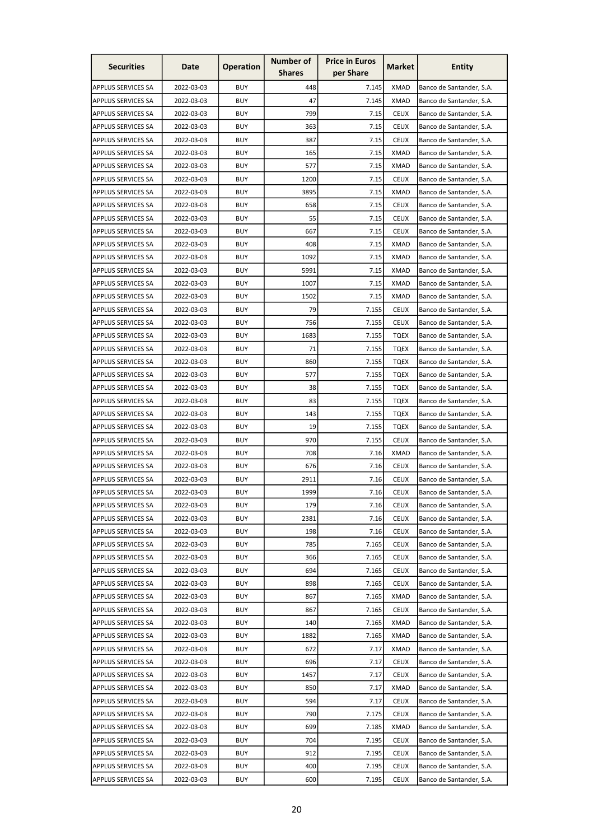| <b>Securities</b>         | Date       | <b>Operation</b> | <b>Number of</b><br><b>Shares</b> | <b>Price in Euros</b><br>per Share | Market      | <b>Entity</b>            |
|---------------------------|------------|------------------|-----------------------------------|------------------------------------|-------------|--------------------------|
|                           |            |                  |                                   |                                    |             |                          |
| APPLUS SERVICES SA        | 2022-03-03 | <b>BUY</b>       | 448                               | 7.145                              | <b>XMAD</b> | Banco de Santander, S.A. |
| <b>APPLUS SERVICES SA</b> | 2022-03-03 | <b>BUY</b>       | 47                                | 7.145                              | <b>XMAD</b> | Banco de Santander, S.A. |
| <b>APPLUS SERVICES SA</b> | 2022-03-03 | <b>BUY</b>       | 799                               | 7.15                               | <b>CEUX</b> | Banco de Santander, S.A. |
| APPLUS SERVICES SA        | 2022-03-03 | <b>BUY</b>       | 363                               | 7.15                               | <b>CEUX</b> | Banco de Santander, S.A. |
| <b>APPLUS SERVICES SA</b> | 2022-03-03 | <b>BUY</b>       | 387                               | 7.15                               | <b>CEUX</b> | Banco de Santander, S.A. |
| <b>APPLUS SERVICES SA</b> | 2022-03-03 | <b>BUY</b>       | 165                               | 7.15                               | <b>XMAD</b> | Banco de Santander, S.A. |
| <b>APPLUS SERVICES SA</b> | 2022-03-03 | <b>BUY</b>       | 577                               | 7.15                               | <b>XMAD</b> | Banco de Santander, S.A. |
| APPLUS SERVICES SA        | 2022-03-03 | <b>BUY</b>       | 1200                              | 7.15                               | <b>CEUX</b> | Banco de Santander, S.A. |
| <b>APPLUS SERVICES SA</b> | 2022-03-03 | <b>BUY</b>       | 3895                              | 7.15                               | <b>XMAD</b> | Banco de Santander, S.A. |
| APPLUS SERVICES SA        | 2022-03-03 | <b>BUY</b>       | 658                               | 7.15                               | <b>CEUX</b> | Banco de Santander, S.A. |
| <b>APPLUS SERVICES SA</b> | 2022-03-03 | <b>BUY</b>       | 55                                | 7.15                               | <b>CEUX</b> | Banco de Santander, S.A. |
| <b>APPLUS SERVICES SA</b> | 2022-03-03 | <b>BUY</b>       | 667                               | 7.15                               | <b>CEUX</b> | Banco de Santander, S.A. |
| <b>APPLUS SERVICES SA</b> | 2022-03-03 | <b>BUY</b>       | 408                               | 7.15                               | <b>XMAD</b> | Banco de Santander, S.A. |
| APPLUS SERVICES SA        | 2022-03-03 | <b>BUY</b>       | 1092                              | 7.15                               | <b>XMAD</b> | Banco de Santander, S.A. |
| APPLUS SERVICES SA        | 2022-03-03 | <b>BUY</b>       | 5991                              | 7.15                               | <b>XMAD</b> | Banco de Santander, S.A. |
| <b>APPLUS SERVICES SA</b> | 2022-03-03 | <b>BUY</b>       | 1007                              | 7.15                               | <b>XMAD</b> | Banco de Santander, S.A. |
| APPLUS SERVICES SA        | 2022-03-03 | <b>BUY</b>       | 1502                              | 7.15                               | <b>XMAD</b> | Banco de Santander, S.A. |
| APPLUS SERVICES SA        | 2022-03-03 | <b>BUY</b>       | 79                                | 7.155                              | <b>CEUX</b> | Banco de Santander, S.A. |
| <b>APPLUS SERVICES SA</b> | 2022-03-03 | <b>BUY</b>       | 756                               | 7.155                              | <b>CEUX</b> | Banco de Santander, S.A. |
| <b>APPLUS SERVICES SA</b> | 2022-03-03 | <b>BUY</b>       | 1683                              | 7.155                              | <b>TQEX</b> | Banco de Santander, S.A. |
| APPLUS SERVICES SA        | 2022-03-03 | <b>BUY</b>       | 71                                | 7.155                              | <b>TQEX</b> | Banco de Santander, S.A. |
| <b>APPLUS SERVICES SA</b> | 2022-03-03 | <b>BUY</b>       | 860                               | 7.155                              | <b>TQEX</b> | Banco de Santander, S.A. |
| <b>APPLUS SERVICES SA</b> | 2022-03-03 | <b>BUY</b>       | 577                               | 7.155                              | <b>TQEX</b> | Banco de Santander, S.A. |
| <b>APPLUS SERVICES SA</b> | 2022-03-03 | <b>BUY</b>       | 38                                | 7.155                              | <b>TQEX</b> | Banco de Santander, S.A. |
| APPLUS SERVICES SA        | 2022-03-03 | <b>BUY</b>       | 83                                | 7.155                              | <b>TQEX</b> |                          |
| <b>APPLUS SERVICES SA</b> | 2022-03-03 | <b>BUY</b>       | 143                               | 7.155                              | <b>TQEX</b> | Banco de Santander, S.A. |
| <b>APPLUS SERVICES SA</b> | 2022-03-03 | <b>BUY</b>       | 19                                | 7.155                              | <b>TQEX</b> | Banco de Santander, S.A. |
|                           |            |                  |                                   |                                    |             | Banco de Santander, S.A. |
| APPLUS SERVICES SA        | 2022-03-03 | <b>BUY</b>       | 970                               | 7.155                              | <b>CEUX</b> | Banco de Santander, S.A. |
| <b>APPLUS SERVICES SA</b> | 2022-03-03 | <b>BUY</b>       | 708                               | 7.16                               | <b>XMAD</b> | Banco de Santander, S.A. |
| <b>APPLUS SERVICES SA</b> | 2022-03-03 | <b>BUY</b>       | 676                               | 7.16                               | <b>CEUX</b> | Banco de Santander, S.A. |
| APPLUS SERVICES SA        | 2022-03-03 | <b>BUY</b>       | 2911                              | 7.16                               | <b>CEUX</b> | Banco de Santander, S.A. |
| <b>APPLUS SERVICES SA</b> | 2022-03-03 | <b>BUY</b>       | 1999                              | 7.16                               | <b>CEUX</b> | Banco de Santander, S.A. |
| APPLUS SERVICES SA        | 2022-03-03 | <b>BUY</b>       | 179                               | 7.16                               | <b>CEUX</b> | Banco de Santander, S.A. |
| <b>APPLUS SERVICES SA</b> | 2022-03-03 | <b>BUY</b>       | 2381                              | 7.16                               | <b>CEUX</b> | Banco de Santander, S.A. |
| <b>APPLUS SERVICES SA</b> | 2022-03-03 | <b>BUY</b>       | 198                               | 7.16                               | <b>CEUX</b> | Banco de Santander, S.A. |
| <b>APPLUS SERVICES SA</b> | 2022-03-03 | <b>BUY</b>       | 785                               | 7.165                              | <b>CEUX</b> | Banco de Santander, S.A. |
| APPLUS SERVICES SA        | 2022-03-03 | <b>BUY</b>       | 366                               | 7.165                              | <b>CEUX</b> | Banco de Santander, S.A. |
| <b>APPLUS SERVICES SA</b> | 2022-03-03 | <b>BUY</b>       | 694                               | 7.165                              | <b>CEUX</b> | Banco de Santander, S.A. |
| <b>APPLUS SERVICES SA</b> | 2022-03-03 | <b>BUY</b>       | 898                               | 7.165                              | <b>CEUX</b> | Banco de Santander, S.A. |
| APPLUS SERVICES SA        | 2022-03-03 | <b>BUY</b>       | 867                               | 7.165                              | <b>XMAD</b> | Banco de Santander, S.A. |
| APPLUS SERVICES SA        | 2022-03-03 | <b>BUY</b>       | 867                               | 7.165                              | <b>CEUX</b> | Banco de Santander, S.A. |
| APPLUS SERVICES SA        | 2022-03-03 | <b>BUY</b>       | 140                               | 7.165                              | <b>XMAD</b> | Banco de Santander, S.A. |
| <b>APPLUS SERVICES SA</b> | 2022-03-03 | <b>BUY</b>       | 1882                              | 7.165                              | <b>XMAD</b> | Banco de Santander, S.A. |
| <b>APPLUS SERVICES SA</b> | 2022-03-03 | <b>BUY</b>       | 672                               | 7.17                               | <b>XMAD</b> | Banco de Santander, S.A. |
| <b>APPLUS SERVICES SA</b> | 2022-03-03 | <b>BUY</b>       | 696                               | 7.17                               | <b>CEUX</b> | Banco de Santander, S.A. |
| <b>APPLUS SERVICES SA</b> | 2022-03-03 | <b>BUY</b>       | 1457                              | 7.17                               | <b>CEUX</b> | Banco de Santander, S.A. |
| <b>APPLUS SERVICES SA</b> | 2022-03-03 | <b>BUY</b>       | 850                               | 7.17                               | <b>XMAD</b> | Banco de Santander, S.A. |
| APPLUS SERVICES SA        | 2022-03-03 | <b>BUY</b>       | 594                               | 7.17                               | <b>CEUX</b> | Banco de Santander, S.A. |
| <b>APPLUS SERVICES SA</b> | 2022-03-03 | <b>BUY</b>       | 790                               | 7.175                              | <b>CEUX</b> | Banco de Santander, S.A. |
| <b>APPLUS SERVICES SA</b> | 2022-03-03 | <b>BUY</b>       | 699                               | 7.185                              | <b>XMAD</b> | Banco de Santander, S.A. |
| APPLUS SERVICES SA        | 2022-03-03 | <b>BUY</b>       | 704                               | 7.195                              | <b>CEUX</b> | Banco de Santander, S.A. |
| <b>APPLUS SERVICES SA</b> | 2022-03-03 | <b>BUY</b>       | 912                               | 7.195                              | <b>CEUX</b> | Banco de Santander, S.A. |
| APPLUS SERVICES SA        | 2022-03-03 | <b>BUY</b>       | 400                               | 7.195                              | <b>CEUX</b> | Banco de Santander, S.A. |
| APPLUS SERVICES SA        | 2022-03-03 | <b>BUY</b>       | 600                               | 7.195                              | <b>CEUX</b> | Banco de Santander, S.A. |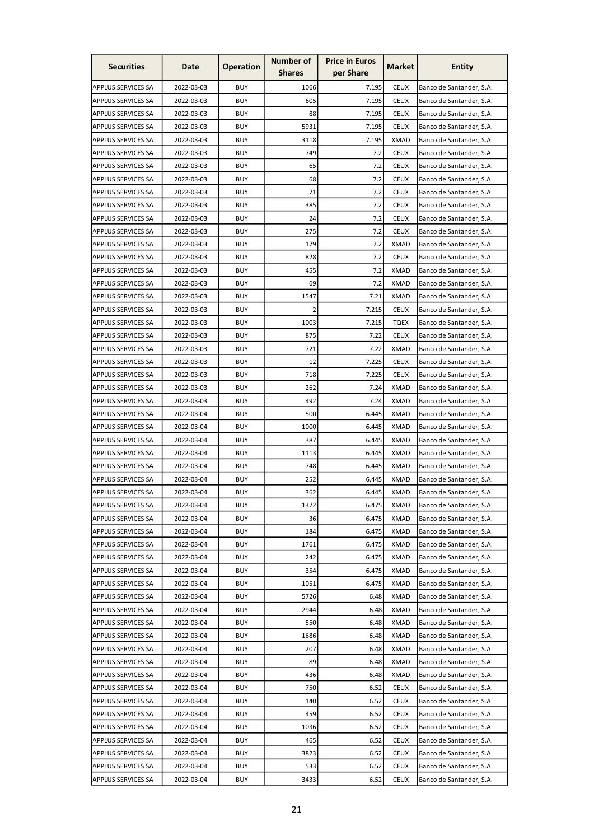| <b>Securities</b>         | Date       | <b>Operation</b> | <b>Number of</b><br><b>Shares</b> | <b>Price in Euros</b><br>per Share | Market      | <b>Entity</b>                                        |
|---------------------------|------------|------------------|-----------------------------------|------------------------------------|-------------|------------------------------------------------------|
|                           |            |                  |                                   |                                    |             |                                                      |
| APPLUS SERVICES SA        | 2022-03-03 | <b>BUY</b>       | 1066                              | 7.195                              | <b>CEUX</b> | Banco de Santander, S.A.                             |
| <b>APPLUS SERVICES SA</b> | 2022-03-03 | <b>BUY</b>       | 605                               | 7.195                              | <b>CEUX</b> | Banco de Santander, S.A.                             |
| <b>APPLUS SERVICES SA</b> | 2022-03-03 | <b>BUY</b>       | 88                                | 7.195                              | <b>CEUX</b> | Banco de Santander, S.A.                             |
| APPLUS SERVICES SA        | 2022-03-03 | <b>BUY</b>       | 5931                              | 7.195                              | <b>CEUX</b> | Banco de Santander, S.A.                             |
| <b>APPLUS SERVICES SA</b> | 2022-03-03 | <b>BUY</b>       | 3118                              | 7.195                              | <b>XMAD</b> | Banco de Santander, S.A.                             |
| <b>APPLUS SERVICES SA</b> | 2022-03-03 | <b>BUY</b>       | 749                               | 7.2                                | <b>CEUX</b> | Banco de Santander, S.A.                             |
| APPLUS SERVICES SA        | 2022-03-03 | <b>BUY</b>       | 65                                | 7.2                                | <b>CEUX</b> | Banco de Santander, S.A.                             |
| <b>APPLUS SERVICES SA</b> | 2022-03-03 | <b>BUY</b>       | 68                                | 7.2                                | <b>CEUX</b> | Banco de Santander, S.A.                             |
| <b>APPLUS SERVICES SA</b> | 2022-03-03 | <b>BUY</b>       | 71                                | 7.2                                | <b>CEUX</b> | Banco de Santander, S.A.                             |
| APPLUS SERVICES SA        | 2022-03-03 | <b>BUY</b>       | 385                               | 7.2                                | <b>CEUX</b> | Banco de Santander, S.A.                             |
| <b>APPLUS SERVICES SA</b> | 2022-03-03 | <b>BUY</b>       | 24                                | 7.2                                | <b>CEUX</b> | Banco de Santander, S.A.                             |
| <b>APPLUS SERVICES SA</b> | 2022-03-03 | <b>BUY</b>       | 275                               | 7.2                                | <b>CEUX</b> | Banco de Santander, S.A.                             |
| <b>APPLUS SERVICES SA</b> | 2022-03-03 | <b>BUY</b>       | 179                               | 7.2                                | <b>XMAD</b> | Banco de Santander, S.A.                             |
| APPLUS SERVICES SA        | 2022-03-03 | <b>BUY</b>       | 828                               | 7.2                                | <b>CEUX</b> | Banco de Santander, S.A.                             |
| APPLUS SERVICES SA        | 2022-03-03 | <b>BUY</b>       | 455                               | 7.2                                | <b>XMAD</b> | Banco de Santander, S.A.                             |
| <b>APPLUS SERVICES SA</b> | 2022-03-03 | <b>BUY</b>       | 69                                | 7.2                                | <b>XMAD</b> | Banco de Santander, S.A.                             |
| APPLUS SERVICES SA        | 2022-03-03 | <b>BUY</b>       | 1547                              | 7.21                               | <b>XMAD</b> | Banco de Santander, S.A.                             |
| APPLUS SERVICES SA        | 2022-03-03 | <b>BUY</b>       | 2 <sup>1</sup>                    | 7.215                              | <b>CEUX</b> | Banco de Santander, S.A.                             |
| <b>APPLUS SERVICES SA</b> | 2022-03-03 | <b>BUY</b>       | 1003                              | 7.215                              | <b>TQEX</b> | Banco de Santander, S.A.                             |
| <b>APPLUS SERVICES SA</b> | 2022-03-03 | <b>BUY</b>       | 875                               | 7.22                               | <b>CEUX</b> | Banco de Santander, S.A.                             |
| APPLUS SERVICES SA        | 2022-03-03 | <b>BUY</b>       | 721                               | 7.22                               | <b>XMAD</b> | Banco de Santander, S.A.                             |
| <b>APPLUS SERVICES SA</b> | 2022-03-03 | <b>BUY</b>       | 12                                | 7.225                              | <b>CEUX</b> | Banco de Santander, S.A.                             |
| <b>APPLUS SERVICES SA</b> | 2022-03-03 | <b>BUY</b>       | 718                               | 7.225                              | <b>CEUX</b> | Banco de Santander, S.A.                             |
| <b>APPLUS SERVICES SA</b> | 2022-03-03 | <b>BUY</b>       | 262                               | 7.24                               | <b>XMAD</b> | Banco de Santander, S.A.                             |
| APPLUS SERVICES SA        | 2022-03-03 | <b>BUY</b>       | 492                               | 7.24                               | XMAD        | Banco de Santander, S.A.                             |
| <b>APPLUS SERVICES SA</b> | 2022-03-04 | <b>BUY</b>       | 500                               | 6.445                              | XMAD        | Banco de Santander, S.A.                             |
| <b>APPLUS SERVICES SA</b> | 2022-03-04 | <b>BUY</b>       | 1000                              | 6.445                              | <b>XMAD</b> | Banco de Santander, S.A.                             |
| APPLUS SERVICES SA        | 2022-03-04 | <b>BUY</b>       | 387                               | 6.445                              | XMAD        | Banco de Santander, S.A.                             |
| APPLUS SERVICES SA        | 2022-03-04 | <b>BUY</b>       | 1113                              | 6.445                              | <b>XMAD</b> | Banco de Santander, S.A.                             |
| <b>APPLUS SERVICES SA</b> | 2022-03-04 | <b>BUY</b>       | 748                               | 6.445                              | <b>XMAD</b> | Banco de Santander, S.A.                             |
| APPLUS SERVICES SA        | 2022-03-04 | <b>BUY</b>       | 252                               | 6.445                              | <b>XMAD</b> | Banco de Santander, S.A.                             |
| <b>APPLUS SERVICES SA</b> | 2022-03-04 | <b>BUY</b>       | 362                               | 6.445                              | <b>XMAD</b> | Banco de Santander, S.A.                             |
| <b>APPLUS SERVICES SA</b> | 2022-03-04 | <b>BUY</b>       | 1372                              | 6.475                              | XMAD        | Banco de Santander, S.A.                             |
| <b>APPLUS SERVICES SA</b> | 2022-03-04 | <b>BUY</b>       | 36                                | 6.475                              | <b>XMAD</b> | Banco de Santander, S.A.                             |
| APPLUS SERVICES SA        | 2022-03-04 | <b>BUY</b>       | 184                               | 6.475                              | <b>XMAD</b> | Banco de Santander, S.A.                             |
|                           | 2022-03-04 | <b>BUY</b>       | 1761                              | 6.475                              | <b>XMAD</b> |                                                      |
| <b>APPLUS SERVICES SA</b> |            |                  |                                   |                                    |             | Banco de Santander, S.A.<br>Banco de Santander, S.A. |
| APPLUS SERVICES SA        | 2022-03-04 | <b>BUY</b>       | 242                               | 6.475                              | <b>XMAD</b> |                                                      |
| <b>APPLUS SERVICES SA</b> | 2022-03-04 | <b>BUY</b>       | 354                               | 6.475                              | <b>XMAD</b> | Banco de Santander, S.A.                             |
| <b>APPLUS SERVICES SA</b> | 2022-03-04 | <b>BUY</b>       | 1051                              | 6.475                              | XMAD        | Banco de Santander, S.A.                             |
| APPLUS SERVICES SA        | 2022-03-04 | <b>BUY</b>       | 5726                              | 6.48                               | XMAD        | Banco de Santander, S.A.                             |
| <b>APPLUS SERVICES SA</b> | 2022-03-04 | <b>BUY</b>       | 2944                              | 6.48                               | <b>XMAD</b> | Banco de Santander, S.A.                             |
| <b>APPLUS SERVICES SA</b> | 2022-03-04 | <b>BUY</b>       | 550                               | 6.48                               | <b>XMAD</b> | Banco de Santander, S.A.                             |
| <b>APPLUS SERVICES SA</b> | 2022-03-04 | <b>BUY</b>       | 1686                              | 6.48                               | <b>XMAD</b> | Banco de Santander, S.A.                             |
| <b>APPLUS SERVICES SA</b> | 2022-03-04 | <b>BUY</b>       | 207                               | 6.48                               | <b>XMAD</b> | Banco de Santander, S.A.                             |
| <b>APPLUS SERVICES SA</b> | 2022-03-04 | <b>BUY</b>       | 89                                | 6.48                               | <b>XMAD</b> | Banco de Santander, S.A.                             |
| <b>APPLUS SERVICES SA</b> | 2022-03-04 | <b>BUY</b>       | 436                               | 6.48                               | <b>XMAD</b> | Banco de Santander, S.A.                             |
| <b>APPLUS SERVICES SA</b> | 2022-03-04 | <b>BUY</b>       | 750                               | 6.52                               | <b>CEUX</b> | Banco de Santander, S.A.                             |
| APPLUS SERVICES SA        | 2022-03-04 | <b>BUY</b>       | 140                               | 6.52                               | <b>CEUX</b> | Banco de Santander, S.A.                             |
| <b>APPLUS SERVICES SA</b> | 2022-03-04 | <b>BUY</b>       | 459                               | 6.52                               | <b>CEUX</b> | Banco de Santander, S.A.                             |
| <b>APPLUS SERVICES SA</b> | 2022-03-04 | <b>BUY</b>       | 1036                              | 6.52                               | <b>CEUX</b> | Banco de Santander, S.A.                             |
| APPLUS SERVICES SA        | 2022-03-04 | <b>BUY</b>       | 465                               | 6.52                               | <b>CEUX</b> | Banco de Santander, S.A.                             |
| <b>APPLUS SERVICES SA</b> | 2022-03-04 | <b>BUY</b>       | 3823                              | 6.52                               | <b>CEUX</b> | Banco de Santander, S.A.                             |
| APPLUS SERVICES SA        | 2022-03-04 | <b>BUY</b>       | 533                               | 6.52                               | <b>CEUX</b> | Banco de Santander, S.A.                             |
| APPLUS SERVICES SA        | 2022-03-04 | <b>BUY</b>       | 3433                              | 6.52                               | <b>CEUX</b> | Banco de Santander, S.A.                             |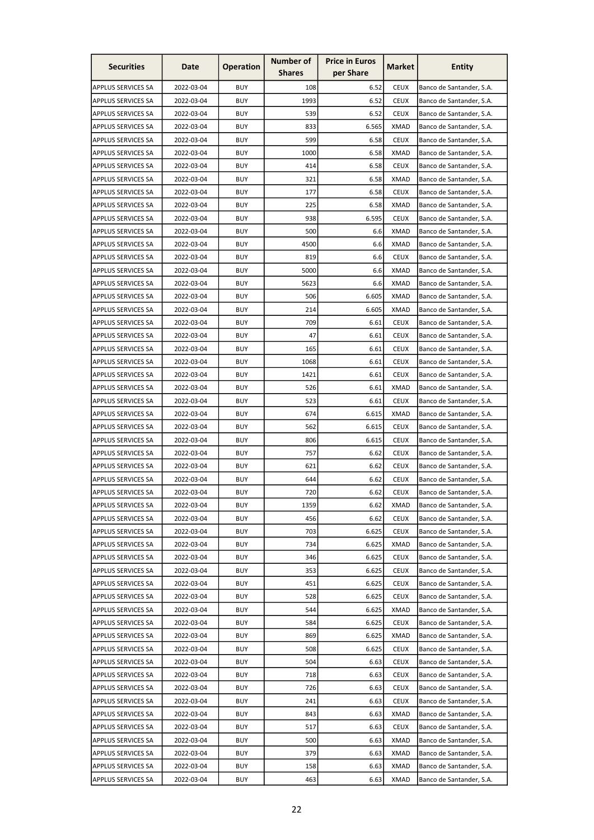| <b>Securities</b>         | Date       | <b>Operation</b> | Number of     | <b>Price in Euros</b> | <b>Market</b> | <b>Entity</b>            |
|---------------------------|------------|------------------|---------------|-----------------------|---------------|--------------------------|
|                           |            |                  | <b>Shares</b> | per Share             |               |                          |
| APPLUS SERVICES SA        | 2022-03-04 | <b>BUY</b>       | 108           | 6.52                  | <b>CEUX</b>   | Banco de Santander, S.A. |
| <b>APPLUS SERVICES SA</b> | 2022-03-04 | <b>BUY</b>       | 1993          | 6.52                  | <b>CEUX</b>   | Banco de Santander, S.A. |
| APPLUS SERVICES SA        | 2022-03-04 | <b>BUY</b>       | 539           | 6.52                  | <b>CEUX</b>   | Banco de Santander, S.A. |
| APPLUS SERVICES SA        | 2022-03-04 | <b>BUY</b>       | 833           | 6.565                 | <b>XMAD</b>   | Banco de Santander, S.A. |
| <b>APPLUS SERVICES SA</b> | 2022-03-04 | <b>BUY</b>       | 599           | 6.58                  | <b>CEUX</b>   | Banco de Santander, S.A. |
| <b>APPLUS SERVICES SA</b> | 2022-03-04 | <b>BUY</b>       | 1000          | 6.58                  | <b>XMAD</b>   | Banco de Santander, S.A. |
| APPLUS SERVICES SA        | 2022-03-04 | <b>BUY</b>       | 414           | 6.58                  | <b>CEUX</b>   | Banco de Santander, S.A. |
| APPLUS SERVICES SA        | 2022-03-04 | <b>BUY</b>       | 321           | 6.58                  | XMAD          | Banco de Santander, S.A. |
| <b>APPLUS SERVICES SA</b> | 2022-03-04 | <b>BUY</b>       | 177           | 6.58                  | <b>CEUX</b>   | Banco de Santander, S.A. |
| APPLUS SERVICES SA        | 2022-03-04 | <b>BUY</b>       | 225           | 6.58                  | <b>XMAD</b>   | Banco de Santander, S.A. |
| <b>APPLUS SERVICES SA</b> | 2022-03-04 | <b>BUY</b>       | 938           | 6.595                 | <b>CEUX</b>   | Banco de Santander, S.A. |
| <b>APPLUS SERVICES SA</b> | 2022-03-04 | <b>BUY</b>       | 500           | 6.6                   | <b>XMAD</b>   | Banco de Santander, S.A. |
| <b>APPLUS SERVICES SA</b> | 2022-03-04 | <b>BUY</b>       | 4500          | 6.6                   | <b>XMAD</b>   | Banco de Santander, S.A. |
| APPLUS SERVICES SA        | 2022-03-04 | <b>BUY</b>       | 819           | 6.6                   | <b>CEUX</b>   | Banco de Santander, S.A. |
| <b>APPLUS SERVICES SA</b> | 2022-03-04 | <b>BUY</b>       | 5000          | 6.6                   | <b>XMAD</b>   | Banco de Santander, S.A. |
| <b>APPLUS SERVICES SA</b> | 2022-03-04 | <b>BUY</b>       | 5623          | 6.6                   | <b>XMAD</b>   | Banco de Santander, S.A. |
| APPLUS SERVICES SA        | 2022-03-04 | <b>BUY</b>       | 506           | 6.605                 | <b>XMAD</b>   | Banco de Santander, S.A. |
| APPLUS SERVICES SA        | 2022-03-04 | <b>BUY</b>       | 214           | 6.605                 | <b>XMAD</b>   | Banco de Santander, S.A. |
| APPLUS SERVICES SA        | 2022-03-04 | <b>BUY</b>       | 709           | 6.61                  | <b>CEUX</b>   | Banco de Santander, S.A. |
| <b>APPLUS SERVICES SA</b> | 2022-03-04 | <b>BUY</b>       | 47            | 6.61                  | <b>CEUX</b>   | Banco de Santander, S.A. |
| APPLUS SERVICES SA        | 2022-03-04 | <b>BUY</b>       | 165           | 6.61                  | <b>CEUX</b>   | Banco de Santander, S.A. |
| <b>APPLUS SERVICES SA</b> | 2022-03-04 | <b>BUY</b>       | 1068          | 6.61                  | <b>CEUX</b>   | Banco de Santander, S.A. |
| <b>APPLUS SERVICES SA</b> | 2022-03-04 | <b>BUY</b>       | 1421          | 6.61                  | <b>CEUX</b>   | Banco de Santander, S.A. |
| <b>APPLUS SERVICES SA</b> | 2022-03-04 | <b>BUY</b>       | 526           | 6.61                  | <b>XMAD</b>   | Banco de Santander, S.A. |
| APPLUS SERVICES SA        | 2022-03-04 | BUY              | 523           | 6.61                  | <b>CEUX</b>   | Banco de Santander, S.A. |
| <b>APPLUS SERVICES SA</b> | 2022-03-04 | <b>BUY</b>       | 674           | 6.615                 | XMAD          | Banco de Santander, S.A. |
| <b>APPLUS SERVICES SA</b> | 2022-03-04 | <b>BUY</b>       | 562           | 6.615                 | <b>CEUX</b>   | Banco de Santander, S.A. |
| APPLUS SERVICES SA        | 2022-03-04 | <b>BUY</b>       | 806           | 6.615                 | <b>CEUX</b>   | Banco de Santander, S.A. |
| <b>APPLUS SERVICES SA</b> | 2022-03-04 | <b>BUY</b>       | 757           | 6.62                  | <b>CEUX</b>   | Banco de Santander, S.A. |
| <b>APPLUS SERVICES SA</b> | 2022-03-04 | <b>BUY</b>       | 621           | 6.62                  | <b>CEUX</b>   | Banco de Santander, S.A. |
| <b>APPLUS SERVICES SA</b> | 2022-03-04 | <b>BUY</b>       | 644           | 6.62                  | <b>CEUX</b>   | Banco de Santander, S.A. |
| APPLUS SERVICES SA        | 2022-03-04 | <b>BUY</b>       | 720           | 6.62                  | <b>CEUX</b>   | Banco de Santander, S.A. |
| <b>APPLUS SERVICES SA</b> | 2022-03-04 | <b>BUY</b>       | 1359          | 6.62                  | XMAD          | Banco de Santander, S.A. |
| <b>APPLUS SERVICES SA</b> | 2022-03-04 | <b>BUY</b>       | 456           | 6.62                  | <b>CEUX</b>   | Banco de Santander, S.A. |
| <b>APPLUS SERVICES SA</b> | 2022-03-04 | <b>BUY</b>       | 703           | 6.625                 | <b>CEUX</b>   | Banco de Santander, S.A. |
| <b>APPLUS SERVICES SA</b> | 2022-03-04 | <b>BUY</b>       | 734           | 6.625                 | XMAD          | Banco de Santander, S.A. |
| APPLUS SERVICES SA        | 2022-03-04 | <b>BUY</b>       | 346           | 6.625                 | <b>CEUX</b>   | Banco de Santander, S.A. |
| <b>APPLUS SERVICES SA</b> | 2022-03-04 | <b>BUY</b>       | 353           | 6.625                 | <b>CEUX</b>   | Banco de Santander, S.A. |
| <b>APPLUS SERVICES SA</b> | 2022-03-04 | <b>BUY</b>       | 451           | 6.625                 | <b>CEUX</b>   | Banco de Santander, S.A. |
| APPLUS SERVICES SA        | 2022-03-04 | <b>BUY</b>       | 528           | 6.625                 | <b>CEUX</b>   | Banco de Santander, S.A. |
| <b>APPLUS SERVICES SA</b> | 2022-03-04 | <b>BUY</b>       | 544           | 6.625                 | <b>XMAD</b>   | Banco de Santander, S.A. |
| <b>APPLUS SERVICES SA</b> | 2022-03-04 | <b>BUY</b>       | 584           | 6.625                 | <b>CEUX</b>   | Banco de Santander, S.A. |
| <b>APPLUS SERVICES SA</b> | 2022-03-04 | <b>BUY</b>       | 869           | 6.625                 | XMAD          | Banco de Santander, S.A. |
| <b>APPLUS SERVICES SA</b> | 2022-03-04 | <b>BUY</b>       | 508           | 6.625                 | <b>CEUX</b>   | Banco de Santander, S.A. |
| <b>APPLUS SERVICES SA</b> | 2022-03-04 | <b>BUY</b>       | 504           | 6.63                  | <b>CEUX</b>   | Banco de Santander, S.A. |
| <b>APPLUS SERVICES SA</b> | 2022-03-04 | <b>BUY</b>       | 718           | 6.63                  | <b>CEUX</b>   | Banco de Santander, S.A. |
| <b>APPLUS SERVICES SA</b> | 2022-03-04 | <b>BUY</b>       | 726           | 6.63                  | <b>CEUX</b>   | Banco de Santander, S.A. |
| APPLUS SERVICES SA        | 2022-03-04 | <b>BUY</b>       | 241           | 6.63                  | <b>CEUX</b>   | Banco de Santander, S.A. |
| <b>APPLUS SERVICES SA</b> | 2022-03-04 | <b>BUY</b>       | 843           | 6.63                  | <b>XMAD</b>   | Banco de Santander, S.A. |
| <b>APPLUS SERVICES SA</b> | 2022-03-04 | <b>BUY</b>       | 517           | 6.63                  | <b>CEUX</b>   | Banco de Santander, S.A. |
| APPLUS SERVICES SA        | 2022-03-04 | <b>BUY</b>       | 500           | 6.63                  | <b>XMAD</b>   | Banco de Santander, S.A. |
| <b>APPLUS SERVICES SA</b> | 2022-03-04 | <b>BUY</b>       | 379           | 6.63                  | <b>XMAD</b>   | Banco de Santander, S.A. |
| <b>APPLUS SERVICES SA</b> | 2022-03-04 | <b>BUY</b>       | 158           | 6.63                  | <b>XMAD</b>   | Banco de Santander, S.A. |
| APPLUS SERVICES SA        | 2022-03-04 | <b>BUY</b>       | 463           | 6.63                  | <b>XMAD</b>   | Banco de Santander, S.A. |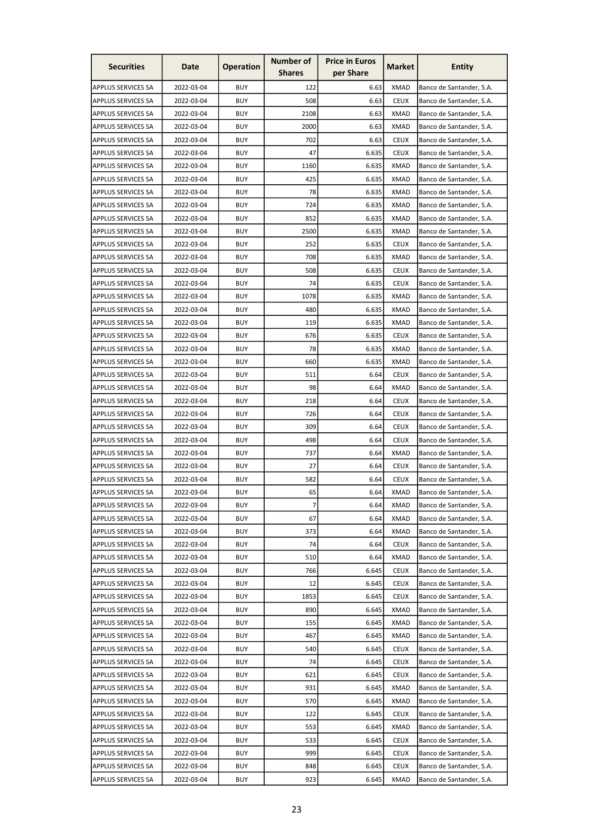| <b>Securities</b>         | Date       | <b>Operation</b> | <b>Number of</b><br><b>Shares</b> | <b>Price in Euros</b><br>per Share | Market      | <b>Entity</b>            |
|---------------------------|------------|------------------|-----------------------------------|------------------------------------|-------------|--------------------------|
| APPLUS SERVICES SA        | 2022-03-04 | <b>BUY</b>       | 122                               | 6.63                               | <b>XMAD</b> | Banco de Santander, S.A. |
| <b>APPLUS SERVICES SA</b> | 2022-03-04 | <b>BUY</b>       | 508                               | 6.63                               | <b>CEUX</b> | Banco de Santander, S.A. |
| APPLUS SERVICES SA        | 2022-03-04 | <b>BUY</b>       | 2108                              | 6.63                               | XMAD        | Banco de Santander, S.A. |
| APPLUS SERVICES SA        | 2022-03-04 | <b>BUY</b>       | 2000                              | 6.63                               | <b>XMAD</b> | Banco de Santander, S.A. |
| <b>APPLUS SERVICES SA</b> | 2022-03-04 | <b>BUY</b>       | 702                               | 6.63                               | <b>CEUX</b> | Banco de Santander, S.A. |
| <b>APPLUS SERVICES SA</b> | 2022-03-04 | <b>BUY</b>       | 47                                | 6.635                              | <b>CEUX</b> | Banco de Santander, S.A. |
| APPLUS SERVICES SA        | 2022-03-04 | <b>BUY</b>       | 1160                              | 6.635                              | <b>XMAD</b> | Banco de Santander, S.A. |
| <b>APPLUS SERVICES SA</b> | 2022-03-04 | <b>BUY</b>       | 425                               | 6.635                              | <b>XMAD</b> | Banco de Santander, S.A. |
| <b>APPLUS SERVICES SA</b> | 2022-03-04 | <b>BUY</b>       | 78                                | 6.635                              | <b>XMAD</b> | Banco de Santander, S.A. |
| APPLUS SERVICES SA        | 2022-03-04 | <b>BUY</b>       | 724                               | 6.635                              | <b>XMAD</b> | Banco de Santander, S.A. |
| <b>APPLUS SERVICES SA</b> | 2022-03-04 | <b>BUY</b>       | 852                               | 6.635                              | <b>XMAD</b> |                          |
|                           |            |                  |                                   |                                    |             | Banco de Santander, S.A. |
| <b>APPLUS SERVICES SA</b> | 2022-03-04 | <b>BUY</b>       | 2500                              | 6.635                              | <b>XMAD</b> | Banco de Santander, S.A. |
| <b>APPLUS SERVICES SA</b> | 2022-03-04 | <b>BUY</b>       | 252                               | 6.635                              | <b>CEUX</b> | Banco de Santander, S.A. |
| APPLUS SERVICES SA        | 2022-03-04 | <b>BUY</b>       | 708                               | 6.635                              | XMAD        | Banco de Santander, S.A. |
| APPLUS SERVICES SA        | 2022-03-04 | <b>BUY</b>       | 508                               | 6.635                              | <b>CEUX</b> | Banco de Santander, S.A. |
| <b>APPLUS SERVICES SA</b> | 2022-03-04 | <b>BUY</b>       | 74                                | 6.635                              | <b>CEUX</b> | Banco de Santander, S.A. |
| APPLUS SERVICES SA        | 2022-03-04 | <b>BUY</b>       | 1078                              | 6.635                              | <b>XMAD</b> | Banco de Santander, S.A. |
| APPLUS SERVICES SA        | 2022-03-04 | <b>BUY</b>       | 480                               | 6.635                              | <b>XMAD</b> | Banco de Santander, S.A. |
| <b>APPLUS SERVICES SA</b> | 2022-03-04 | <b>BUY</b>       | 119                               | 6.635                              | <b>XMAD</b> | Banco de Santander, S.A. |
| <b>APPLUS SERVICES SA</b> | 2022-03-04 | <b>BUY</b>       | 676                               | 6.635                              | <b>CEUX</b> | Banco de Santander, S.A. |
| APPLUS SERVICES SA        | 2022-03-04 | <b>BUY</b>       | 78                                | 6.635                              | <b>XMAD</b> | Banco de Santander, S.A. |
| <b>APPLUS SERVICES SA</b> | 2022-03-04 | <b>BUY</b>       | 660                               | 6.635                              | <b>XMAD</b> | Banco de Santander, S.A. |
| <b>APPLUS SERVICES SA</b> | 2022-03-04 | <b>BUY</b>       | 511                               | 6.64                               | <b>CEUX</b> | Banco de Santander, S.A. |
| <b>APPLUS SERVICES SA</b> | 2022-03-04 | <b>BUY</b>       | 98                                | 6.64                               | <b>XMAD</b> | Banco de Santander, S.A. |
| APPLUS SERVICES SA        | 2022-03-04 | BUY              | 218                               | 6.64                               | CEUX        | Banco de Santander, S.A. |
| <b>APPLUS SERVICES SA</b> | 2022-03-04 | <b>BUY</b>       | 726                               | 6.64                               | <b>CEUX</b> | Banco de Santander, S.A. |
| <b>APPLUS SERVICES SA</b> | 2022-03-04 | <b>BUY</b>       | 309                               | 6.64                               | <b>CEUX</b> | Banco de Santander, S.A. |
| APPLUS SERVICES SA        | 2022-03-04 | <b>BUY</b>       | 498                               | 6.64                               | <b>CEUX</b> | Banco de Santander, S.A. |
| APPLUS SERVICES SA        | 2022-03-04 | <b>BUY</b>       | 737                               | 6.64                               | <b>XMAD</b> | Banco de Santander, S.A. |
| <b>APPLUS SERVICES SA</b> | 2022-03-04 | <b>BUY</b>       | 27                                | 6.64                               | <b>CEUX</b> | Banco de Santander, S.A. |
| <b>APPLUS SERVICES SA</b> | 2022-03-04 | <b>BUY</b>       | 582                               | 6.64                               | <b>CEUX</b> | Banco de Santander, S.A. |
| APPLUS SERVICES SA        | 2022-03-04 | <b>BUY</b>       | 65                                | 6.64                               | <b>XMAD</b> | Banco de Santander, S.A. |
| <b>APPLUS SERVICES SA</b> | 2022-03-04 | <b>BUY</b>       | $\overline{7}$                    | 6.64                               | XMAD        | Banco de Santander, S.A. |
| <b>APPLUS SERVICES SA</b> | 2022-03-04 | <b>BUY</b>       | 67                                | 6.64                               | <b>XMAD</b> | Banco de Santander, S.A. |
| APPLUS SERVICES SA        | 2022-03-04 | <b>BUY</b>       | 373                               | 6.64                               | <b>XMAD</b> | Banco de Santander, S.A. |
| <b>APPLUS SERVICES SA</b> | 2022-03-04 | <b>BUY</b>       | 74                                | 6.64                               | <b>CEUX</b> | Banco de Santander, S.A. |
| APPLUS SERVICES SA        | 2022-03-04 | <b>BUY</b>       | 510                               | 6.64                               | <b>XMAD</b> | Banco de Santander, S.A. |
| <b>APPLUS SERVICES SA</b> | 2022-03-04 | <b>BUY</b>       | 766                               | 6.645                              | <b>CEUX</b> | Banco de Santander, S.A. |
| <b>APPLUS SERVICES SA</b> | 2022-03-04 | <b>BUY</b>       | 12                                | 6.645                              | <b>CEUX</b> | Banco de Santander, S.A. |
| APPLUS SERVICES SA        | 2022-03-04 | <b>BUY</b>       | 1853                              | 6.645                              | <b>CEUX</b> | Banco de Santander, S.A. |
| <b>APPLUS SERVICES SA</b> | 2022-03-04 | <b>BUY</b>       | 890                               | 6.645                              | <b>XMAD</b> | Banco de Santander, S.A. |
| <b>APPLUS SERVICES SA</b> | 2022-03-04 | <b>BUY</b>       | 155                               | 6.645                              | <b>XMAD</b> | Banco de Santander, S.A. |
| <b>APPLUS SERVICES SA</b> | 2022-03-04 | <b>BUY</b>       | 467                               | 6.645                              | <b>XMAD</b> | Banco de Santander, S.A. |
| <b>APPLUS SERVICES SA</b> | 2022-03-04 | <b>BUY</b>       | 540                               | 6.645                              | <b>CEUX</b> | Banco de Santander, S.A. |
| <b>APPLUS SERVICES SA</b> | 2022-03-04 | <b>BUY</b>       | 74                                | 6.645                              | <b>CEUX</b> | Banco de Santander, S.A. |
| <b>APPLUS SERVICES SA</b> | 2022-03-04 | <b>BUY</b>       | 621                               | 6.645                              | <b>CEUX</b> | Banco de Santander, S.A. |
| <b>APPLUS SERVICES SA</b> | 2022-03-04 | <b>BUY</b>       | 931                               | 6.645                              | <b>XMAD</b> | Banco de Santander, S.A. |
| APPLUS SERVICES SA        | 2022-03-04 | <b>BUY</b>       | 570                               | 6.645                              | <b>XMAD</b> | Banco de Santander, S.A. |
| <b>APPLUS SERVICES SA</b> | 2022-03-04 | <b>BUY</b>       | 122                               | 6.645                              | <b>CEUX</b> | Banco de Santander, S.A. |
| <b>APPLUS SERVICES SA</b> | 2022-03-04 | <b>BUY</b>       | 553                               | 6.645                              | <b>XMAD</b> | Banco de Santander, S.A. |
| APPLUS SERVICES SA        | 2022-03-04 | <b>BUY</b>       | 533                               | 6.645                              | <b>CEUX</b> | Banco de Santander, S.A. |
| <b>APPLUS SERVICES SA</b> | 2022-03-04 | <b>BUY</b>       | 999                               | 6.645                              | <b>CEUX</b> | Banco de Santander, S.A. |
| <b>APPLUS SERVICES SA</b> | 2022-03-04 | <b>BUY</b>       | 848                               | 6.645                              | <b>CEUX</b> | Banco de Santander, S.A. |
| APPLUS SERVICES SA        | 2022-03-04 | <b>BUY</b>       | 923                               | 6.645                              | <b>XMAD</b> | Banco de Santander, S.A. |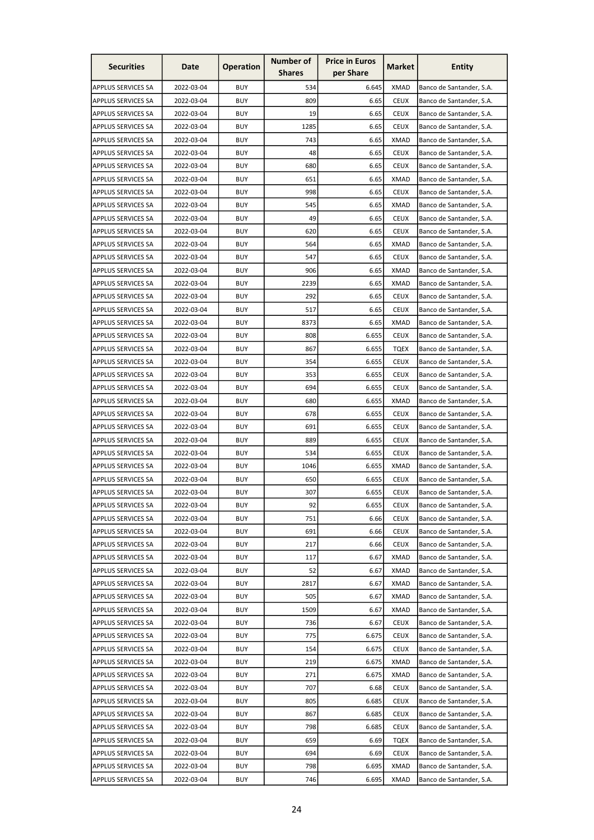| <b>Securities</b>         | Date       | <b>Operation</b> | <b>Number of</b> | <b>Price in Euros</b><br>per Share | Market      | <b>Entity</b>            |
|---------------------------|------------|------------------|------------------|------------------------------------|-------------|--------------------------|
|                           |            |                  | <b>Shares</b>    |                                    |             |                          |
| APPLUS SERVICES SA        | 2022-03-04 | <b>BUY</b>       | 534              | 6.645                              | <b>XMAD</b> | Banco de Santander, S.A. |
| <b>APPLUS SERVICES SA</b> | 2022-03-04 | <b>BUY</b>       | 809              | 6.65                               | <b>CEUX</b> | Banco de Santander, S.A. |
| <b>APPLUS SERVICES SA</b> | 2022-03-04 | <b>BUY</b>       | 19               | 6.65                               | <b>CEUX</b> | Banco de Santander, S.A. |
| APPLUS SERVICES SA        | 2022-03-04 | <b>BUY</b>       | 1285             | 6.65                               | <b>CEUX</b> | Banco de Santander, S.A. |
| <b>APPLUS SERVICES SA</b> | 2022-03-04 | <b>BUY</b>       | 743              | 6.65                               | <b>XMAD</b> | Banco de Santander, S.A. |
| <b>APPLUS SERVICES SA</b> | 2022-03-04 | <b>BUY</b>       | 48               | 6.65                               | <b>CEUX</b> | Banco de Santander, S.A. |
| APPLUS SERVICES SA        | 2022-03-04 | <b>BUY</b>       | 680              | 6.65                               | <b>CEUX</b> | Banco de Santander, S.A. |
| <b>APPLUS SERVICES SA</b> | 2022-03-04 | <b>BUY</b>       | 651              | 6.65                               | <b>XMAD</b> | Banco de Santander, S.A. |
| <b>APPLUS SERVICES SA</b> | 2022-03-04 | <b>BUY</b>       | 998              | 6.65                               | <b>CEUX</b> | Banco de Santander, S.A. |
| <b>APPLUS SERVICES SA</b> | 2022-03-04 | <b>BUY</b>       | 545              | 6.65                               | <b>XMAD</b> | Banco de Santander, S.A. |
| <b>APPLUS SERVICES SA</b> | 2022-03-04 | <b>BUY</b>       | 49               | 6.65                               | <b>CEUX</b> | Banco de Santander, S.A. |
| <b>APPLUS SERVICES SA</b> | 2022-03-04 | <b>BUY</b>       | 620              | 6.65                               | <b>CEUX</b> | Banco de Santander, S.A. |
| <b>APPLUS SERVICES SA</b> | 2022-03-04 | <b>BUY</b>       | 564              | 6.65                               | <b>XMAD</b> | Banco de Santander, S.A. |
| <b>APPLUS SERVICES SA</b> | 2022-03-04 | <b>BUY</b>       | 547              | 6.65                               | <b>CEUX</b> | Banco de Santander, S.A. |
| APPLUS SERVICES SA        | 2022-03-04 | <b>BUY</b>       | 906              | 6.65                               | <b>XMAD</b> | Banco de Santander, S.A. |
| <b>APPLUS SERVICES SA</b> | 2022-03-04 | <b>BUY</b>       | 2239             | 6.65                               | <b>XMAD</b> | Banco de Santander, S.A. |
| APPLUS SERVICES SA        | 2022-03-04 | <b>BUY</b>       | 292              | 6.65                               | <b>CEUX</b> | Banco de Santander, S.A. |
| APPLUS SERVICES SA        | 2022-03-04 | <b>BUY</b>       | 517              | 6.65                               | <b>CEUX</b> | Banco de Santander, S.A. |
| <b>APPLUS SERVICES SA</b> | 2022-03-04 | <b>BUY</b>       | 8373             | 6.65                               | <b>XMAD</b> | Banco de Santander, S.A. |
| <b>APPLUS SERVICES SA</b> | 2022-03-04 | <b>BUY</b>       | 808              | 6.655                              | <b>CEUX</b> | Banco de Santander, S.A. |
| APPLUS SERVICES SA        | 2022-03-04 | <b>BUY</b>       | 867              | 6.655                              | <b>TQEX</b> | Banco de Santander, S.A. |
| <b>APPLUS SERVICES SA</b> | 2022-03-04 | <b>BUY</b>       | 354              | 6.655                              | <b>CEUX</b> | Banco de Santander, S.A. |
| <b>APPLUS SERVICES SA</b> | 2022-03-04 | <b>BUY</b>       | 353              | 6.655                              | <b>CEUX</b> | Banco de Santander, S.A. |
| <b>APPLUS SERVICES SA</b> | 2022-03-04 | <b>BUY</b>       | 694              | 6.655                              | <b>CEUX</b> | Banco de Santander, S.A. |
| <b>APPLUS SERVICES SA</b> | 2022-03-04 | BUY              | 680              | 6.655                              | XMAD        | Banco de Santander, S.A. |
| <b>APPLUS SERVICES SA</b> | 2022-03-04 | <b>BUY</b>       | 678              | 6.655                              | <b>CEUX</b> | Banco de Santander, S.A. |
| <b>APPLUS SERVICES SA</b> | 2022-03-04 | <b>BUY</b>       | 691              | 6.655                              | <b>CEUX</b> | Banco de Santander, S.A. |
| APPLUS SERVICES SA        | 2022-03-04 | <b>BUY</b>       | 889              | 6.655                              | <b>CEUX</b> | Banco de Santander, S.A. |
| APPLUS SERVICES SA        | 2022-03-04 | <b>BUY</b>       | 534              | 6.655                              | <b>CEUX</b> | Banco de Santander, S.A. |
| <b>APPLUS SERVICES SA</b> | 2022-03-04 | <b>BUY</b>       | 1046             | 6.655                              | <b>XMAD</b> | Banco de Santander, S.A. |
| <b>APPLUS SERVICES SA</b> | 2022-03-04 | <b>BUY</b>       | 650              | 6.655                              | <b>CEUX</b> | Banco de Santander, S.A. |
| <b>APPLUS SERVICES SA</b> | 2022-03-04 | <b>BUY</b>       | 307              | 6.655                              | <b>CEUX</b> | Banco de Santander, S.A. |
| APPLUS SERVICES SA        | 2022-03-04 | <b>BUY</b>       | 92               | 6.655                              | <b>CEUX</b> | Banco de Santander, S.A. |
| APPLUS SERVICES SA        | 2022-03-04 | <b>BUY</b>       | 751              | 6.66                               | <b>CEUX</b> | Banco de Santander, S.A. |
| <b>APPLUS SERVICES SA</b> | 2022-03-04 | <b>BUY</b>       | 691              | 6.66                               | <b>CEUX</b> | Banco de Santander, S.A. |
| <b>APPLUS SERVICES SA</b> | 2022-03-04 | <b>BUY</b>       | 217              | 6.66                               | <b>CEUX</b> | Banco de Santander, S.A. |
| APPLUS SERVICES SA        | 2022-03-04 | <b>BUY</b>       | 117              | 6.67                               | <b>XMAD</b> | Banco de Santander, S.A. |
| <b>APPLUS SERVICES SA</b> | 2022-03-04 | <b>BUY</b>       | 52               | 6.67                               | <b>XMAD</b> | Banco de Santander, S.A. |
| <b>APPLUS SERVICES SA</b> | 2022-03-04 | <b>BUY</b>       | 2817             | 6.67                               | <b>XMAD</b> | Banco de Santander, S.A. |
| APPLUS SERVICES SA        | 2022-03-04 | <b>BUY</b>       | 505              | 6.67                               | <b>XMAD</b> | Banco de Santander, S.A. |
| <b>APPLUS SERVICES SA</b> | 2022-03-04 | <b>BUY</b>       | 1509             | 6.67                               | <b>XMAD</b> | Banco de Santander, S.A. |
| <b>APPLUS SERVICES SA</b> | 2022-03-04 | <b>BUY</b>       | 736              | 6.67                               | <b>CEUX</b> | Banco de Santander, S.A. |
| <b>APPLUS SERVICES SA</b> | 2022-03-04 | <b>BUY</b>       | 775              | 6.675                              | <b>CEUX</b> | Banco de Santander, S.A. |
| <b>APPLUS SERVICES SA</b> | 2022-03-04 | <b>BUY</b>       | 154              | 6.675                              | <b>CEUX</b> | Banco de Santander, S.A. |
| <b>APPLUS SERVICES SA</b> | 2022-03-04 | <b>BUY</b>       | 219              | 6.675                              | <b>XMAD</b> | Banco de Santander, S.A. |
| <b>APPLUS SERVICES SA</b> | 2022-03-04 | <b>BUY</b>       | 271              | 6.675                              | <b>XMAD</b> | Banco de Santander, S.A. |
| <b>APPLUS SERVICES SA</b> | 2022-03-04 | <b>BUY</b>       | 707              | 6.68                               | <b>CEUX</b> | Banco de Santander, S.A. |
| APPLUS SERVICES SA        | 2022-03-04 | <b>BUY</b>       | 805              | 6.685                              | <b>CEUX</b> | Banco de Santander, S.A. |
| <b>APPLUS SERVICES SA</b> | 2022-03-04 | <b>BUY</b>       | 867              | 6.685                              | <b>CEUX</b> | Banco de Santander, S.A. |
| <b>APPLUS SERVICES SA</b> | 2022-03-04 | <b>BUY</b>       | 798              | 6.685                              | <b>CEUX</b> | Banco de Santander, S.A. |
| APPLUS SERVICES SA        | 2022-03-04 | BUY              | 659              | 6.69                               | <b>TQEX</b> | Banco de Santander, S.A. |
| <b>APPLUS SERVICES SA</b> | 2022-03-04 | <b>BUY</b>       | 694              | 6.69                               | <b>CEUX</b> | Banco de Santander, S.A. |
| APPLUS SERVICES SA        | 2022-03-04 | <b>BUY</b>       | 798              | 6.695                              | <b>XMAD</b> | Banco de Santander, S.A. |
| APPLUS SERVICES SA        | 2022-03-04 | <b>BUY</b>       | 746              | 6.695                              | <b>XMAD</b> | Banco de Santander, S.A. |